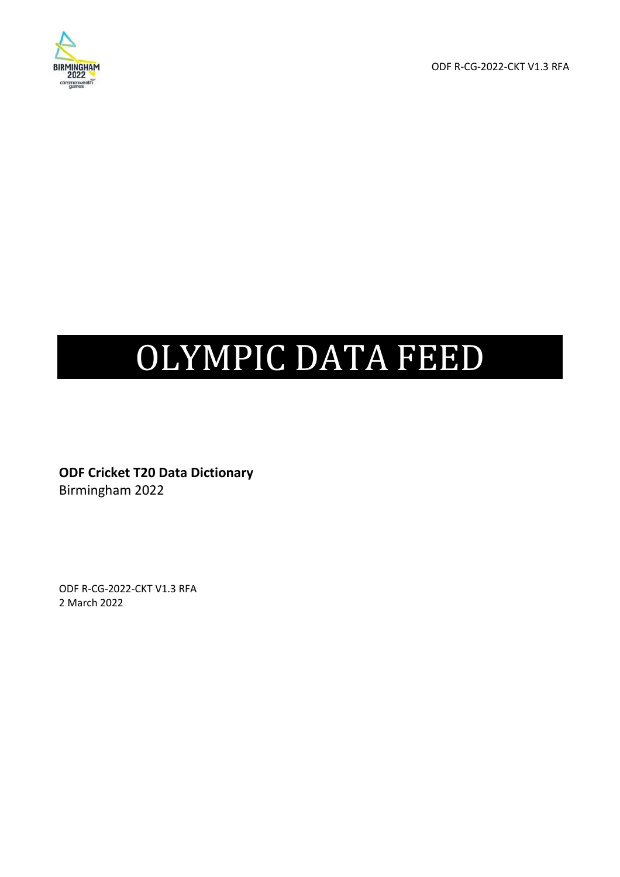

ODF R-CG-2022-CKT V1.3 RFA

# OLYMPIC DATA FEED

**ODF Cricket T20 Data Dictionary**  Birmingham 2022

ODF R-CG-2022-CKT V1.3 RFA 2 March 2022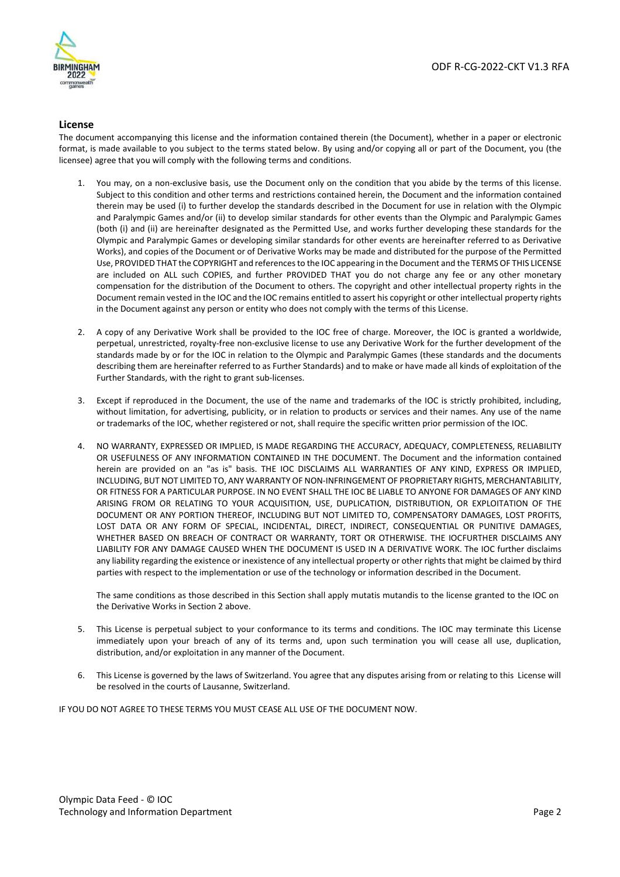

#### **License**

The document accompanying this license and the information contained therein (the Document), whether in a paper or electronic format, is made available to you subject to the terms stated below. By using and/or copying all or part of the Document, you (the licensee) agree that you will comply with the following terms and conditions.

- 1. You may, on a non-exclusive basis, use the Document only on the condition that you abide by the terms of this license. Subject to this condition and other terms and restrictions contained herein, the Document and the information contained therein may be used (i) to further develop the standards described in the Document for use in relation with the Olympic and Paralympic Games and/or (ii) to develop similar standards for other events than the Olympic and Paralympic Games (both (i) and (ii) are hereinafter designated as the Permitted Use, and works further developing these standards for the Olympic and Paralympic Games or developing similar standards for other events are hereinafter referred to as Derivative Works), and copies of the Document or of Derivative Works may be made and distributed for the purpose of the Permitted Use, PROVIDED THAT the COPYRIGHT and references to the IOC appearing in the Document and the TERMS OF THIS LICENSE are included on ALL such COPIES, and further PROVIDED THAT you do not charge any fee or any other monetary compensation for the distribution of the Document to others. The copyright and other intellectual property rights in the Document remain vested in the IOC and the IOC remains entitled to assert his copyright or other intellectual property rights in the Document against any person or entity who does not comply with the terms of this License.
- 2. A copy of any Derivative Work shall be provided to the IOC free of charge. Moreover, the IOC is granted a worldwide, perpetual, unrestricted, royalty-free non-exclusive license to use any Derivative Work for the further development of the standards made by or for the IOC in relation to the Olympic and Paralympic Games (these standards and the documents describing them are hereinafter referred to as Further Standards) and to make or have made all kinds of exploitation of the Further Standards, with the right to grant sub-licenses.
- 3. Except if reproduced in the Document, the use of the name and trademarks of the IOC is strictly prohibited, including, without limitation, for advertising, publicity, or in relation to products or services and their names. Any use of the name or trademarks of the IOC, whether registered or not, shall require the specific written prior permission of the IOC.
- 4. NO WARRANTY, EXPRESSED OR IMPLIED, IS MADE REGARDING THE ACCURACY, ADEQUACY, COMPLETENESS, RELIABILITY OR USEFULNESS OF ANY INFORMATION CONTAINED IN THE DOCUMENT. The Document and the information contained herein are provided on an "as is" basis. THE IOC DISCLAIMS ALL WARRANTIES OF ANY KIND, EXPRESS OR IMPLIED, INCLUDING, BUT NOT LIMITED TO, ANY WARRANTY OF NON-INFRINGEMENT OF PROPRIETARY RIGHTS, MERCHANTABILITY, OR FITNESS FOR A PARTICULAR PURPOSE. IN NO EVENT SHALL THE IOC BE LIABLE TO ANYONE FOR DAMAGES OF ANY KIND ARISING FROM OR RELATING TO YOUR ACQUISITION, USE, DUPLICATION, DISTRIBUTION, OR EXPLOITATION OF THE DOCUMENT OR ANY PORTION THEREOF, INCLUDING BUT NOT LIMITED TO, COMPENSATORY DAMAGES, LOST PROFITS, LOST DATA OR ANY FORM OF SPECIAL, INCIDENTAL, DIRECT, INDIRECT, CONSEQUENTIAL OR PUNITIVE DAMAGES, WHETHER BASED ON BREACH OF CONTRACT OR WARRANTY, TORT OR OTHERWISE. THE IOCFURTHER DISCLAIMS ANY LIABILITY FOR ANY DAMAGE CAUSED WHEN THE DOCUMENT IS USED IN A DERIVATIVE WORK. The IOC further disclaims any liability regarding the existence or inexistence of any intellectual property or other rights that might be claimed by third parties with respect to the implementation or use of the technology or information described in the Document.

The same conditions as those described in this Section shall apply mutatis mutandis to the license granted to the IOC on the Derivative Works in Section 2 above.

- 5. This License is perpetual subject to your conformance to its terms and conditions. The IOC may terminate this License immediately upon your breach of any of its terms and, upon such termination you will cease all use, duplication, distribution, and/or exploitation in any manner of the Document.
- 6. This License is governed by the laws of Switzerland. You agree that any disputes arising from or relating to this License will be resolved in the courts of Lausanne, Switzerland.

IF YOU DO NOT AGREE TO THESE TERMS YOU MUST CEASE ALL USE OF THE DOCUMENT NOW.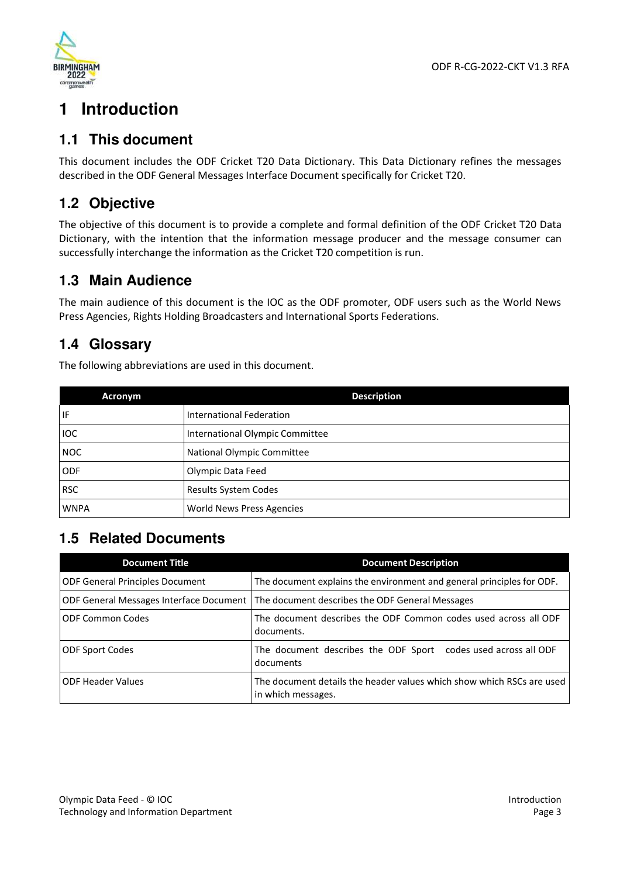

# **1 Introduction**

## **1.1 This document**

This document includes the ODF Cricket T20 Data Dictionary. This Data Dictionary refines the messages described in the ODF General Messages Interface Document specifically for Cricket T20.

## **1.2 Objective**

The objective of this document is to provide a complete and formal definition of the ODF Cricket T20 Data Dictionary, with the intention that the information message producer and the message consumer can successfully interchange the information as the Cricket T20 competition is run.

## **1.3 Main Audience**

The main audience of this document is the IOC as the ODF promoter, ODF users such as the World News Press Agencies, Rights Holding Broadcasters and International Sports Federations.

## **1.4 Glossary**

The following abbreviations are used in this document.

| <b>Acronym</b> | <b>Description</b>              |
|----------------|---------------------------------|
| IF             | International Federation        |
| IOC            | International Olympic Committee |
| <b>NOC</b>     | National Olympic Committee      |
| <b>ODF</b>     | Olympic Data Feed               |
| <b>RSC</b>     | <b>Results System Codes</b>     |
| <b>WNPA</b>    | World News Press Agencies       |

## **1.5 Related Documents**

| <b>Document Title</b>                  | <b>Document Description</b>                                                                 |
|----------------------------------------|---------------------------------------------------------------------------------------------|
| <b>ODF General Principles Document</b> | The document explains the environment and general principles for ODF.                       |
|                                        | ODF General Messages Interface Document   The document describes the ODF General Messages   |
| <b>ODF Common Codes</b>                | The document describes the ODF Common codes used across all ODF<br>documents.               |
| <b>ODF Sport Codes</b>                 | The document describes the ODF Sport codes used across all ODF<br>documents                 |
| <b>ODF Header Values</b>               | The document details the header values which show which RSCs are used<br>in which messages. |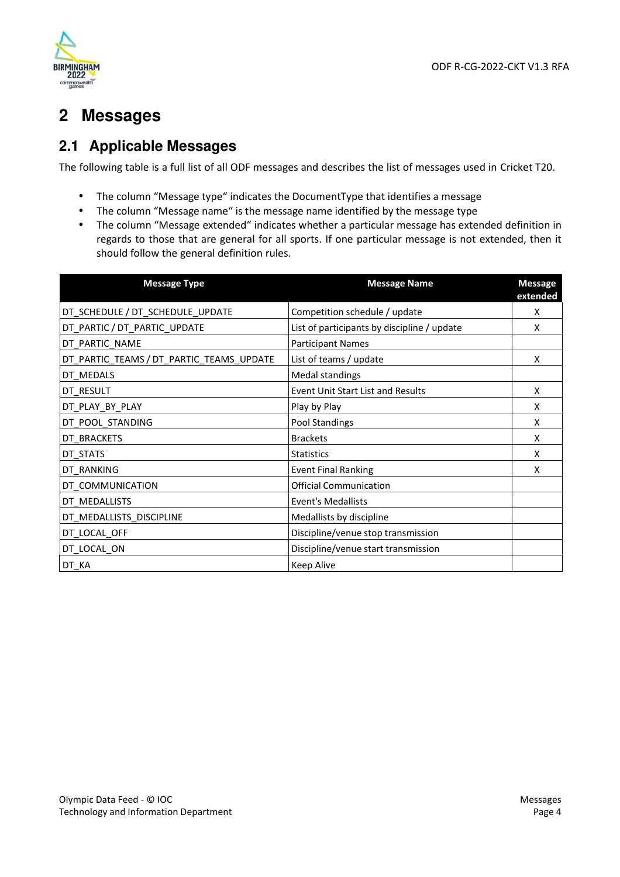

# **2 Messages**

## **2.1 Applicable Messages**

The following table is a full list of all ODF messages and describes the list of messages used in Cricket T20.

- The column "Message type" indicates the DocumentType that identifies a message
- The column "Message name" is the message name identified by the message type
- The column "Message extended" indicates whether a particular message has extended definition in regards to those that are general for all sports. If one particular message is not extended, then it should follow the general definition rules.

| <b>Message Type</b>                      | <b>Message Name</b>                         | <b>Message</b><br>extended |
|------------------------------------------|---------------------------------------------|----------------------------|
| DT_SCHEDULE / DT_SCHEDULE_UPDATE         | Competition schedule / update               | X                          |
| DT_PARTIC / DT_PARTIC_UPDATE             | List of participants by discipline / update | X                          |
| DT_PARTIC_NAME                           | <b>Participant Names</b>                    |                            |
| DT_PARTIC_TEAMS / DT_PARTIC_TEAMS_UPDATE | List of teams / update                      | X                          |
| DT MEDALS                                | <b>Medal standings</b>                      |                            |
| DT RESULT                                | <b>Event Unit Start List and Results</b>    | X                          |
| DT PLAY BY PLAY                          | Play by Play                                | X                          |
| DT_POOL_STANDING                         | Pool Standings                              | X                          |
| DT BRACKETS                              | <b>Brackets</b>                             | X                          |
| DT STATS                                 | <b>Statistics</b>                           | X                          |
| DT_RANKING                               | <b>Event Final Ranking</b>                  | X                          |
| DT_COMMUNICATION                         | <b>Official Communication</b>               |                            |
| DT_MEDALLISTS                            | <b>Event's Medallists</b>                   |                            |
| DT_MEDALLISTS_DISCIPLINE                 | Medallists by discipline                    |                            |
| DT_LOCAL_OFF                             | Discipline/venue stop transmission          |                            |
| DT_LOCAL_ON                              | Discipline/venue start transmission         |                            |
| DT KA                                    | <b>Keep Alive</b>                           |                            |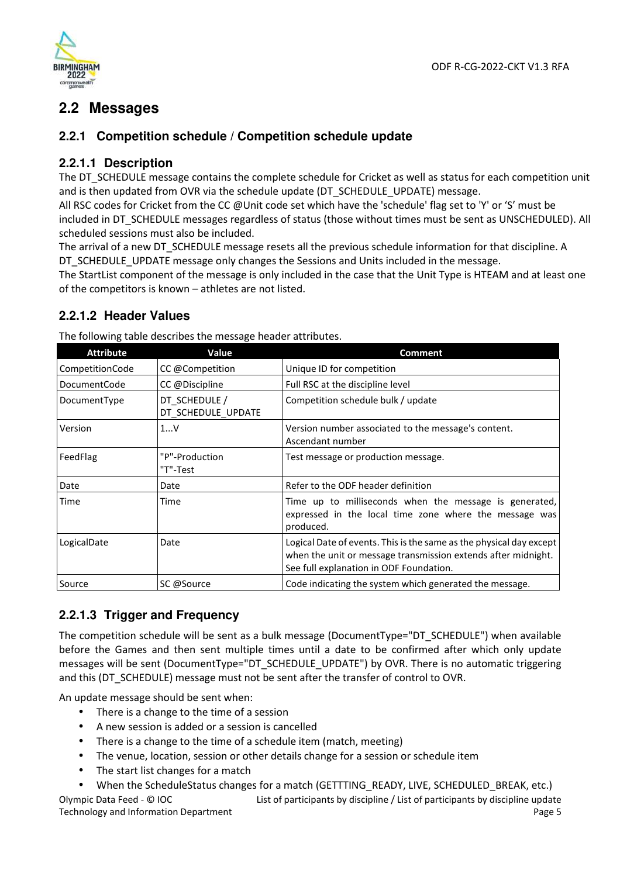

## **2.2 Messages**

#### **2.2.1 Competition schedule / Competition schedule update**

#### **2.2.1.1 Description**

The DT\_SCHEDULE message contains the complete schedule for Cricket as well as status for each competition unit and is then updated from OVR via the schedule update (DT\_SCHEDULE\_UPDATE) message.

All RSC codes for Cricket from the CC @Unit code set which have the 'schedule' flag set to 'Y' or 'S' must be included in DT\_SCHEDULE messages regardless of status (those without times must be sent as UNSCHEDULED). All scheduled sessions must also be included.

The arrival of a new DT\_SCHEDULE message resets all the previous schedule information for that discipline. A DT SCHEDULE UPDATE message only changes the Sessions and Units included in the message.

The StartList component of the message is only included in the case that the Unit Type is HTEAM and at least one of the competitors is known – athletes are not listed.

#### **2.2.1.2 Header Values**

| <b>Attribute</b>    | Value                               | <b>Comment</b>                                                                                                                                                                  |
|---------------------|-------------------------------------|---------------------------------------------------------------------------------------------------------------------------------------------------------------------------------|
| CompetitionCode     | CC @Competition                     | Unique ID for competition                                                                                                                                                       |
| <b>DocumentCode</b> | CC @Discipline                      | Full RSC at the discipline level                                                                                                                                                |
| DocumentType        | DT SCHEDULE /<br>DT SCHEDULE UPDATE | Competition schedule bulk / update                                                                                                                                              |
| Version             | 1V                                  | Version number associated to the message's content.<br>Ascendant number                                                                                                         |
| FeedFlag            | "P"-Production<br>"T"-Test          | Test message or production message.                                                                                                                                             |
| Date                | Date                                | Refer to the ODF header definition                                                                                                                                              |
| Time                | Time                                | Time up to milliseconds when the message is generated,<br>expressed in the local time zone where the message was<br>produced.                                                   |
| LogicalDate         | Date                                | Logical Date of events. This is the same as the physical day except<br>when the unit or message transmission extends after midnight.<br>See full explanation in ODF Foundation. |
| Source              | SC @Source                          | Code indicating the system which generated the message.                                                                                                                         |

#### **2.2.1.3 Trigger and Frequency**

The competition schedule will be sent as a bulk message (DocumentType="DT\_SCHEDULE") when available before the Games and then sent multiple times until a date to be confirmed after which only update messages will be sent (DocumentType="DT\_SCHEDULE\_UPDATE") by OVR. There is no automatic triggering and this (DT\_SCHEDULE) message must not be sent after the transfer of control to OVR.

An update message should be sent when:

- There is a change to the time of a session
- A new session is added or a session is cancelled
- There is a change to the time of a schedule item (match, meeting)
- The venue, location, session or other details change for a session or schedule item
- The start list changes for a match

When the ScheduleStatus changes for a match (GETTTING READY, LIVE, SCHEDULED BREAK, etc.)

Olympic Data Feed - © IOC Technology and Information Department List of participants by discipline / List of participants by discipline update Page 5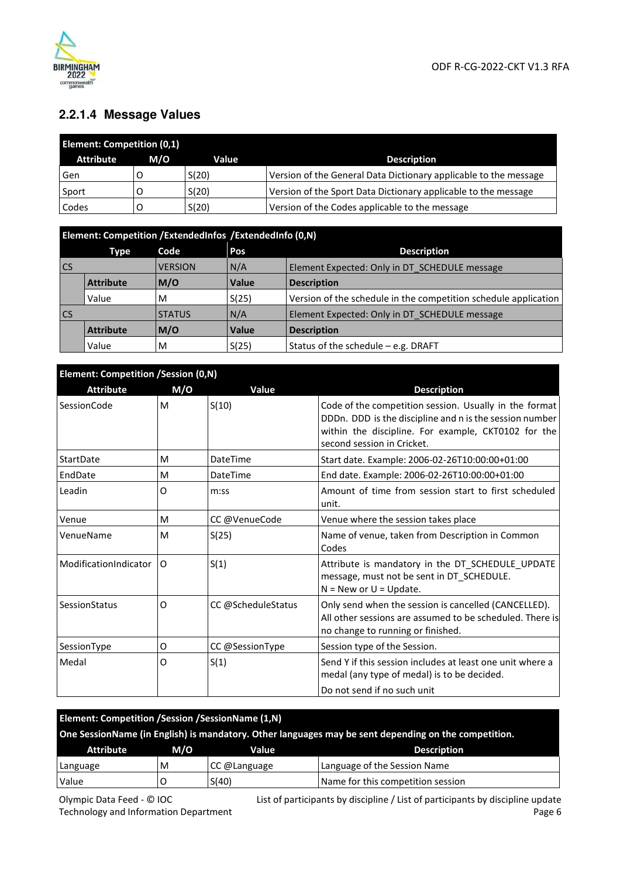

## **2.2.1.4 Message Values**

| <b>Element: Competition (0,1)</b> |     |       |                                                                  |  |
|-----------------------------------|-----|-------|------------------------------------------------------------------|--|
| <b>Attribute</b>                  | M/O | Value | <b>Description</b>                                               |  |
| Gen                               |     | S(20) | Version of the General Data Dictionary applicable to the message |  |
| Sport                             |     | S(20) | Version of the Sport Data Dictionary applicable to the message   |  |
| Codes                             |     | S(20) | Version of the Codes applicable to the message                   |  |

|           | Element: Competition / ExtendedInfos / ExtendedInfo (0,N) |                |              |                                                                 |  |
|-----------|-----------------------------------------------------------|----------------|--------------|-----------------------------------------------------------------|--|
|           | Type                                                      | Code           | Pos          | <b>Description</b>                                              |  |
| <b>CS</b> |                                                           | <b>VERSION</b> | N/A          | Element Expected: Only in DT SCHEDULE message                   |  |
|           | <b>Attribute</b>                                          | M/O            | <b>Value</b> | <b>Description</b>                                              |  |
|           | Value                                                     | M              | S(25)        | Version of the schedule in the competition schedule application |  |
| <b>CS</b> |                                                           | <b>STATUS</b>  | N/A          | Element Expected: Only in DT SCHEDULE message                   |  |
|           | <b>Attribute</b>                                          | M/O            | <b>Value</b> | <b>Description</b>                                              |  |
|           | Value                                                     | M              | S(25)        | Status of the schedule - e.g. DRAFT                             |  |

| <b>Element: Competition /Session (0,N)</b> |     |                    |                                                                                                                                                                                                        |  |
|--------------------------------------------|-----|--------------------|--------------------------------------------------------------------------------------------------------------------------------------------------------------------------------------------------------|--|
| <b>Attribute</b>                           | M/O | Value              | <b>Description</b>                                                                                                                                                                                     |  |
| <b>SessionCode</b>                         | M   | S(10)              | Code of the competition session. Usually in the format<br>DDDn. DDD is the discipline and n is the session number<br>within the discipline. For example, CKT0102 for the<br>second session in Cricket. |  |
| StartDate                                  | м   | DateTime           | Start date. Example: 2006-02-26T10:00:00+01:00                                                                                                                                                         |  |
| EndDate                                    | м   | DateTime           | End date. Example: 2006-02-26T10:00:00+01:00                                                                                                                                                           |  |
| Leadin                                     | O   | m:ss               | Amount of time from session start to first scheduled<br>unit.                                                                                                                                          |  |
| Venue                                      | м   | CC @VenueCode      | Venue where the session takes place                                                                                                                                                                    |  |
| VenueName                                  | M   | S(25)              | Name of venue, taken from Description in Common<br>Codes                                                                                                                                               |  |
| ModificationIndicator                      | 0   | S(1)               | Attribute is mandatory in the DT_SCHEDULE_UPDATE<br>message, must not be sent in DT SCHEDULE.<br>$N = New$ or $U = Update$ .                                                                           |  |
| SessionStatus                              | O   | CC @ScheduleStatus | Only send when the session is cancelled (CANCELLED).<br>All other sessions are assumed to be scheduled. There is<br>no change to running or finished.                                                  |  |
| SessionType                                | 0   | CC @SessionType    | Session type of the Session.                                                                                                                                                                           |  |
| Medal                                      | O   | S(1)               | Send Y if this session includes at least one unit where a<br>medal (any type of medal) is to be decided.                                                                                               |  |
|                                            |     |                    | Do not send if no such unit                                                                                                                                                                            |  |

| Element: Competition / Session / Session Name (1, N)                                                 |                                    |              |                                   |  |  |
|------------------------------------------------------------------------------------------------------|------------------------------------|--------------|-----------------------------------|--|--|
| One SessionName (in English) is mandatory. Other languages may be sent depending on the competition. |                                    |              |                                   |  |  |
| <b>Attribute</b>                                                                                     | M/O<br>Value<br><b>Description</b> |              |                                   |  |  |
| Language                                                                                             | м                                  | CC @Language | Language of the Session Name      |  |  |
| Value                                                                                                |                                    | S(40)        | Name for this competition session |  |  |

Olympic Data Feed - © IOC Technology and Information Department List of participants by discipline / List of participants by discipline update Page 6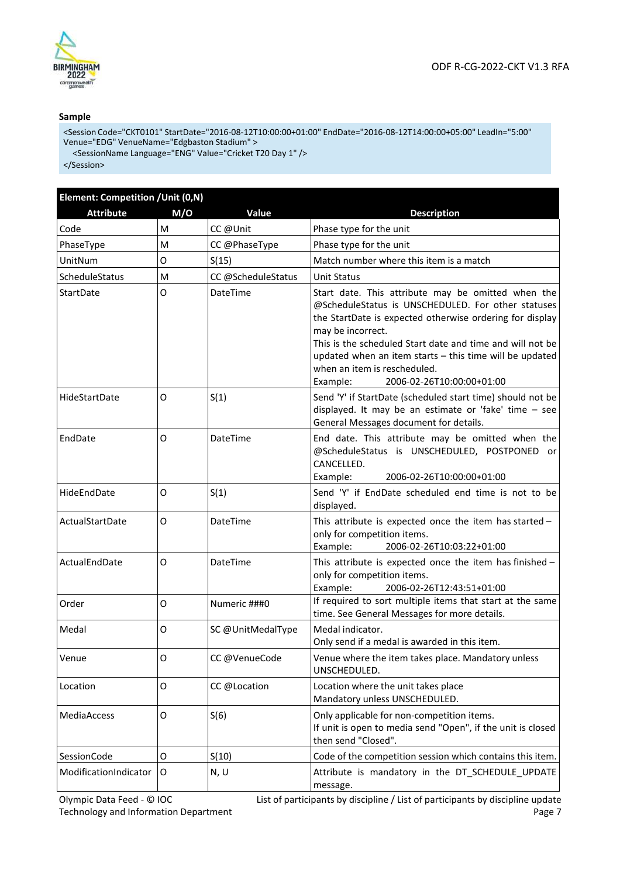



#### **Sample**

<Session Code="CKT0101" StartDate="2016-08-12T10:00:00+01:00" EndDate="2016-08-12T14:00:00+05:00" LeadIn="5:00" Venue="EDG" VenueName="Edgbaston Stadium" >

<SessionName Language="ENG" Value="Cricket T20 Day 1" />

</Session>

| Element: Competition / Unit (0,N) |     |                    |                                                                                                                                                                                                                                                                                                                                                                                            |  |
|-----------------------------------|-----|--------------------|--------------------------------------------------------------------------------------------------------------------------------------------------------------------------------------------------------------------------------------------------------------------------------------------------------------------------------------------------------------------------------------------|--|
| <b>Attribute</b>                  | M/O | Value              | <b>Description</b>                                                                                                                                                                                                                                                                                                                                                                         |  |
| Code                              | м   | CC @Unit           | Phase type for the unit                                                                                                                                                                                                                                                                                                                                                                    |  |
| PhaseType                         | м   | CC @PhaseType      | Phase type for the unit                                                                                                                                                                                                                                                                                                                                                                    |  |
| UnitNum                           | O   | S(15)              | Match number where this item is a match                                                                                                                                                                                                                                                                                                                                                    |  |
| ScheduleStatus                    | M   | CC @ScheduleStatus | <b>Unit Status</b>                                                                                                                                                                                                                                                                                                                                                                         |  |
| StartDate                         | O   | DateTime           | Start date. This attribute may be omitted when the<br>@ScheduleStatus is UNSCHEDULED. For other statuses<br>the StartDate is expected otherwise ordering for display<br>may be incorrect.<br>This is the scheduled Start date and time and will not be<br>updated when an item starts - this time will be updated<br>when an item is rescheduled.<br>Example:<br>2006-02-26T10:00:00+01:00 |  |
| HideStartDate                     | 0   | S(1)               | Send 'Y' if StartDate (scheduled start time) should not be<br>displayed. It may be an estimate or 'fake' time - see<br>General Messages document for details.                                                                                                                                                                                                                              |  |
| EndDate                           | 0   | <b>DateTime</b>    | End date. This attribute may be omitted when the<br>@ScheduleStatus is UNSCHEDULED, POSTPONED or<br>CANCELLED.<br>2006-02-26T10:00:00+01:00<br>Example:                                                                                                                                                                                                                                    |  |
| HideEndDate                       | O   | S(1)               | Send 'Y' if EndDate scheduled end time is not to be<br>displayed.                                                                                                                                                                                                                                                                                                                          |  |
| ActualStartDate                   | O   | DateTime           | This attribute is expected once the item has started -<br>only for competition items.<br>Example:<br>2006-02-26T10:03:22+01:00                                                                                                                                                                                                                                                             |  |
| ActualEndDate                     | 0   | DateTime           | This attribute is expected once the item has finished -<br>only for competition items.<br>Example:<br>2006-02-26T12:43:51+01:00                                                                                                                                                                                                                                                            |  |
| Order                             | O   | Numeric ###0       | If required to sort multiple items that start at the same<br>time. See General Messages for more details.                                                                                                                                                                                                                                                                                  |  |
| Medal                             | O   | SC @UnitMedalType  | Medal indicator.<br>Only send if a medal is awarded in this item.                                                                                                                                                                                                                                                                                                                          |  |
| Venue                             | O   | CC@VenueCode       | Venue where the item takes place. Mandatory unless<br>UNSCHEDULED.                                                                                                                                                                                                                                                                                                                         |  |
| Location                          | O   | CC @Location       | Location where the unit takes place<br>Mandatory unless UNSCHEDULED.                                                                                                                                                                                                                                                                                                                       |  |
| MediaAccess                       | O   | S(6)               | Only applicable for non-competition items.<br>If unit is open to media send "Open", if the unit is closed<br>then send "Closed".                                                                                                                                                                                                                                                           |  |
| SessionCode                       | O   | S(10)              | Code of the competition session which contains this item.                                                                                                                                                                                                                                                                                                                                  |  |
| ModificationIndicator             | O   | N, U               | Attribute is mandatory in the DT_SCHEDULE_UPDATE<br>message.                                                                                                                                                                                                                                                                                                                               |  |

Olympic Data Feed - © IOC Technology and Information Department List of participants by discipline / List of participants by discipline update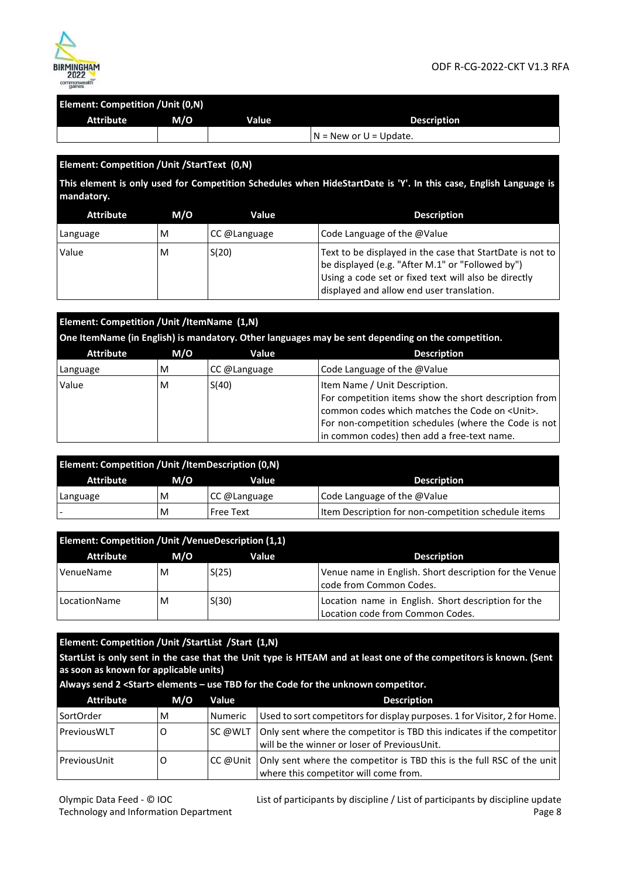

| Element: Competition / Unit (0,N) |     |       |                              |
|-----------------------------------|-----|-------|------------------------------|
| Attribute                         | M/O | Value | <b>Description</b>           |
|                                   |     |       | $IN = New$ or $U = Update$ . |

#### **Element: Competition /Unit /StartText (0,N)**

**This element is only used for Competition Schedules when HideStartDate is 'Y'. In this case, English Language is mandatory.** 

| <b>Attribute</b> | M/O | Value        | <b>Description</b>                                                                                                                                                                                                 |
|------------------|-----|--------------|--------------------------------------------------------------------------------------------------------------------------------------------------------------------------------------------------------------------|
| Language         | M   | CC @Language | Code Language of the @Value                                                                                                                                                                                        |
| Value            | M   | S(20)        | Text to be displayed in the case that StartDate is not to<br>be displayed (e.g. "After M.1" or "Followed by")<br>Using a code set or fixed text will also be directly<br>displayed and allow end user translation. |

| Element: Competition / Unit / ItemName (1,N) |     |              |                                                                                                                |
|----------------------------------------------|-----|--------------|----------------------------------------------------------------------------------------------------------------|
|                                              |     |              | One ItemName (in English) is mandatory. Other languages may be sent depending on the competition.              |
| <b>Attribute</b>                             | M/O | Value        | <b>Description</b>                                                                                             |
| Language                                     | M   | CC @Language | Code Language of the @Value                                                                                    |
| Value                                        | M   | S(40)        | Item Name / Unit Description.                                                                                  |
|                                              |     |              | For competition items show the short description from<br>common codes which matches the Code on <unit>.</unit> |
|                                              |     |              | For non-competition schedules (where the Code is not                                                           |
|                                              |     |              | in common codes) then add a free-text name.                                                                    |

| <b>Element: Competition / Unit / Item Description (0,N)</b> |     |              |                                                     |  |
|-------------------------------------------------------------|-----|--------------|-----------------------------------------------------|--|
| Attribute                                                   | M/O | Value        | <b>Description</b>                                  |  |
| Language                                                    | M   | CC @Language | Code Language of the @Value                         |  |
|                                                             | M   | Free Text    | Item Description for non-competition schedule items |  |

| Element: Competition / Unit / Venue Description (1,1) |     |       |                                                                                         |  |
|-------------------------------------------------------|-----|-------|-----------------------------------------------------------------------------------------|--|
| <b>Attribute</b>                                      | M/O | Value | <b>Description</b>                                                                      |  |
| VenueName                                             | м   | S(25) | Venue name in English. Short description for the Venue<br>code from Common Codes.       |  |
| LocationName                                          | M   | S(30) | Location name in English. Short description for the<br>Location code from Common Codes. |  |

#### **Element: Competition /Unit /StartList /Start (1,N)**

**StartList is only sent in the case that the Unit type is HTEAM and at least one of the competitors is known. (Sent as soon as known for applicable units)** 

| <b>Attribute</b> | M/O | <b>Value</b>   | <b>Description</b>                                                                                                         |
|------------------|-----|----------------|----------------------------------------------------------------------------------------------------------------------------|
| SortOrder        | M   | <b>Numeric</b> | Used to sort competitors for display purposes. 1 for Visitor, 2 for Home.                                                  |
| PreviousWLT      |     | SC @WLT        | Only sent where the competitor is TBD this indicates if the competitor<br>will be the winner or loser of PreviousUnit.     |
| PreviousUnit     |     |                | CC @Unit   Only sent where the competitor is TBD this is the full RSC of the unit<br>where this competitor will come from. |

#### **Always send 2 <Start> elements – use TBD for the Code for the unknown competitor.**

Olympic Data Feed - © IOC Technology and Information Department List of participants by discipline / List of participants by discipline update Page 8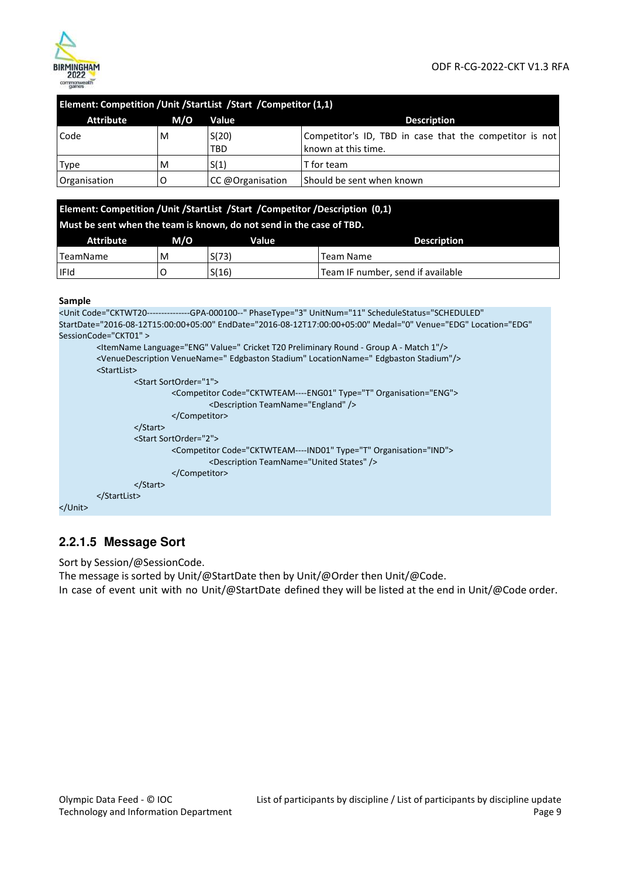

|                  |     | Element: Competition / Unit / Start List / Start / Competitor (1,1) |                                                                                |
|------------------|-----|---------------------------------------------------------------------|--------------------------------------------------------------------------------|
| <b>Attribute</b> | M/O | Value                                                               | <b>Description</b>                                                             |
| Code             | M   | S(20)<br><b>TBD</b>                                                 | Competitor's ID, TBD in case that the competitor is not<br>known at this time. |
| Type             | M   | S(1)                                                                | T for team                                                                     |
| Organisation     | O   | CC @Organisation                                                    | Should be sent when known                                                      |

|                  |                                           | Element: Competition / Unit / StartList / Start / Competitor / Description (0,1) |                                   |  |
|------------------|-------------------------------------------|----------------------------------------------------------------------------------|-----------------------------------|--|
|                  |                                           | Must be sent when the team is known, do not send in the case of TBD.             |                                   |  |
| <b>Attribute</b> | M/O<br><b>Description</b><br><b>Value</b> |                                                                                  |                                   |  |
| TeamName         | M                                         | S(73)                                                                            | Team Name                         |  |
| <b>IFId</b>      |                                           | S(16)                                                                            | Team IF number, send if available |  |

#### **Sample**

```
<Unit Code="CKTWT20---------------GPA-000100--" PhaseType="3" UnitNum="11" ScheduleStatus="SCHEDULED" 
StartDate="2016-08-12T15:00:00+05:00" EndDate="2016-08-12T17:00:00+05:00" Medal="0" Venue="EDG" Location="EDG" 
SessionCode="CKT01" > 
          <ItemName Language="ENG" Value=" Cricket T20 Preliminary Round - Group A - Match 1"/> 
          <VenueDescription VenueName=" Edgbaston Stadium" LocationName=" Edgbaston Stadium"/> 
          <StartList> 
                   <Start SortOrder="1"> 
                             <Competitor Code="CKTWTEAM----ENG01" Type="T" Organisation="ENG"> 
                                      <Description TeamName="England" /> 
                             </Competitor> 
                   </Start> 
                   <Start SortOrder="2"> 
                             <Competitor Code="CKTWTEAM----IND01" Type="T" Organisation="IND"> 
                                      <Description TeamName="United States" /> 
                             </Competitor> 
                   </Start> 
          </StartList> 
</Unit>
```
## **2.2.1.5 Message Sort**

Sort by Session/@SessionCode.

The message is sorted by Unit/@StartDate then by Unit/@Order then Unit/@Code. In case of event unit with no Unit/@StartDate defined they will be listed at the end in Unit/@Code order.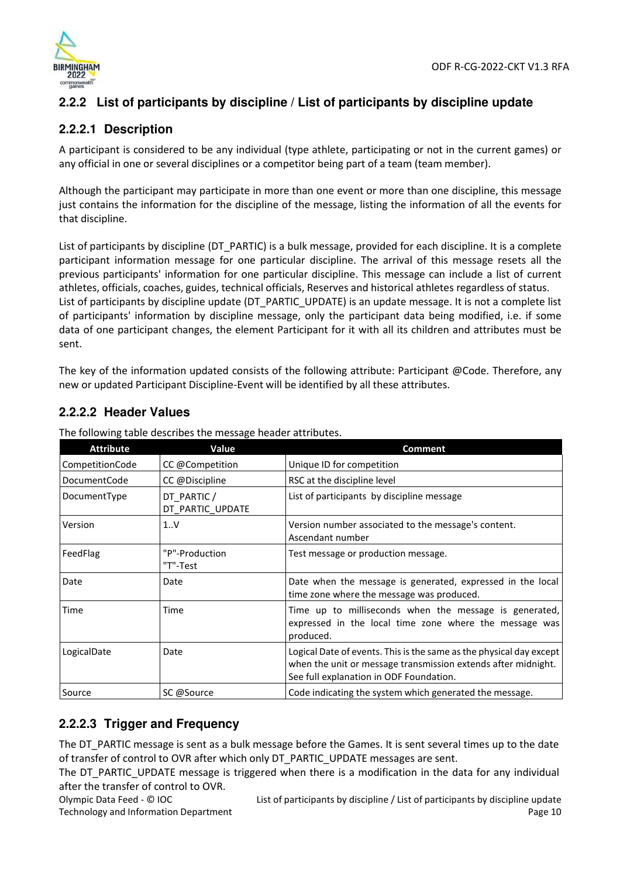

## **2.2.2 List of participants by discipline / List of participants by discipline update**

#### **2.2.2.1 Description**

A participant is considered to be any individual (type athlete, participating or not in the current games) or any official in one or several disciplines or a competitor being part of a team (team member).

Although the participant may participate in more than one event or more than one discipline, this message just contains the information for the discipline of the message, listing the information of all the events for that discipline.

List of participants by discipline (DT\_PARTIC) is a bulk message, provided for each discipline. It is a complete participant information message for one particular discipline. The arrival of this message resets all the previous participants' information for one particular discipline. This message can include a list of current athletes, officials, coaches, guides, technical officials, Reserves and historical athletes regardless of status. List of participants by discipline update (DT\_PARTIC\_UPDATE) is an update message. It is not a complete list of participants' information by discipline message, only the participant data being modified, i.e. if some data of one participant changes, the element Participant for it with all its children and attributes must be sent.

The key of the information updated consists of the following attribute: Participant @Code. Therefore, any new or updated Participant Discipline-Event will be identified by all these attributes.

#### **2.2.2.2 Header Values**

| <b>Attribute</b> | Value                           | <b>Comment</b>                                                                                                                                                                  |
|------------------|---------------------------------|---------------------------------------------------------------------------------------------------------------------------------------------------------------------------------|
| CompetitionCode  | CC @Competition                 | Unique ID for competition                                                                                                                                                       |
| DocumentCode     | CC @Discipline                  | RSC at the discipline level                                                                                                                                                     |
| DocumentType     | DT PARTIC /<br>DT PARTIC UPDATE | List of participants by discipline message                                                                                                                                      |
| Version          | 1.0V                            | Version number associated to the message's content.<br>Ascendant number                                                                                                         |
| FeedFlag         | "P"-Production<br>"T"-Test      | Test message or production message.                                                                                                                                             |
| Date             | Date                            | Date when the message is generated, expressed in the local<br>time zone where the message was produced.                                                                         |
| Time             | Time                            | Time up to milliseconds when the message is generated,<br>expressed in the local time zone where the message was<br>produced.                                                   |
| LogicalDate      | Date                            | Logical Date of events. This is the same as the physical day except<br>when the unit or message transmission extends after midnight.<br>See full explanation in ODF Foundation. |
| Source           | SC @Source                      | Code indicating the system which generated the message.                                                                                                                         |

The following table describes the message header attributes.

#### **2.2.2.3 Trigger and Frequency**

The DT\_PARTIC message is sent as a bulk message before the Games. It is sent several times up to the date of transfer of control to OVR after which only DT\_PARTIC\_UPDATE messages are sent.

The DT\_PARTIC\_UPDATE message is triggered when there is a modification in the data for any individual after the transfer of control to OVR.

Olympic Data Feed - © IOC Technology and Information Department List of participants by discipline / List of participants by discipline update Page 10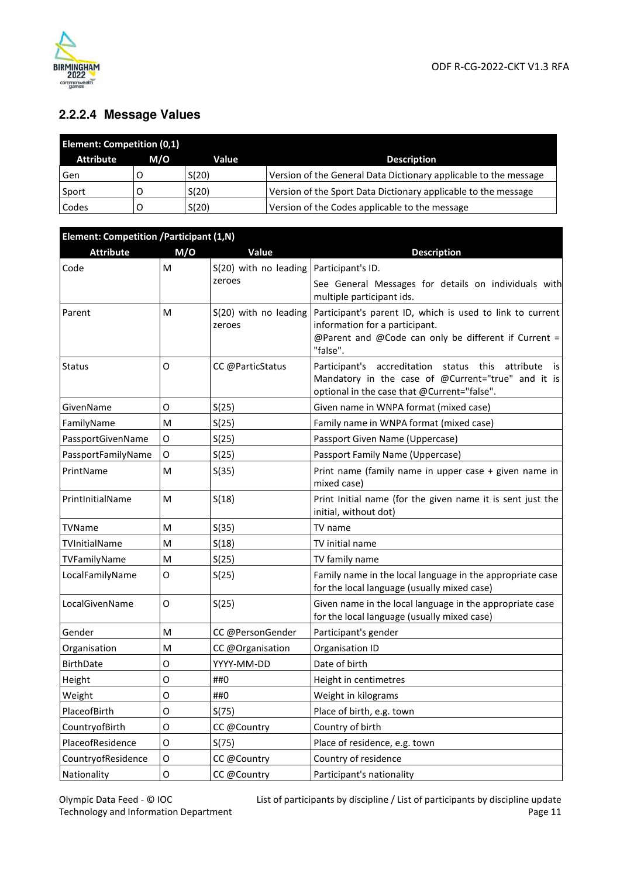

## **2.2.2.4 Message Values**

| <b>Element: Competition (0,1)</b> |     |       |                                                                  |
|-----------------------------------|-----|-------|------------------------------------------------------------------|
| <b>Attribute</b>                  | M/O | Value | <b>Description</b>                                               |
| Gen                               |     | S(20) | Version of the General Data Dictionary applicable to the message |
| Sport                             |     | S(20) | Version of the Sport Data Dictionary applicable to the message   |
| Codes                             |     | S(20) | Version of the Codes applicable to the message                   |

| <b>Element: Competition / Participant (1,N)</b> |             |                                 |                                                                                                                                                                     |
|-------------------------------------------------|-------------|---------------------------------|---------------------------------------------------------------------------------------------------------------------------------------------------------------------|
| <b>Attribute</b>                                | M/O         | Value                           | <b>Description</b>                                                                                                                                                  |
| Code                                            | M           | S(20) with no leading           | Participant's ID.                                                                                                                                                   |
|                                                 |             | zeroes                          | See General Messages for details on individuals with<br>multiple participant ids.                                                                                   |
| Parent                                          | м           | S(20) with no leading<br>zeroes | Participant's parent ID, which is used to link to current<br>information for a participant.<br>@Parent and @Code can only be different if Current =<br>"false".     |
| <b>Status</b>                                   | 0           | CC @ParticStatus                | Participant's accreditation<br>status this<br>attribute<br>is.<br>Mandatory in the case of @Current="true" and it is<br>optional in the case that @Current="false". |
| GivenName                                       | O           | S(25)                           | Given name in WNPA format (mixed case)                                                                                                                              |
| FamilyName                                      | M           | S(25)                           | Family name in WNPA format (mixed case)                                                                                                                             |
| PassportGivenName                               | O           | S(25)                           | Passport Given Name (Uppercase)                                                                                                                                     |
| PassportFamilyName                              | 0           | S(25)                           | Passport Family Name (Uppercase)                                                                                                                                    |
| PrintName                                       | M           | S(35)                           | Print name (family name in upper case + given name in<br>mixed case)                                                                                                |
| PrintlnitialName                                | M           | S(18)                           | Print Initial name (for the given name it is sent just the<br>initial, without dot)                                                                                 |
| TVName                                          | M           | S(35)                           | TV name                                                                                                                                                             |
| TVInitialName                                   | M           | S(18)                           | TV initial name                                                                                                                                                     |
| TVFamilyName                                    | M           | S(25)                           | TV family name                                                                                                                                                      |
| LocalFamilyName                                 | 0           | S(25)                           | Family name in the local language in the appropriate case<br>for the local language (usually mixed case)                                                            |
| LocalGivenName                                  | O           | S(25)                           | Given name in the local language in the appropriate case<br>for the local language (usually mixed case)                                                             |
| Gender                                          | M           | CC @PersonGender                | Participant's gender                                                                                                                                                |
| Organisation                                    | M           | CC @Organisation                | Organisation ID                                                                                                                                                     |
| <b>BirthDate</b>                                | O           | YYYY-MM-DD                      | Date of birth                                                                                                                                                       |
| Height                                          | O           | ##0                             | Height in centimetres                                                                                                                                               |
| Weight                                          | O           | ##0                             | Weight in kilograms                                                                                                                                                 |
| PlaceofBirth                                    | O           | S(75)                           | Place of birth, e.g. town                                                                                                                                           |
| CountryofBirth                                  | O           | CC @Country                     | Country of birth                                                                                                                                                    |
| PlaceofResidence                                | O           | S(75)                           | Place of residence, e.g. town                                                                                                                                       |
| CountryofResidence                              | $\mathsf O$ | CC @Country                     | Country of residence                                                                                                                                                |
| Nationality                                     | $\mathsf O$ | CC @Country                     | Participant's nationality                                                                                                                                           |

List of participants by discipline / List of participants by discipline update Page 11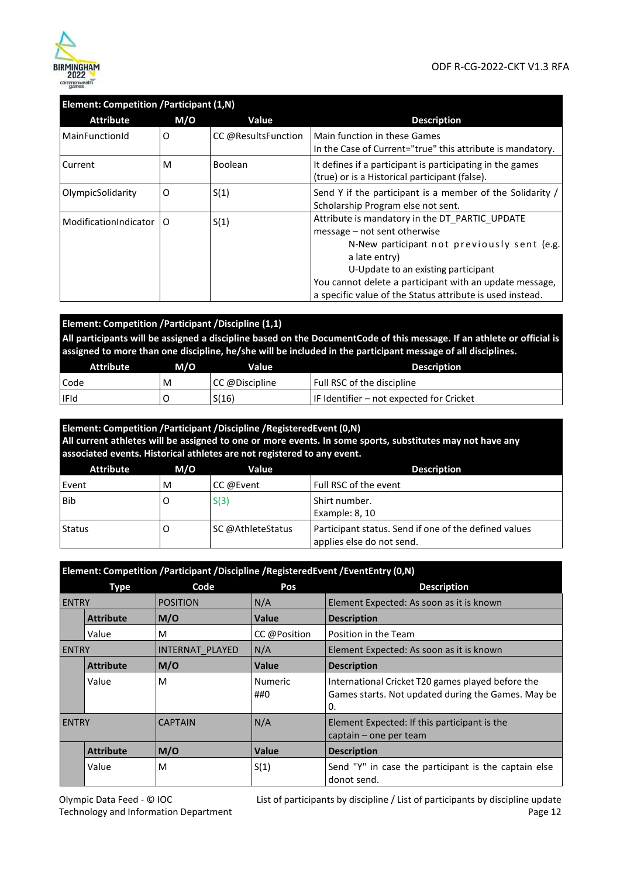

| <b>Element: Competition / Participant (1,N)</b> |     |                     |                                                                                                                                                                                                                                                                                                               |
|-------------------------------------------------|-----|---------------------|---------------------------------------------------------------------------------------------------------------------------------------------------------------------------------------------------------------------------------------------------------------------------------------------------------------|
| <b>Attribute</b>                                | M/O | Value               | <b>Description</b>                                                                                                                                                                                                                                                                                            |
| MainFunctionId                                  | O   | CC @ResultsFunction | Main function in these Games<br>In the Case of Current="true" this attribute is mandatory.                                                                                                                                                                                                                    |
| Current                                         | M   | <b>Boolean</b>      | It defines if a participant is participating in the games<br>(true) or is a Historical participant (false).                                                                                                                                                                                                   |
| OlympicSolidarity                               | 0   | S(1)                | Send Y if the participant is a member of the Solidarity /<br>Scholarship Program else not sent.                                                                                                                                                                                                               |
| ModificationIndicator                           | O   | S(1)                | Attribute is mandatory in the DT_PARTIC UPDATE<br>message – not sent otherwise<br>N-New participant not previously sent (e.g.<br>a late entry)<br>U-Update to an existing participant<br>You cannot delete a participant with an update message,<br>a specific value of the Status attribute is used instead. |

#### **Element: Competition /Participant /Discipline (1,1)**

**All participants will be assigned a discipline based on the DocumentCode of this message. If an athlete or official is assigned to more than one discipline, he/she will be included in the participant message of all disciplines.** 

| <b>Attribute</b> | M/O | Value          | <b>Description</b>                       |
|------------------|-----|----------------|------------------------------------------|
| Code             | M   | CC @Discipline | Full RSC of the discipline               |
| l IFId           |     | S(16)          | IF Identifier – not expected for Cricket |

#### **Element: Competition /Participant /Discipline /RegisteredEvent (0,N) All current athletes will be assigned to one or more events. In some sports, substitutes may not have any associated events. Historical athletes are not registered to any event.**  Attribute M/O Value **Value Description** Event M CC @Event Full RSC of the event Bib O S(3) Shirt number. Example: 8, 10

|        |                   | Example: 8. 10                                                                     |
|--------|-------------------|------------------------------------------------------------------------------------|
| Status | SC @AthleteStatus | Participant status. Send if one of the defined values<br>applies else do not send. |

|              | Element: Competition /Participant /Discipline /RegisteredEvent /EventEntry (0,N) |                 |                       |                                                                                                               |  |  |
|--------------|----------------------------------------------------------------------------------|-----------------|-----------------------|---------------------------------------------------------------------------------------------------------------|--|--|
|              | <b>Type</b>                                                                      | Code            | Pos                   | <b>Description</b>                                                                                            |  |  |
| <b>ENTRY</b> |                                                                                  | <b>POSITION</b> | N/A                   | Element Expected: As soon as it is known                                                                      |  |  |
|              | <b>Attribute</b>                                                                 | M/O             | <b>Value</b>          | <b>Description</b>                                                                                            |  |  |
|              | Value                                                                            | M               | CC @Position          | Position in the Team                                                                                          |  |  |
| <b>ENTRY</b> |                                                                                  | INTERNAT PLAYED | N/A                   | Element Expected: As soon as it is known                                                                      |  |  |
|              | <b>Attribute</b>                                                                 | M/O             | Value                 | <b>Description</b>                                                                                            |  |  |
|              | Value                                                                            | M               | <b>Numeric</b><br>##0 | International Cricket T20 games played before the<br>Games starts. Not updated during the Games. May be<br>0. |  |  |
| <b>ENTRY</b> |                                                                                  | <b>CAPTAIN</b>  | N/A                   | Element Expected: If this participant is the<br>captain – one per team                                        |  |  |
|              | <b>Attribute</b>                                                                 | M/O             | <b>Value</b>          | <b>Description</b>                                                                                            |  |  |
|              | Value                                                                            | M               | S(1)                  | Send "Y" in case the participant is the captain else<br>donot send.                                           |  |  |

List of participants by discipline / List of participants by discipline update Page 12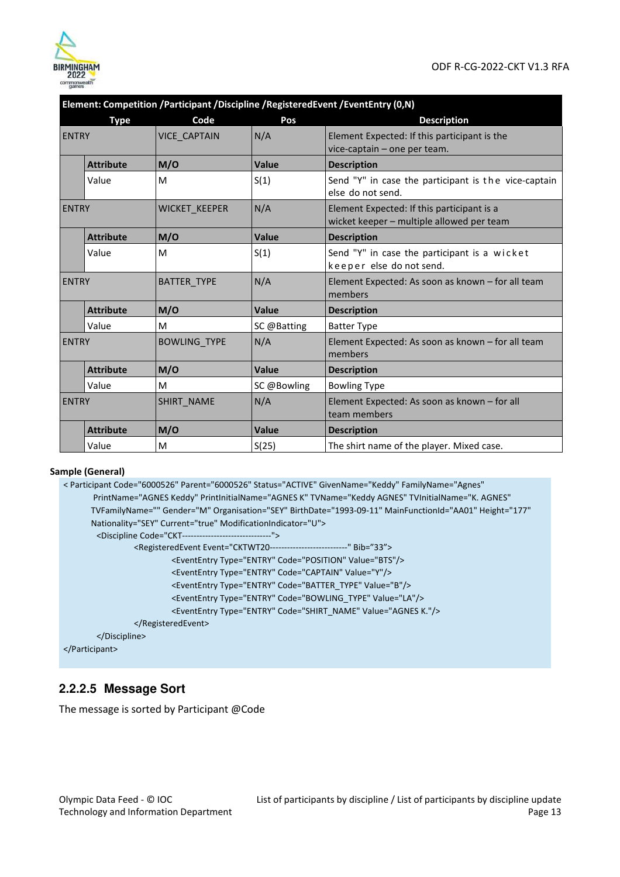

|              |                  | Element: Competition /Participant /Discipline /RegisteredEvent /EventEntry (0,N) |              |                                                                                         |
|--------------|------------------|----------------------------------------------------------------------------------|--------------|-----------------------------------------------------------------------------------------|
|              | <b>Type</b>      | Code                                                                             | Pos          | <b>Description</b>                                                                      |
| <b>ENTRY</b> |                  | <b>VICE CAPTAIN</b>                                                              | N/A          | Element Expected: If this participant is the<br>vice-captain - one per team.            |
|              | <b>Attribute</b> | M/O                                                                              | <b>Value</b> | <b>Description</b>                                                                      |
|              | Value            | M                                                                                | S(1)         | Send "Y" in case the participant is the vice-captain<br>else do not send.               |
| <b>ENTRY</b> |                  | WICKET_KEEPER                                                                    | N/A          | Element Expected: If this participant is a<br>wicket keeper - multiple allowed per team |
|              | <b>Attribute</b> | M/O                                                                              | <b>Value</b> | <b>Description</b>                                                                      |
|              | Value            | M                                                                                | S(1)         | Send "Y" in case the participant is a wicket<br>keeper else do not send.                |
| <b>ENTRY</b> |                  | <b>BATTER TYPE</b>                                                               | N/A          | Element Expected: As soon as known - for all team<br>members                            |
|              | <b>Attribute</b> | M/O                                                                              | Value        | <b>Description</b>                                                                      |
|              | Value            | M                                                                                | SC @Batting  | <b>Batter Type</b>                                                                      |
| <b>ENTRY</b> |                  | <b>BOWLING TYPE</b>                                                              | N/A          | Element Expected: As soon as known – for all team<br>members                            |
|              | <b>Attribute</b> | M/O                                                                              | Value        | <b>Description</b>                                                                      |
|              | Value            | M                                                                                | SC @Bowling  | <b>Bowling Type</b>                                                                     |
| <b>ENTRY</b> |                  | <b>SHIRT NAME</b>                                                                | N/A          | Element Expected: As soon as known - for all<br>team members                            |
|              | <b>Attribute</b> | M/O                                                                              | Value        | <b>Description</b>                                                                      |
|              | Value            | M                                                                                | S(25)        | The shirt name of the player. Mixed case.                                               |

#### **Element: Competition /Participant /Discipline /RegisteredEvent /EventEntry (0,N)**

#### **Sample (General)**

```
< Participant Code="6000526" Parent="6000526" Status="ACTIVE" GivenName="Keddy" FamilyName="Agnes" 
        PrintName="AGNES Keddy" PrintInitialName="AGNES K" TVName="Keddy AGNES" TVInitialName="K. AGNES" 
       TVFamilyName="" Gender="M" Organisation="SEY" BirthDate="1993-09-11" MainFunctionId="AA01" Height="177" 
       Nationality="SEY" Current="true" ModificationIndicator="U"> 
        <Discipline Code="CKT-------------------------------"> 
                 <RegisteredEvent Event="CKTWT20---------------------------" Bib="33"> 
                          <EventEntry Type="ENTRY" Code="POSITION" Value="BTS"/> 
                          <EventEntry Type="ENTRY" Code="CAPTAIN" Value="Y"/>
                          <EventEntry Type="ENTRY" Code="BATTER_TYPE" Value="B"/> 
                          <EventEntry Type="ENTRY" Code="BOWLING_TYPE" Value="LA"/> 
                          <EventEntry Type="ENTRY" Code="SHIRT_NAME" Value="AGNES K."/> 
                 </RegisteredEvent> 
        </Discipline>
```
</Participant>

#### **2.2.2.5 Message Sort**

The message is sorted by Participant @Code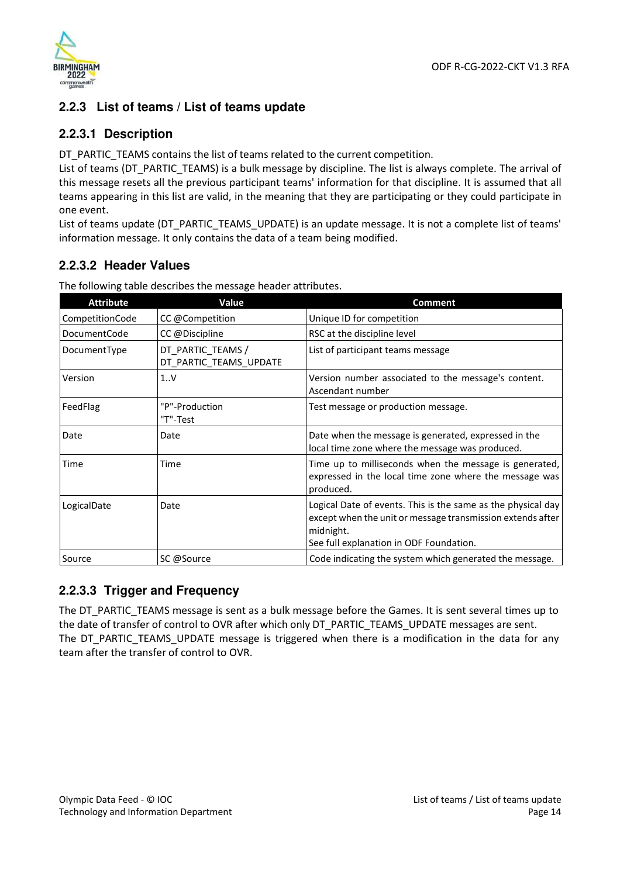

#### **2.2.3 List of teams / List of teams update**

#### **2.2.3.1 Description**

DT\_PARTIC\_TEAMS contains the list of teams related to the current competition.

List of teams (DT\_PARTIC\_TEAMS) is a bulk message by discipline. The list is always complete. The arrival of this message resets all the previous participant teams' information for that discipline. It is assumed that all teams appearing in this list are valid, in the meaning that they are participating or they could participate in one event.

List of teams update (DT\_PARTIC\_TEAMS\_UPDATE) is an update message. It is not a complete list of teams' information message. It only contains the data of a team being modified.

## **2.2.3.2 Header Values**

| <b>Attribute</b> | Value                                       | <b>Comment</b>                                                                                                                          |
|------------------|---------------------------------------------|-----------------------------------------------------------------------------------------------------------------------------------------|
| CompetitionCode  | CC @Competition                             | Unique ID for competition                                                                                                               |
| DocumentCode     | CC @Discipline                              | RSC at the discipline level                                                                                                             |
| DocumentType     | DT_PARTIC_TEAMS /<br>DT PARTIC TEAMS UPDATE | List of participant teams message                                                                                                       |
| Version          | 1V                                          | Version number associated to the message's content.<br>Ascendant number                                                                 |
| FeedFlag         | "P"-Production<br>"T"-Test                  | Test message or production message.                                                                                                     |
| Date             | Date                                        | Date when the message is generated, expressed in the<br>local time zone where the message was produced.                                 |
| Time             | Time                                        | Time up to milliseconds when the message is generated,<br>expressed in the local time zone where the message was<br>produced.           |
| LogicalDate      | Date                                        | Logical Date of events. This is the same as the physical day<br>except when the unit or message transmission extends after<br>midnight. |
| Source           | SC @Source                                  | See full explanation in ODF Foundation.<br>Code indicating the system which generated the message.                                      |

The following table describes the message header attributes.

#### **2.2.3.3 Trigger and Frequency**

The DT\_PARTIC\_TEAMS message is sent as a bulk message before the Games. It is sent several times up to the date of transfer of control to OVR after which only DT\_PARTIC\_TEAMS\_UPDATE messages are sent. The DT\_PARTIC\_TEAMS\_UPDATE message is triggered when there is a modification in the data for any team after the transfer of control to OVR.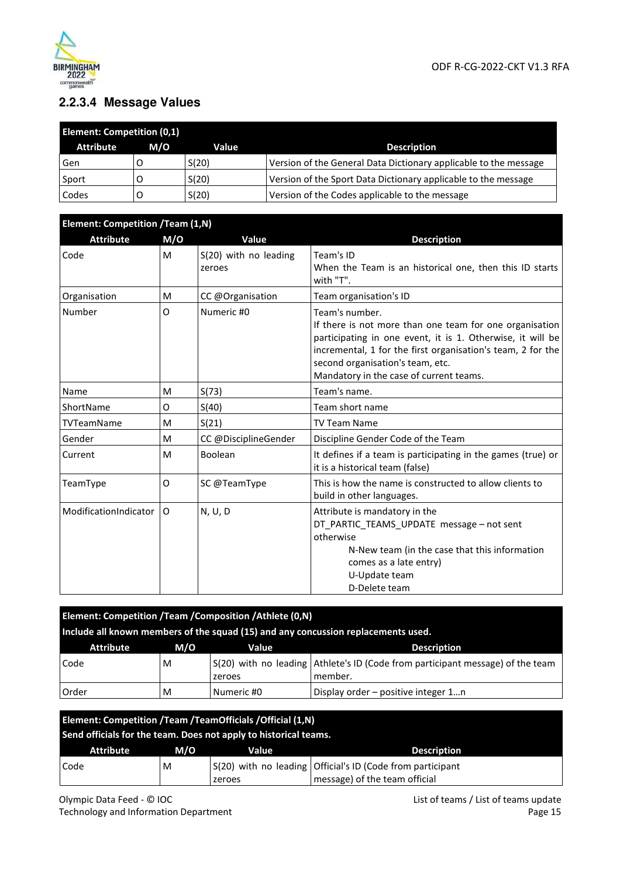

## **2.2.3.4 Message Values**

| <b>Element: Competition (0,1)</b> |     |       |                                                                  |  |
|-----------------------------------|-----|-------|------------------------------------------------------------------|--|
| <b>Attribute</b>                  | M/O | Value | <b>Description</b>                                               |  |
| Gen                               |     | S(20) | Version of the General Data Dictionary applicable to the message |  |
| Sport                             |     | S(20) | Version of the Sport Data Dictionary applicable to the message   |  |
| Codes                             |     | S(20) | Version of the Codes applicable to the message                   |  |

| <b>Element: Competition /Team (1,N)</b> |     |                                 |                                                                                                                                                                                                                                                                                       |  |  |
|-----------------------------------------|-----|---------------------------------|---------------------------------------------------------------------------------------------------------------------------------------------------------------------------------------------------------------------------------------------------------------------------------------|--|--|
| <b>Attribute</b>                        | M/O | Value                           | <b>Description</b>                                                                                                                                                                                                                                                                    |  |  |
| Code                                    | M   | S(20) with no leading<br>zeroes | Team's ID<br>When the Team is an historical one, then this ID starts<br>with "T".                                                                                                                                                                                                     |  |  |
| Organisation                            | M   | CC @Organisation                | Team organisation's ID                                                                                                                                                                                                                                                                |  |  |
| Number                                  | O   | Numeric #0                      | Team's number.<br>If there is not more than one team for one organisation<br>participating in one event, it is 1. Otherwise, it will be<br>incremental, 1 for the first organisation's team, 2 for the<br>second organisation's team, etc.<br>Mandatory in the case of current teams. |  |  |
| Name                                    | M   | S(73)                           | Team's name.                                                                                                                                                                                                                                                                          |  |  |
| ShortName                               | O   | S(40)                           | Team short name                                                                                                                                                                                                                                                                       |  |  |
| TVTeamName                              | M   | S(21)                           | <b>TV Team Name</b>                                                                                                                                                                                                                                                                   |  |  |
| Gender                                  | M   | CC @DisciplineGender            | Discipline Gender Code of the Team                                                                                                                                                                                                                                                    |  |  |
| Current                                 | M   | Boolean                         | It defines if a team is participating in the games (true) or<br>it is a historical team (false)                                                                                                                                                                                       |  |  |
| TeamType                                | 0   | SC @TeamType                    | This is how the name is constructed to allow clients to<br>build in other languages.                                                                                                                                                                                                  |  |  |
| ModificationIndicator                   | 0   | N, U, D                         | Attribute is mandatory in the<br>DT PARTIC TEAMS UPDATE message - not sent<br>otherwise<br>N-New team (in the case that this information<br>comes as a late entry)<br>U-Update team<br>D-Delete team                                                                                  |  |  |

| Element: Competition / Team / Composition / Athlete (0,N)                         |     |            |                                                                                |  |  |
|-----------------------------------------------------------------------------------|-----|------------|--------------------------------------------------------------------------------|--|--|
| Include all known members of the squad (15) and any concussion replacements used. |     |            |                                                                                |  |  |
| <b>Attribute</b>                                                                  | M/O | Value      | <b>Description</b>                                                             |  |  |
| Code                                                                              | M   |            | S(20) with no leading Athlete's ID (Code from participant message) of the team |  |  |
|                                                                                   |     | zeroes     | member.                                                                        |  |  |
| Order                                                                             | M   | Numeric #0 | Display order – positive integer 1n                                            |  |  |

| Element: Competition / Team / Team Officials / Official (1,N)<br>Send officials for the team. Does not apply to historical teams. |     |              |                                                                                             |  |
|-----------------------------------------------------------------------------------------------------------------------------------|-----|--------------|---------------------------------------------------------------------------------------------|--|
| <b>Attribute</b>                                                                                                                  | M/O | <b>Value</b> | <b>Description</b>                                                                          |  |
| Code                                                                                                                              | M   | zeroes       | S(20) with no leading Official's ID (Code from participant<br>message) of the team official |  |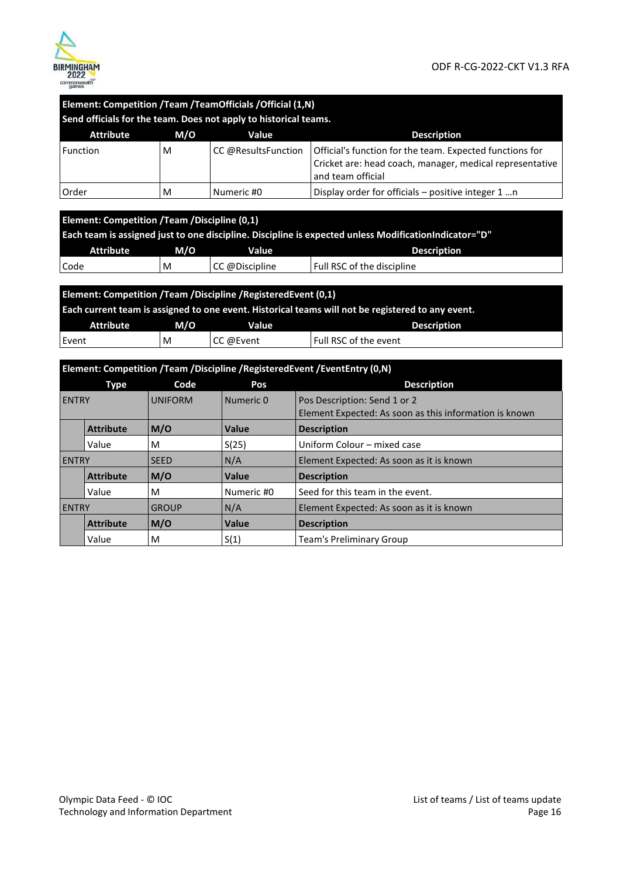

| Element: Competition /Team /TeamOfficials /Official (1,N)<br>Send officials for the team. Does not apply to historical teams.                                                                                     |     |                     |                                                                                                                                           |  |  |
|-------------------------------------------------------------------------------------------------------------------------------------------------------------------------------------------------------------------|-----|---------------------|-------------------------------------------------------------------------------------------------------------------------------------------|--|--|
| <b>Attribute</b>                                                                                                                                                                                                  | M/O | Value               | <b>Description</b>                                                                                                                        |  |  |
| Function                                                                                                                                                                                                          | M   | CC @ResultsFunction | Official's function for the team. Expected functions for<br>Cricket are: head coach, manager, medical representative<br>and team official |  |  |
| Order                                                                                                                                                                                                             | M   | Numeric #0          | Display order for officials – positive integer 1 n                                                                                        |  |  |
| Element: Competition / Team / Discipline (0,1)<br>Each team is assigned just to one discipline. Discipline is expected unless ModificationIndicator="D"<br><b>Attribute</b><br>M/O<br>Value<br><b>Description</b> |     |                     |                                                                                                                                           |  |  |
| Code                                                                                                                                                                                                              | M   | CC @Discipline      | Full RSC of the discipline                                                                                                                |  |  |
| Element: Competition /Team /Discipline /RegisteredEvent (0,1)<br>Each current team is assigned to one event. Historical teams will not be registered to any event.                                                |     |                     |                                                                                                                                           |  |  |
| <b>Attribute</b>                                                                                                                                                                                                  | M/O | Value               | <b>Description</b>                                                                                                                        |  |  |
| Event                                                                                                                                                                                                             | м   | CC @Event           | Full RSC of the event                                                                                                                     |  |  |
|                                                                                                                                                                                                                   |     |                     |                                                                                                                                           |  |  |

| Element: Competition /Team /Discipline /RegisteredEvent /EventEntry (0,N) |                  |                |            |                                                                                        |  |
|---------------------------------------------------------------------------|------------------|----------------|------------|----------------------------------------------------------------------------------------|--|
|                                                                           | Type             | Code           | Pos        | <b>Description</b>                                                                     |  |
| <b>ENTRY</b>                                                              |                  | <b>UNIFORM</b> | Numeric 0  | Pos Description: Send 1 or 2<br>Element Expected: As soon as this information is known |  |
|                                                                           | <b>Attribute</b> | M/O            | Value      | <b>Description</b>                                                                     |  |
|                                                                           | Value            | M              | S(25)      | Uniform Colour - mixed case                                                            |  |
| <b>ENTRY</b>                                                              |                  | <b>SEED</b>    | N/A        | Element Expected: As soon as it is known                                               |  |
|                                                                           | <b>Attribute</b> | M/O            | Value      | <b>Description</b>                                                                     |  |
|                                                                           | Value            | M              | Numeric #0 | Seed for this team in the event.                                                       |  |
| <b>ENTRY</b>                                                              |                  | <b>GROUP</b>   | N/A        | Element Expected: As soon as it is known                                               |  |
|                                                                           | <b>Attribute</b> | M/O            | Value      | <b>Description</b>                                                                     |  |
|                                                                           | Value            | M              | S(1)       | <b>Team's Preliminary Group</b>                                                        |  |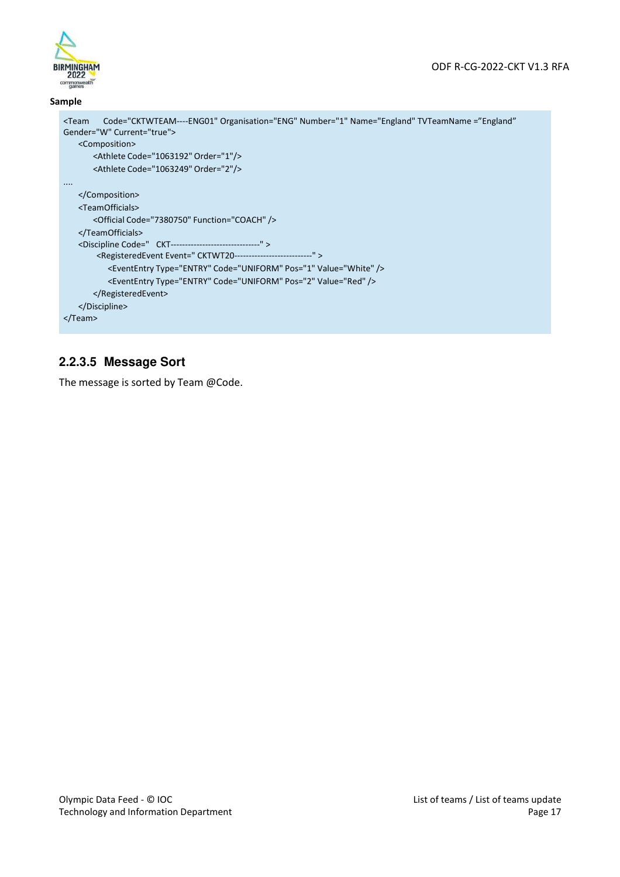

#### **Sample**

```
<Team Code="CKTWTEAM----ENG01" Organisation="ENG" Number="1" Name="England" TVTeamName ="England" 
Gender="W" Current="true"> 
   <Composition> 
       <Athlete Code="1063192" Order="1"/> 
       <Athlete Code="1063249" Order="2"/> 
.... 
   </Composition> 
   <TeamOfficials> 
       <Official Code="7380750" Function="COACH" /> 
   </TeamOfficials> 
   <Discipline Code=" CKT-------------------------------" > 
        <RegisteredEvent Event=" CKTWT20---------------------------" > 
           <EventEntry Type="ENTRY" Code="UNIFORM" Pos="1" Value="White" /> 
           <EventEntry Type="ENTRY" Code="UNIFORM" Pos="2" Value="Red" /> 
       </RegisteredEvent> 
   </Discipline> 
</Team>
```
#### **2.2.3.5 Message Sort**

The message is sorted by Team @Code.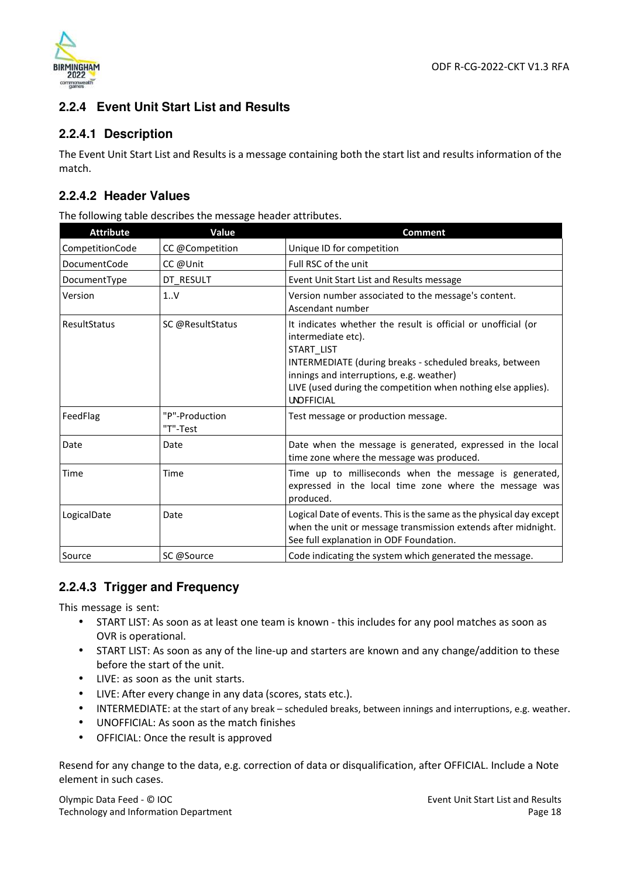



#### **2.2.4 Event Unit Start List and Results**

#### **2.2.4.1 Description**

The Event Unit Start List and Results is a message containing both the start list and results information of the match.

#### **2.2.4.2 Header Values**

The following table describes the message header attributes.

| <b>Attribute</b>    | Value                      | <b>Comment</b>                                                                                                                                                                                                                                                                                 |
|---------------------|----------------------------|------------------------------------------------------------------------------------------------------------------------------------------------------------------------------------------------------------------------------------------------------------------------------------------------|
| CompetitionCode     | CC @Competition            | Unique ID for competition                                                                                                                                                                                                                                                                      |
| <b>DocumentCode</b> | CC @Unit                   | Full RSC of the unit                                                                                                                                                                                                                                                                           |
| DocumentType        | DT RESULT                  | Event Unit Start List and Results message                                                                                                                                                                                                                                                      |
| Version             | 1V                         | Version number associated to the message's content.<br>Ascendant number                                                                                                                                                                                                                        |
| <b>ResultStatus</b> | SC @ResultStatus           | It indicates whether the result is official or unofficial (or<br>intermediate etc).<br>START LIST<br>INTERMEDIATE (during breaks - scheduled breaks, between<br>innings and interruptions, e.g. weather)<br>LIVE (used during the competition when nothing else applies).<br><b>UNDFFICIAL</b> |
| FeedFlag            | "P"-Production<br>"T"-Test | Test message or production message.                                                                                                                                                                                                                                                            |
| Date                | Date                       | Date when the message is generated, expressed in the local<br>time zone where the message was produced.                                                                                                                                                                                        |
| Time                | Time                       | Time up to milliseconds when the message is generated,<br>expressed in the local time zone where the message was<br>produced.                                                                                                                                                                  |
| LogicalDate         | Date                       | Logical Date of events. This is the same as the physical day except<br>when the unit or message transmission extends after midnight.<br>See full explanation in ODF Foundation.                                                                                                                |
| Source              | SC @Source                 | Code indicating the system which generated the message.                                                                                                                                                                                                                                        |

#### **2.2.4.3 Trigger and Frequency**

This message is sent:

- START LIST: As soon as at least one team is known this includes for any pool matches as soon as OVR is operational.
- START LIST: As soon as any of the line-up and starters are known and any change/addition to these before the start of the unit.
- LIVE: as soon as the unit starts.
- LIVE: After every change in any data (scores, stats etc.).
- INTERMEDIATE: at the start of any break scheduled breaks, between innings and interruptions, e.g. weather.
- UNOFFICIAL: As soon as the match finishes
- OFFICIAL: Once the result is approved

Resend for any change to the data, e.g. correction of data or disqualification, after OFFICIAL. Include a Note element in such cases.

Olympic Data Feed - © IOC Technology and Information Department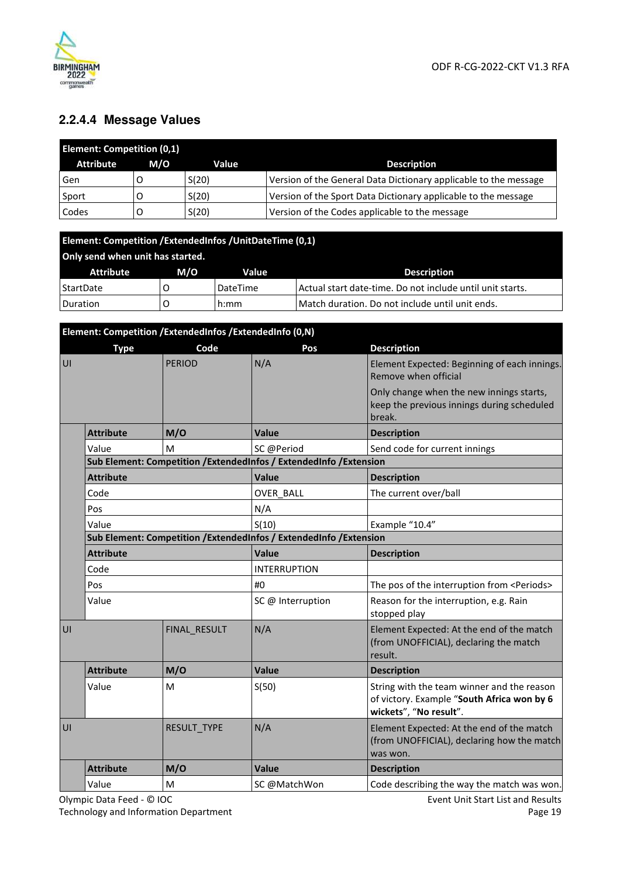

## **2.2.4.4 Message Values**

| <b>Element: Competition (0,1)</b> |     |       |                                                                  |  |
|-----------------------------------|-----|-------|------------------------------------------------------------------|--|
| <b>Attribute</b>                  | M/O | Value | <b>Description</b>                                               |  |
| Gen                               |     | S(20) | Version of the General Data Dictionary applicable to the message |  |
| Sport                             |     | S(20) | Version of the Sport Data Dictionary applicable to the message   |  |
| Codes                             |     | S(20) | Version of the Codes applicable to the message                   |  |

| Element: Competition / ExtendedInfos / UnitDateTime (0,1) |     |          |                                                           |  |
|-----------------------------------------------------------|-----|----------|-----------------------------------------------------------|--|
| Only send when unit has started.                          |     |          |                                                           |  |
| Attribute                                                 | M/O | Value    | <b>Description</b>                                        |  |
| StartDate                                                 |     | DateTime | Actual start date-time. Do not include until unit starts. |  |
| Duration                                                  |     | h:mm     | Match duration. Do not include until unit ends.           |  |

|    | Element: Competition /ExtendedInfos /ExtendedInfo (0,N) |               |                                                                     |                                                                                                                    |  |  |
|----|---------------------------------------------------------|---------------|---------------------------------------------------------------------|--------------------------------------------------------------------------------------------------------------------|--|--|
|    | <b>Type</b>                                             | Code          | Pos                                                                 | <b>Description</b>                                                                                                 |  |  |
| UI |                                                         | <b>PERIOD</b> | N/A                                                                 | Element Expected: Beginning of each innings.<br>Remove when official                                               |  |  |
|    |                                                         |               |                                                                     | Only change when the new innings starts,<br>keep the previous innings during scheduled<br>break.                   |  |  |
|    | <b>Attribute</b>                                        | M/O           | Value                                                               | <b>Description</b>                                                                                                 |  |  |
|    | Value                                                   | M             | SC @Period                                                          | Send code for current innings                                                                                      |  |  |
|    |                                                         |               | Sub Element: Competition / ExtendedInfos / ExtendedInfo / Extension |                                                                                                                    |  |  |
|    | <b>Attribute</b>                                        |               | Value                                                               | <b>Description</b>                                                                                                 |  |  |
|    | Code                                                    |               | OVER BALL                                                           | The current over/ball                                                                                              |  |  |
|    | Pos                                                     |               | N/A                                                                 |                                                                                                                    |  |  |
|    | Value                                                   |               | S(10)                                                               | Example "10.4"                                                                                                     |  |  |
|    |                                                         |               | Sub Element: Competition / ExtendedInfos / ExtendedInfo / Extension |                                                                                                                    |  |  |
|    | <b>Attribute</b>                                        |               | Value                                                               | <b>Description</b>                                                                                                 |  |  |
|    | Code                                                    |               | <b>INTERRUPTION</b>                                                 |                                                                                                                    |  |  |
|    | Pos                                                     |               | #0                                                                  | The pos of the interruption from <periods></periods>                                                               |  |  |
|    | Value                                                   |               | SC @ Interruption                                                   | Reason for the interruption, e.g. Rain<br>stopped play                                                             |  |  |
| UI |                                                         | FINAL RESULT  | N/A                                                                 | Element Expected: At the end of the match<br>(from UNOFFICIAL), declaring the match<br>result.                     |  |  |
|    | <b>Attribute</b>                                        | M/O           | <b>Value</b>                                                        | <b>Description</b>                                                                                                 |  |  |
|    | Value                                                   | M             | S(50)                                                               | String with the team winner and the reason<br>of victory. Example "South Africa won by 6<br>wickets", "No result". |  |  |
| UI |                                                         | RESULT TYPE   | N/A                                                                 | Element Expected: At the end of the match<br>(from UNOFFICIAL), declaring how the match<br>was won.                |  |  |
|    | <b>Attribute</b>                                        | M/O           | Value                                                               | <b>Description</b>                                                                                                 |  |  |
|    | Value                                                   | M             | SC @MatchWon                                                        | Code describing the way the match was won.                                                                         |  |  |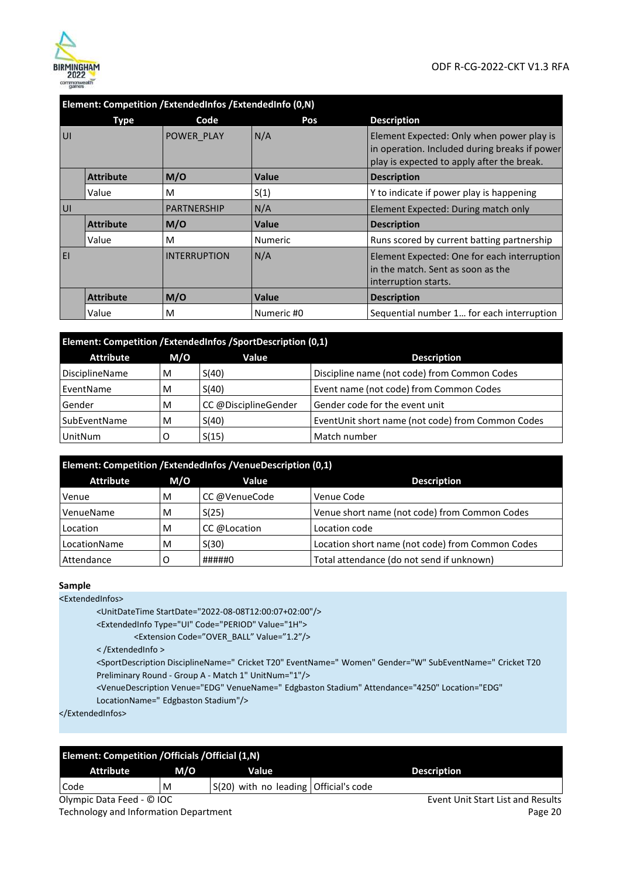

|    | Element: Competition /ExtendedInfos /ExtendedInfo (0,N) |                     |                |                                                                                                                                          |  |
|----|---------------------------------------------------------|---------------------|----------------|------------------------------------------------------------------------------------------------------------------------------------------|--|
|    | Type                                                    | Code                | Pos            | <b>Description</b>                                                                                                                       |  |
| UI |                                                         | POWER PLAY          | N/A            | Element Expected: Only when power play is<br>in operation. Included during breaks if power<br>play is expected to apply after the break. |  |
|    | <b>Attribute</b>                                        | M/O                 | Value          | <b>Description</b>                                                                                                                       |  |
|    | Value                                                   | M                   | S(1)           | Y to indicate if power play is happening                                                                                                 |  |
| UI |                                                         | <b>PARTNERSHIP</b>  | N/A            | Element Expected: During match only                                                                                                      |  |
|    | <b>Attribute</b>                                        | M/O                 | Value          | <b>Description</b>                                                                                                                       |  |
|    | Value                                                   | M                   | <b>Numeric</b> | Runs scored by current batting partnership                                                                                               |  |
| EI |                                                         | <b>INTERRUPTION</b> | N/A            | Element Expected: One for each interruption<br>in the match. Sent as soon as the<br>interruption starts.                                 |  |
|    | <b>Attribute</b>                                        | M/O                 | Value          | <b>Description</b>                                                                                                                       |  |
|    | Value                                                   | M                   | Numeric #0     | Sequential number 1 for each interruption                                                                                                |  |

| Element: Competition /ExtendedInfos /SportDescription (0,1) |     |                      |                                                   |  |  |
|-------------------------------------------------------------|-----|----------------------|---------------------------------------------------|--|--|
| <b>Attribute</b>                                            | M/O | Value                | <b>Description</b>                                |  |  |
| DisciplineName                                              | M   | S(40)                | Discipline name (not code) from Common Codes      |  |  |
| EventName                                                   | M   | S(40)                | Event name (not code) from Common Codes           |  |  |
| Gender                                                      | M   | CC @DisciplineGender | Gender code for the event unit                    |  |  |
| SubEventName<br>S(40)<br>M                                  |     |                      | EventUnit short name (not code) from Common Codes |  |  |
| UnitNum                                                     |     | S(15)                | Match number                                      |  |  |

| Element: Competition / ExtendedInfos / Venue Description (0,1) |     |               |                                                  |  |  |
|----------------------------------------------------------------|-----|---------------|--------------------------------------------------|--|--|
| <b>Attribute</b>                                               | M/O | Value         | <b>Description</b>                               |  |  |
| Venue                                                          | M   | CC @VenueCode | Venue Code                                       |  |  |
| VenueName                                                      | M   | S(25)         | Venue short name (not code) from Common Codes    |  |  |
| Location                                                       | M   | CC @Location  | Location code                                    |  |  |
| S(30)<br>LocationName<br>M                                     |     |               | Location short name (not code) from Common Codes |  |  |
| Attendance                                                     |     | #####0        | Total attendance (do not send if unknown)        |  |  |

#### **Sample**

<ExtendedInfos>

<UnitDateTime StartDate="2022-08-08T12:00:07+02:00"/>

<ExtendedInfo Type="UI" Code="PERIOD" Value="1H">

<Extension Code="OVER\_BALL" Value="1.2"/>

< /ExtendedInfo >

<SportDescription DisciplineName=" Cricket T20" EventName=" Women" Gender="W" SubEventName=" Cricket T20 Preliminary Round - Group A - Match 1" UnitNum="1"/>

<VenueDescription Venue="EDG" VenueName=" Edgbaston Stadium" Attendance="4250" Location="EDG"

LocationName=" Edgbaston Stadium"/>

</ExtendedInfos>

| <b>Element: Competition / Officials / Official (1,N)</b> |     |                                         |                                   |  |  |  |
|----------------------------------------------------------|-----|-----------------------------------------|-----------------------------------|--|--|--|
| <b>Attribute</b>                                         | M/O | Value                                   | <b>Description</b>                |  |  |  |
| Code                                                     | M   | $S(20)$ with no leading Official's code |                                   |  |  |  |
| Olympic Data Feed - © IOC                                |     |                                         | Event Unit Start List and Results |  |  |  |
| _ _ _ _ _ _ _ _ _ _ _ _ _ _ _ _ _                        |     |                                         | $\sim$ $\sim$                     |  |  |  |

Technology and Information Department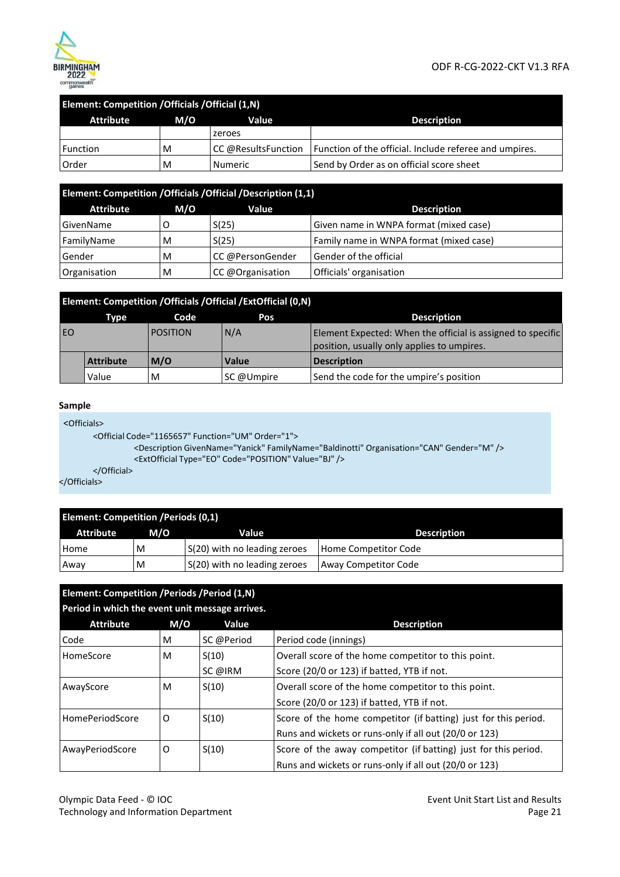

#### ODF R-CG-2022-CKT V1.3 RFA

| <b>Element: Competition / Officials / Official (1,N)</b> |   |                     |                                                        |  |  |
|----------------------------------------------------------|---|---------------------|--------------------------------------------------------|--|--|
| Attribute<br>M/O<br><b>Description</b><br><b>Value</b>   |   |                     |                                                        |  |  |
|                                                          |   | zeroes              |                                                        |  |  |
| Function                                                 | M | CC @ResultsFunction | Function of the official. Include referee and umpires. |  |  |
| Order                                                    | M | Numeric             | Send by Order as on official score sheet               |  |  |

| Element: Competition / Officials / Official / Description (1,1) |     |                  |                                         |  |  |
|-----------------------------------------------------------------|-----|------------------|-----------------------------------------|--|--|
| <b>Attribute</b>                                                | M/O | Value            | <b>Description</b>                      |  |  |
| GivenName                                                       |     | S(25)            | Given name in WNPA format (mixed case)  |  |  |
| FamilyName                                                      | M   | S(25)            | Family name in WNPA format (mixed case) |  |  |
| Gender                                                          | M   | CC @PersonGender | Gender of the official                  |  |  |
| Organisation                                                    | M   | CC @Organisation | Officials' organisation                 |  |  |

|    | Element: Competition / Officials / Official / Ext Official (0,N) |                 |              |                                                                                                           |  |  |
|----|------------------------------------------------------------------|-----------------|--------------|-----------------------------------------------------------------------------------------------------------|--|--|
|    | Type                                                             | Code            | Pos          | <b>Description</b>                                                                                        |  |  |
| EO |                                                                  | <b>POSITION</b> | N/A          | Element Expected: When the official is assigned to specific<br>position, usually only applies to umpires. |  |  |
|    | <b>Attribute</b>                                                 | M/O             | <b>Value</b> | <b>Description</b>                                                                                        |  |  |
|    | Value                                                            | M               | SC @Umpire   | Send the code for the umpire's position                                                                   |  |  |

#### **Sample**

<Officials>

```
<Official Code="1165657" Function="UM" Order="1">
```
<Description GivenName="Yanick" FamilyName="Baldinotti" Organisation="CAN" Gender="M" /> <ExtOfficial Type="EO" Code="POSITION" Value="BJ" />

</Official>

</Officials>

| <b>Element: Competition / Periods (0,1)</b> |     |                              |                      |  |  |
|---------------------------------------------|-----|------------------------------|----------------------|--|--|
| <b>Attribute</b>                            | M/O | Value                        | <b>Description</b>   |  |  |
| Home                                        | M   | S(20) with no leading zeroes | Home Competitor Code |  |  |
| Away                                        | M   | S(20) with no leading zeroes | Away Competitor Code |  |  |

| Element: Competition / Periods / Period (1, N)<br>Period in which the event unit message arrives. |     |            |                                                                 |  |  |
|---------------------------------------------------------------------------------------------------|-----|------------|-----------------------------------------------------------------|--|--|
| <b>Attribute</b>                                                                                  | M/O | Value      | <b>Description</b>                                              |  |  |
| Code                                                                                              | M   | SC @Period | Period code (innings)                                           |  |  |
| HomeScore                                                                                         | M   | S(10)      | Overall score of the home competitor to this point.             |  |  |
|                                                                                                   |     | SC @IRM    | Score (20/0 or 123) if batted, YTB if not.                      |  |  |
| AwayScore                                                                                         | M   | S(10)      | Overall score of the home competitor to this point.             |  |  |
|                                                                                                   |     |            | Score (20/0 or 123) if batted, YTB if not.                      |  |  |
| <b>HomePeriodScore</b>                                                                            | O   | S(10)      | Score of the home competitor (if batting) just for this period. |  |  |
|                                                                                                   |     |            | Runs and wickets or runs-only if all out (20/0 or 123)          |  |  |
| AwayPeriodScore                                                                                   | 0   | S(10)      | Score of the away competitor (if batting) just for this period. |  |  |
|                                                                                                   |     |            | Runs and wickets or runs-only if all out (20/0 or 123)          |  |  |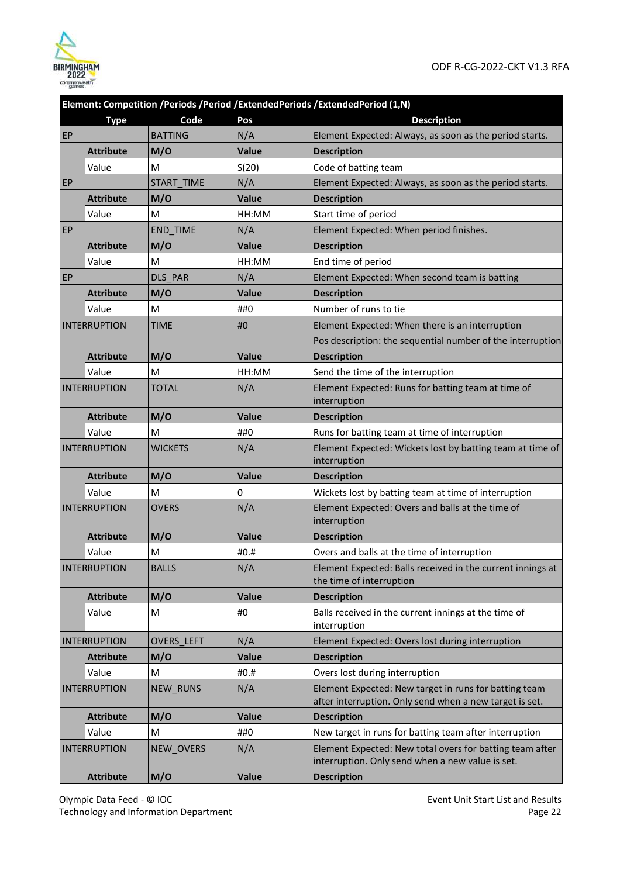

|    |                     |                 |              | Element: Competition /Periods /Period /ExtendedPeriods /ExtendedPeriod (1,N)                                     |
|----|---------------------|-----------------|--------------|------------------------------------------------------------------------------------------------------------------|
|    | <b>Type</b>         | Code            | Pos          | <b>Description</b>                                                                                               |
| EP |                     | <b>BATTING</b>  | N/A          | Element Expected: Always, as soon as the period starts.                                                          |
|    | <b>Attribute</b>    | M/O             | <b>Value</b> | <b>Description</b>                                                                                               |
|    | Value               | M               | S(20)        | Code of batting team                                                                                             |
| EP |                     | START TIME      | N/A          | Element Expected: Always, as soon as the period starts.                                                          |
|    | <b>Attribute</b>    | M/O             | <b>Value</b> | <b>Description</b>                                                                                               |
|    | Value               | м               | HH:MM        | Start time of period                                                                                             |
| EP |                     | <b>END TIME</b> | N/A          | Element Expected: When period finishes.                                                                          |
|    | <b>Attribute</b>    | M/O             | <b>Value</b> | <b>Description</b>                                                                                               |
|    | Value               | M               | HH:MM        | End time of period                                                                                               |
| EP |                     | DLS PAR         | N/A          | Element Expected: When second team is batting                                                                    |
|    | <b>Attribute</b>    | M/O             | <b>Value</b> | <b>Description</b>                                                                                               |
|    | Value               | M               | ##0          | Number of runs to tie                                                                                            |
|    | <b>INTERRUPTION</b> | <b>TIME</b>     | #0           | Element Expected: When there is an interruption                                                                  |
|    |                     |                 |              | Pos description: the sequential number of the interruption                                                       |
|    | <b>Attribute</b>    | M/O             | Value        | <b>Description</b>                                                                                               |
|    | Value               | M               | HH:MM        | Send the time of the interruption                                                                                |
|    | <b>INTERRUPTION</b> | <b>TOTAL</b>    | N/A          | Element Expected: Runs for batting team at time of<br>interruption                                               |
|    | <b>Attribute</b>    | M/O             | Value        | <b>Description</b>                                                                                               |
|    | Value               | м               | ##0          | Runs for batting team at time of interruption                                                                    |
|    | <b>INTERRUPTION</b> | <b>WICKETS</b>  | N/A          | Element Expected: Wickets lost by batting team at time of<br>interruption                                        |
|    | <b>Attribute</b>    | M/O             | Value        | <b>Description</b>                                                                                               |
|    | Value               | M               | 0            | Wickets lost by batting team at time of interruption                                                             |
|    | <b>INTERRUPTION</b> | <b>OVERS</b>    | N/A          | Element Expected: Overs and balls at the time of<br>interruption                                                 |
|    | <b>Attribute</b>    | M/O             | Value        | <b>Description</b>                                                                                               |
|    | Value               | M               | #0.#         | Overs and balls at the time of interruption                                                                      |
|    | <b>INTERRUPTION</b> | <b>BALLS</b>    | N/A          | Element Expected: Balls received in the current innings at<br>the time of interruption                           |
|    | <b>Attribute</b>    | M/O             | Value        | <b>Description</b>                                                                                               |
|    | Value               | M               | #0           | Balls received in the current innings at the time of<br>interruption                                             |
|    | <b>INTERRUPTION</b> | OVERS_LEFT      | N/A          | Element Expected: Overs lost during interruption                                                                 |
|    | <b>Attribute</b>    | M/O             | Value        | <b>Description</b>                                                                                               |
|    | Value               | M               | #0.#         | Overs lost during interruption                                                                                   |
|    | <b>INTERRUPTION</b> | NEW_RUNS        | N/A          | Element Expected: New target in runs for batting team<br>after interruption. Only send when a new target is set. |
|    | <b>Attribute</b>    | M/O             | Value        | <b>Description</b>                                                                                               |
|    | Value               | M               | ##0          | New target in runs for batting team after interruption                                                           |
|    | <b>INTERRUPTION</b> | NEW_OVERS       | N/A          | Element Expected: New total overs for batting team after<br>interruption. Only send when a new value is set.     |
|    | <b>Attribute</b>    | M/O             | Value        | <b>Description</b>                                                                                               |

Olympic Data Feed - © IOC Technology and Information Department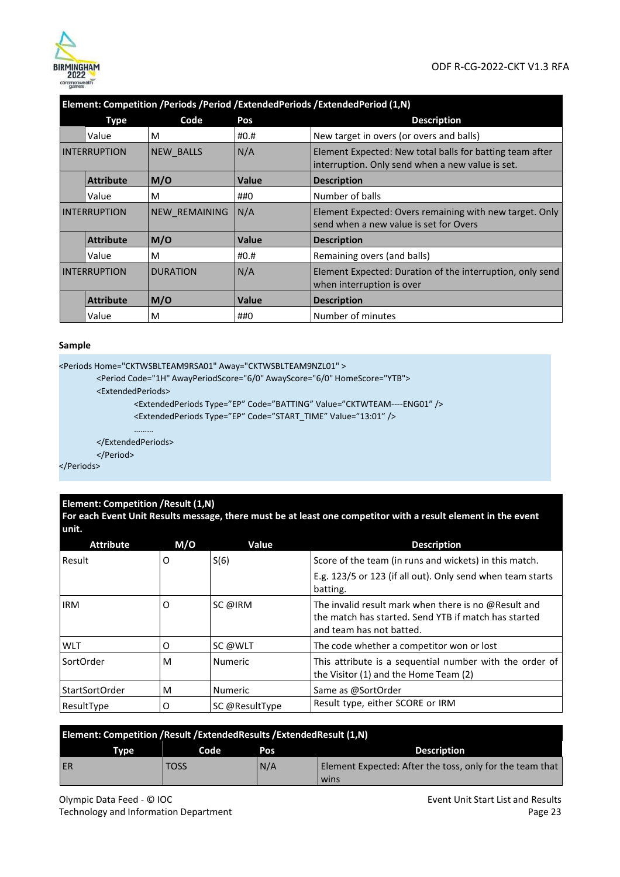

|                     | Element: Competition /Periods /Period /ExtendedPeriods /ExtendedPeriod (1,N) |                 |              |                                                                                                              |  |
|---------------------|------------------------------------------------------------------------------|-----------------|--------------|--------------------------------------------------------------------------------------------------------------|--|
|                     | <b>Type</b>                                                                  | Code            | Pos          | <b>Description</b>                                                                                           |  |
|                     | Value                                                                        | м               | #0.#         | New target in overs (or overs and balls)                                                                     |  |
| <b>INTERRUPTION</b> |                                                                              | NEW BALLS       | N/A          | Element Expected: New total balls for batting team after<br>interruption. Only send when a new value is set. |  |
|                     | <b>Attribute</b>                                                             | M/O             | Value        | <b>Description</b>                                                                                           |  |
|                     | Value                                                                        | M               | ##0          | Number of balls                                                                                              |  |
| <b>INTERRUPTION</b> |                                                                              | NEW REMAINING   | N/A          | Element Expected: Overs remaining with new target. Only<br>send when a new value is set for Overs            |  |
|                     | <b>Attribute</b>                                                             | M/O             | <b>Value</b> | <b>Description</b>                                                                                           |  |
|                     | Value                                                                        | M               | #0.#         | Remaining overs (and balls)                                                                                  |  |
| <b>INTERRUPTION</b> |                                                                              | <b>DURATION</b> | N/A          | Element Expected: Duration of the interruption, only send<br>when interruption is over                       |  |
|                     | <b>Attribute</b>                                                             | M/O             | <b>Value</b> | <b>Description</b>                                                                                           |  |
|                     | Value                                                                        | M               | ##0          | Number of minutes                                                                                            |  |

#### **Sample**

```
<Periods Home="CKTWSBLTEAM9RSA01" Away="CKTWSBLTEAM9NZL01" >
```

```
<Period Code="1H" AwayPeriodScore="6/0" AwayScore="6/0" HomeScore="YTB">
```
<ExtendedPeriods>

```
<ExtendedPeriods Type="EP" Code="BATTING" Value="CKTWTEAM----ENG01" />
```
<ExtendedPeriods Type="EP" Code="START\_TIME" Value="13:01" />

```
………
```
</ExtendedPeriods> </Period>

</Periods>

#### **Element: Competition /Result (1,N)**

**For each Event Unit Results message, there must be at least one competitor with a result element in the event unit.** 

| <b>Attribute</b> | M/O | Value          | <b>Description</b>                                                                                                                       |
|------------------|-----|----------------|------------------------------------------------------------------------------------------------------------------------------------------|
| Result           | O   | S(6)           | Score of the team (in runs and wickets) in this match.                                                                                   |
|                  |     |                | E.g. 123/5 or 123 (if all out). Only send when team starts<br>batting.                                                                   |
| <b>IRM</b>       | O   | SC @IRM        | The invalid result mark when there is no @Result and<br>the match has started. Send YTB if match has started<br>and team has not batted. |
| WLT              | O   | SC @WLT        | The code whether a competitor won or lost                                                                                                |
| SortOrder        | M   | <b>Numeric</b> | This attribute is a sequential number with the order of<br>the Visitor (1) and the Home Team (2)                                         |
| StartSortOrder   | M   | Numeric        | Same as @SortOrder                                                                                                                       |
| ResultType       | O   | SC @ResultType | Result type, either SCORE or IRM                                                                                                         |

| <b>Element: Competition / Result / Extended Results / Extended Result (1, N)</b> |             |     |                                                          |  |
|----------------------------------------------------------------------------------|-------------|-----|----------------------------------------------------------|--|
| <b>Type</b>                                                                      | Code        | Pos | <b>Description</b>                                       |  |
| ER                                                                               | <b>TOSS</b> | N/A | Element Expected: After the toss, only for the team that |  |
|                                                                                  |             |     | wins                                                     |  |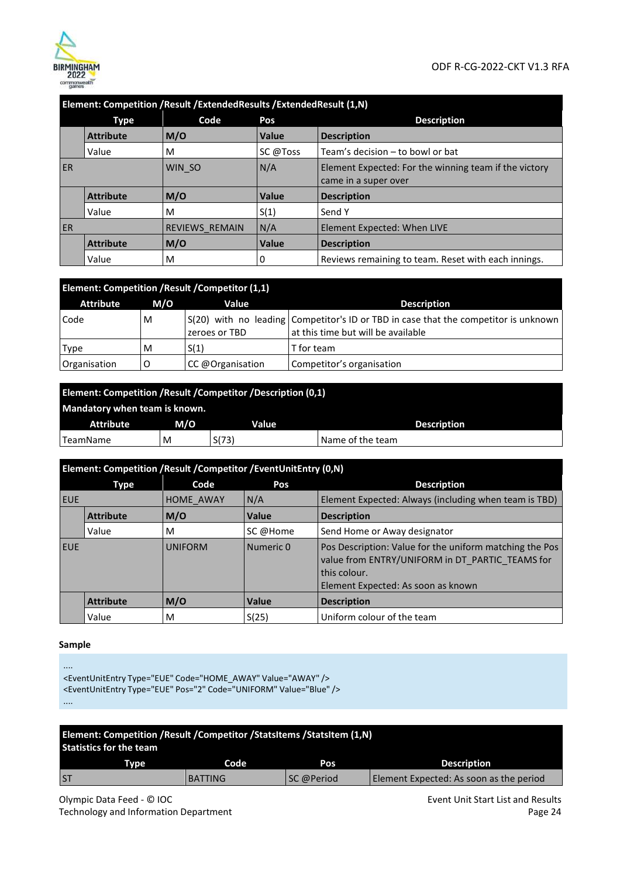

|           | Element: Competition / Result / Extended Results / Extended Result (1,N) |                       |              |                                                                               |
|-----------|--------------------------------------------------------------------------|-----------------------|--------------|-------------------------------------------------------------------------------|
|           | <b>Type</b>                                                              | Code                  | Pos          | <b>Description</b>                                                            |
|           | <b>Attribute</b>                                                         | M/O                   | <b>Value</b> | <b>Description</b>                                                            |
|           | Value                                                                    | M                     | SC @Toss     | Team's decision - to bowl or bat                                              |
| <b>ER</b> |                                                                          | WIN SO                | N/A          | Element Expected: For the winning team if the victory<br>came in a super over |
|           | <b>Attribute</b>                                                         | M/O                   | Value        | <b>Description</b>                                                            |
|           | Value                                                                    | M                     | S(1)         | Send Y                                                                        |
| <b>ER</b> |                                                                          | <b>REVIEWS REMAIN</b> | N/A          | Element Expected: When LIVE                                                   |
|           | <b>Attribute</b>                                                         | M/O                   | Value        | <b>Description</b>                                                            |
|           | Value                                                                    | M                     | 0            | Reviews remaining to team. Reset with each innings.                           |

|                  | Element: Competition / Result / Competitor (1,1) |                  |                                                                                                                             |  |  |  |
|------------------|--------------------------------------------------|------------------|-----------------------------------------------------------------------------------------------------------------------------|--|--|--|
| <b>Attribute</b> | M/O                                              | Value            | <b>Description</b>                                                                                                          |  |  |  |
| Code             | м                                                | zeroes or TBD    | S(20) with no leading   Competitor's ID or TBD in case that the competitor is unknown<br>at this time but will be available |  |  |  |
| Type             | м                                                | S(1)             | T for team                                                                                                                  |  |  |  |
| Organisation     | O                                                | CC @Organisation | Competitor's organisation                                                                                                   |  |  |  |

| Element: Competition / Result / Competitor / Description (0,1) |     |       |                    |  |
|----------------------------------------------------------------|-----|-------|--------------------|--|
| Mandatory when team is known.                                  |     |       |                    |  |
| Attribute                                                      | M/O | Value | <b>Description</b> |  |
| TeamName                                                       | M   | S(73) | Name of the team   |  |

|            | Element: Competition / Result / Competitor / Event Unit Entry (0, N) |                |           |                                                                                                                                                                  |  |
|------------|----------------------------------------------------------------------|----------------|-----------|------------------------------------------------------------------------------------------------------------------------------------------------------------------|--|
|            | Type                                                                 | Code           | Pos       | <b>Description</b>                                                                                                                                               |  |
| <b>EUE</b> |                                                                      | HOME AWAY      | N/A       | Element Expected: Always (including when team is TBD)                                                                                                            |  |
|            | <b>Attribute</b>                                                     | M/O            | Value     | <b>Description</b>                                                                                                                                               |  |
|            | Value                                                                | M              | SC @Home  | Send Home or Away designator                                                                                                                                     |  |
| <b>EUE</b> |                                                                      | <b>UNIFORM</b> | Numeric 0 | Pos Description: Value for the uniform matching the Pos<br>value from ENTRY/UNIFORM in DT PARTIC TEAMS for<br>this colour.<br>Element Expected: As soon as known |  |
|            | <b>Attribute</b>                                                     | M/O            | Value     | <b>Description</b>                                                                                                                                               |  |
|            | Value                                                                | M              | S(25)     | Uniform colour of the team                                                                                                                                       |  |

#### **Sample**

```
.... 
<EventUnitEntry Type="EUE" Code="HOME_AWAY" Value="AWAY" /> 
<EventUnitEntry Type="EUE" Pos="2" Code="UNIFORM" Value="Blue" /> 
....
```

| Element: Competition / Result / Competitor / StatsItems / StatsItem (1,N)<br><b>Statistics for the team</b> |             |                |            |                                         |
|-------------------------------------------------------------------------------------------------------------|-------------|----------------|------------|-----------------------------------------|
|                                                                                                             | <b>Type</b> | Code           | Pos        | <b>Description</b>                      |
| <b>ST</b>                                                                                                   |             | <b>BATTING</b> | SC @Period | Element Expected: As soon as the period |

Olympic Data Feed - © IOC Technology and Information Department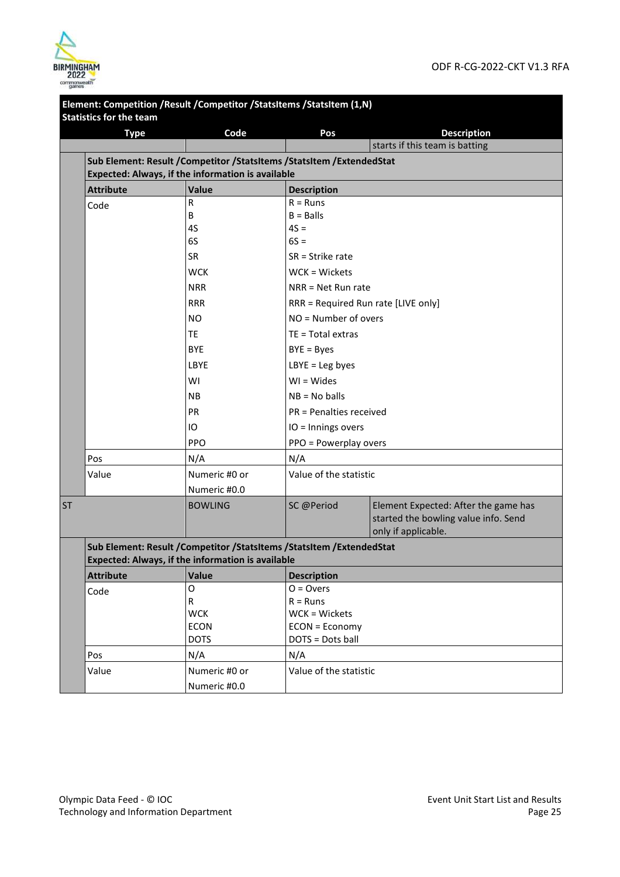

|           | <b>Statistics for the team</b> | Element: Competition / Result / Competitor / StatsItems / StatsItem (1,N) |                                     |                                                                                                     |  |  |
|-----------|--------------------------------|---------------------------------------------------------------------------|-------------------------------------|-----------------------------------------------------------------------------------------------------|--|--|
|           | <b>Type</b>                    | Code                                                                      | Pos                                 | <b>Description</b>                                                                                  |  |  |
|           |                                |                                                                           |                                     | starts if this team is batting                                                                      |  |  |
|           |                                | Sub Element: Result / Competitor / StatsItems / StatsItem / Extended Stat |                                     |                                                                                                     |  |  |
|           |                                | Expected: Always, if the information is available                         |                                     |                                                                                                     |  |  |
|           | <b>Attribute</b>               | <b>Value</b>                                                              | <b>Description</b>                  |                                                                                                     |  |  |
|           | Code                           | R                                                                         | $R =$ Runs                          |                                                                                                     |  |  |
|           |                                | В                                                                         | $B =$ Balls                         |                                                                                                     |  |  |
|           |                                | 4S                                                                        | $4S =$                              |                                                                                                     |  |  |
|           |                                | 6S                                                                        | $6S =$                              |                                                                                                     |  |  |
|           |                                | <b>SR</b>                                                                 | $SR = Strike$ rate                  |                                                                                                     |  |  |
|           |                                | <b>WCK</b>                                                                | WCK = Wickets                       |                                                                                                     |  |  |
|           |                                | <b>NRR</b>                                                                | $NRR = Net Run rate$                |                                                                                                     |  |  |
|           |                                | <b>RRR</b>                                                                | RRR = Required Run rate [LIVE only] |                                                                                                     |  |  |
|           |                                | <b>NO</b>                                                                 | NO = Number of overs                |                                                                                                     |  |  |
|           |                                | <b>TE</b>                                                                 | TE = Total extras                   |                                                                                                     |  |  |
|           |                                | <b>BYE</b>                                                                | $BYE = Byes$                        |                                                                                                     |  |  |
|           |                                | LBYE                                                                      | $LBYE = Leg bytes$                  |                                                                                                     |  |  |
|           |                                | WI                                                                        | $WI = Wides$                        |                                                                                                     |  |  |
|           |                                | <b>NB</b>                                                                 | $NB = No$ balls                     |                                                                                                     |  |  |
|           |                                | <b>PR</b>                                                                 | PR = Penalties received             |                                                                                                     |  |  |
|           |                                | IO                                                                        | IO = Innings overs                  |                                                                                                     |  |  |
|           |                                | <b>PPO</b>                                                                | PPO = Powerplay overs               |                                                                                                     |  |  |
|           | Pos                            | N/A                                                                       | N/A                                 |                                                                                                     |  |  |
|           | Value                          | Numeric #0 or                                                             | Value of the statistic              |                                                                                                     |  |  |
|           |                                | Numeric #0.0                                                              |                                     |                                                                                                     |  |  |
| <b>ST</b> |                                | <b>BOWLING</b>                                                            | SC @Period                          | Element Expected: After the game has<br>started the bowling value info. Send<br>only if applicable. |  |  |
|           |                                | Sub Element: Result / Competitor / StatsItems / StatsItem / Extended Stat |                                     |                                                                                                     |  |  |
|           |                                | Expected: Always, if the information is available                         |                                     |                                                                                                     |  |  |
|           | <b>Attribute</b>               | Value                                                                     | <b>Description</b>                  |                                                                                                     |  |  |
|           | Code                           | O                                                                         | $O = Overs$                         |                                                                                                     |  |  |
|           |                                | $\mathsf{R}$                                                              | $R =$ Runs                          |                                                                                                     |  |  |
|           |                                | <b>WCK</b>                                                                | WCK = Wickets                       |                                                                                                     |  |  |
|           |                                | <b>ECON</b>                                                               | ECON = Economy                      |                                                                                                     |  |  |
|           |                                | <b>DOTS</b>                                                               | DOTS = Dots ball                    |                                                                                                     |  |  |
|           | Pos                            | N/A                                                                       | N/A                                 |                                                                                                     |  |  |
|           | Value                          | Numeric #0 or                                                             | Value of the statistic              |                                                                                                     |  |  |
|           |                                | Numeric #0.0                                                              |                                     |                                                                                                     |  |  |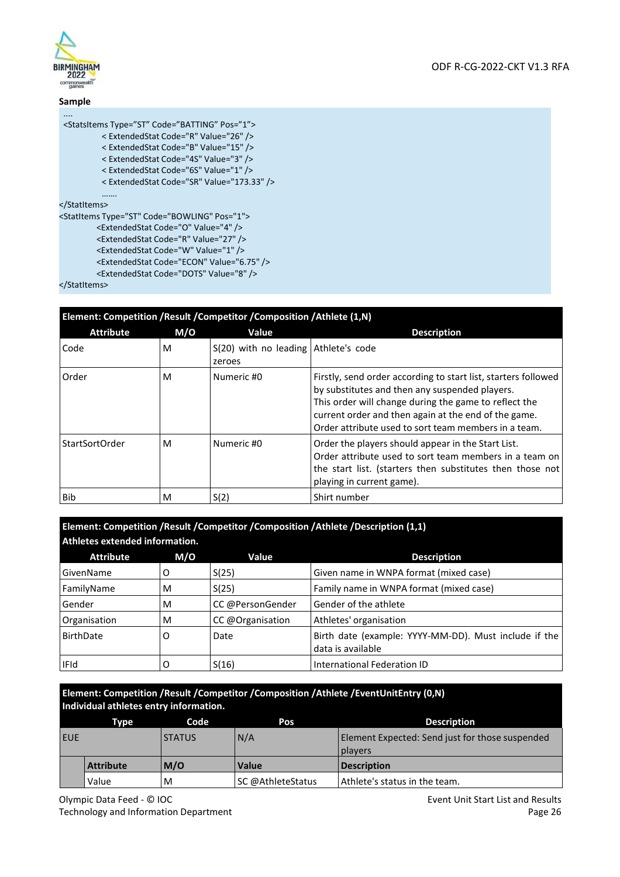

#### **Sample**  ....

<StatsItems Type="ST" Code="BATTING" Pos="1">

- < ExtendedStat Code="R" Value="26" />
- < ExtendedStat Code="B" Value="15" />
- < ExtendedStat Code="4S" Value="3" />
- < ExtendedStat Code="6S" Value="1" />
- < ExtendedStat Code="SR" Value="173.33" />

……. </StatItems>

<StatItems Type="ST" Code="BOWLING" Pos="1">

- <ExtendedStat Code="O" Value="4" />
- <ExtendedStat Code="R" Value="27" />
- <ExtendedStat Code="W" Value="1" />
- <ExtendedStat Code="ECON" Value="6.75" /> <ExtendedStat Code="DOTS" Value="8" />

</StatItems>

|                  | Element: Competition / Result / Competitor / Composition / Athlete (1,N) |                                                  |                                                                                                                                                                                                                                                                                           |  |
|------------------|--------------------------------------------------------------------------|--------------------------------------------------|-------------------------------------------------------------------------------------------------------------------------------------------------------------------------------------------------------------------------------------------------------------------------------------------|--|
| <b>Attribute</b> | M/O                                                                      | Value                                            | <b>Description</b>                                                                                                                                                                                                                                                                        |  |
| Code             | M                                                                        | $S(20)$ with no leading Athlete's code<br>zeroes |                                                                                                                                                                                                                                                                                           |  |
| Order            | м                                                                        | Numeric #0                                       | Firstly, send order according to start list, starters followed<br>by substitutes and then any suspended players.<br>This order will change during the game to reflect the<br>current order and then again at the end of the game.<br>Order attribute used to sort team members in a team. |  |
| StartSortOrder   | M                                                                        | Numeric #0                                       | Order the players should appear in the Start List.<br>Order attribute used to sort team members in a team on<br>the start list. (starters then substitutes then those not<br>playing in current game).                                                                                    |  |
| <b>Bib</b>       | м                                                                        | S(2)                                             | Shirt number                                                                                                                                                                                                                                                                              |  |

**Element: Competition /Result /Competitor /Composition /Athlete /Description (1,1) Athletes extended information.** 

| Lating top catch degram but in a troub |     |                  |                                                                            |  |
|----------------------------------------|-----|------------------|----------------------------------------------------------------------------|--|
| <b>Attribute</b>                       | M/O | Value            | <b>Description</b>                                                         |  |
| GivenName                              | O   | S(25)            | Given name in WNPA format (mixed case)                                     |  |
| FamilyName                             | M   | S(25)            | Family name in WNPA format (mixed case)                                    |  |
| Gender                                 | M   | CC @PersonGender | Gender of the athlete                                                      |  |
| Organisation                           | M   | CC @Organisation | Athletes' organisation                                                     |  |
| BirthDate                              | O   | Date             | Birth date (example: YYYY-MM-DD). Must include if the<br>data is available |  |
| <b>IFId</b>                            |     | S(16)            | International Federation ID                                                |  |

#### **Element: Competition /Result /Competitor /Composition /Athlete /EventUnitEntry (0,N) Individual athletes entry information.**

|            | Tvpe             | Code          | Pos               | <b>Description</b>                                                |
|------------|------------------|---------------|-------------------|-------------------------------------------------------------------|
| <b>EUE</b> |                  | <b>STATUS</b> | N/A               | Element Expected: Send just for those suspended<br><b>players</b> |
|            | <b>Attribute</b> | M/O           | <b>Value</b>      | <b>Description</b>                                                |
|            | Value            | M             | SC @AthleteStatus | Athlete's status in the team.                                     |

Event Unit Start List and Results Page 26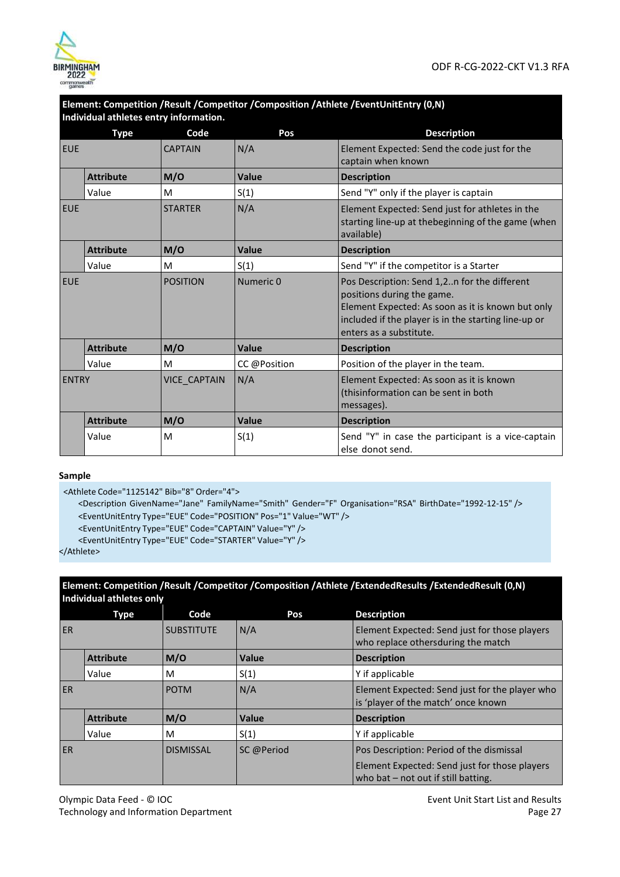

|              |                  | Individual athletes entry information. |              | Element: Competition /Result /Competitor /Composition /Athlete /EventUnitEntry (0,N)                                                                                                                               |
|--------------|------------------|----------------------------------------|--------------|--------------------------------------------------------------------------------------------------------------------------------------------------------------------------------------------------------------------|
|              | <b>Type</b>      | Code                                   | Pos          | <b>Description</b>                                                                                                                                                                                                 |
| <b>EUE</b>   |                  | <b>CAPTAIN</b>                         | N/A          | Element Expected: Send the code just for the<br>captain when known                                                                                                                                                 |
|              | <b>Attribute</b> | M/O                                    | Value        | <b>Description</b>                                                                                                                                                                                                 |
|              | Value            | M                                      | S(1)         | Send "Y" only if the player is captain                                                                                                                                                                             |
| <b>EUE</b>   |                  | <b>STARTER</b>                         | N/A          | Element Expected: Send just for athletes in the<br>starting line-up at thebeginning of the game (when<br>available)                                                                                                |
|              | <b>Attribute</b> | M/O                                    | <b>Value</b> | <b>Description</b>                                                                                                                                                                                                 |
|              | Value            | M                                      | S(1)         | Send "Y" if the competitor is a Starter                                                                                                                                                                            |
| <b>EUE</b>   |                  | <b>POSITION</b>                        | Numeric 0    | Pos Description: Send 1,2n for the different<br>positions during the game.<br>Element Expected: As soon as it is known but only<br>included if the player is in the starting line-up or<br>enters as a substitute. |
|              | <b>Attribute</b> | M/O                                    | Value        | <b>Description</b>                                                                                                                                                                                                 |
|              | Value            | M                                      | CC @Position | Position of the player in the team.                                                                                                                                                                                |
| <b>ENTRY</b> |                  | <b>VICE CAPTAIN</b>                    | N/A          | Element Expected: As soon as it is known<br>(thisinformation can be sent in both<br>messages).                                                                                                                     |
|              | <b>Attribute</b> | M/O                                    | Value        | <b>Description</b>                                                                                                                                                                                                 |
|              | Value            | M                                      | S(1)         | Send "Y" in case the participant is a vice-captain<br>else donot send.                                                                                                                                             |

# **Element: Competition /Result /Competitor /Composition /Athlete /EventUnitEntry (0,N)**

#### **Sample**

<Athlete Code="1125142" Bib="8" Order="4">

<Description GivenName="Jane" FamilyName="Smith" Gender="F" Organisation="RSA" BirthDate="1992-12- 15" /> <EventUnitEntry Type="EUE" Code="POSITION" Pos="1" Value="WT" />

<EventUnitEntry Type="EUE" Code="CAPTAIN" Value="Y" />

<EventUnitEntry Type="EUE" Code="STARTER" Value="Y" />

</Athlete>

#### **Element: Competition /Result /Competitor /Composition /Athlete /ExtendedResults /ExtendedResult (0,N) Individual athletes only**

|           | Type             | Code              | Pos        | <b>Description</b>                                                                        |
|-----------|------------------|-------------------|------------|-------------------------------------------------------------------------------------------|
| <b>ER</b> |                  | <b>SUBSTITUTE</b> | N/A        | Element Expected: Send just for those players<br>who replace othersduring the match       |
|           | <b>Attribute</b> | M/O               | Value      | <b>Description</b>                                                                        |
|           | Value            | M                 | S(1)       | Y if applicable                                                                           |
| <b>ER</b> |                  | <b>POTM</b>       | N/A        | Element Expected: Send just for the player who<br>is 'player of the match' once known     |
|           | <b>Attribute</b> | M/O               | Value      | <b>Description</b>                                                                        |
|           | Value            | M                 | S(1)       | Y if applicable                                                                           |
| <b>ER</b> |                  | <b>DISMISSAL</b>  | SC @Period | Pos Description: Period of the dismissal<br>Element Expected: Send just for those players |
|           |                  |                   |            | who bat $-$ not out if still batting.                                                     |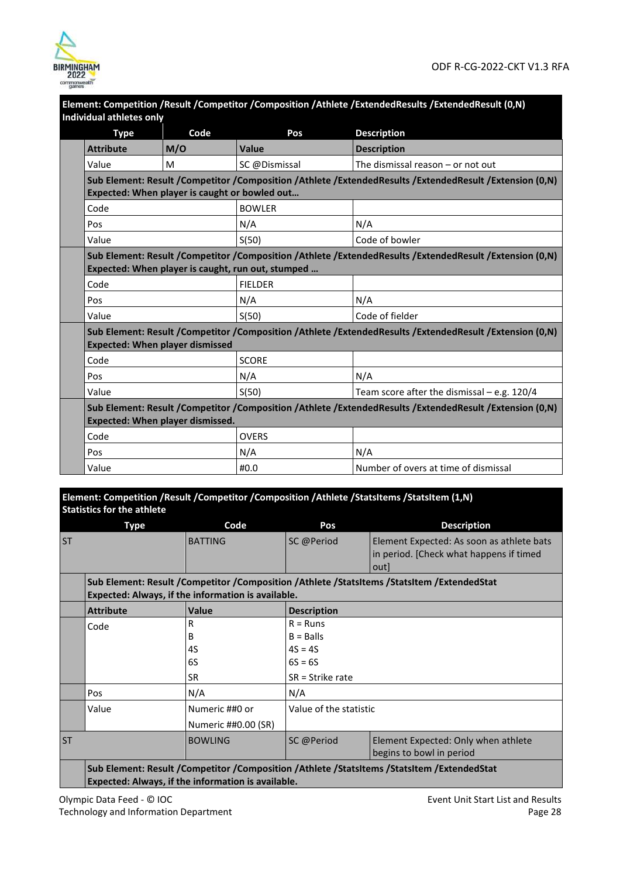

| Element: Competition /Result /Competitor /Composition /Athlete /ExtendedResults /ExtendedResult (0,N)<br><b>Individual athletes only</b> |                                                                                                                                                   |                                                   |                                                                                                         |  |  |  |
|------------------------------------------------------------------------------------------------------------------------------------------|---------------------------------------------------------------------------------------------------------------------------------------------------|---------------------------------------------------|---------------------------------------------------------------------------------------------------------|--|--|--|
| <b>Type</b>                                                                                                                              | Code                                                                                                                                              | Pos                                               | <b>Description</b>                                                                                      |  |  |  |
| <b>Attribute</b>                                                                                                                         | M/O                                                                                                                                               | Value                                             | <b>Description</b>                                                                                      |  |  |  |
| Value                                                                                                                                    | M                                                                                                                                                 | SC @Dismissal                                     | The dismissal reason $-$ or not out                                                                     |  |  |  |
|                                                                                                                                          | Expected: When player is caught or bowled out                                                                                                     |                                                   | Sub Element: Result /Competitor /Composition /Athlete /ExtendedResults /ExtendedResult /Extension (0,N) |  |  |  |
| Code                                                                                                                                     |                                                                                                                                                   | <b>BOWLER</b>                                     |                                                                                                         |  |  |  |
| Pos                                                                                                                                      |                                                                                                                                                   | N/A                                               | N/A                                                                                                     |  |  |  |
| Value                                                                                                                                    |                                                                                                                                                   | S(50)                                             | Code of bowler                                                                                          |  |  |  |
|                                                                                                                                          |                                                                                                                                                   | Expected: When player is caught, run out, stumped | Sub Element: Result /Competitor /Composition /Athlete /ExtendedResults /ExtendedResult /Extension (0,N) |  |  |  |
| Code                                                                                                                                     |                                                                                                                                                   | <b>FIELDER</b>                                    |                                                                                                         |  |  |  |
| Pos                                                                                                                                      |                                                                                                                                                   | N/A                                               | N/A                                                                                                     |  |  |  |
| Value                                                                                                                                    |                                                                                                                                                   | S(50)                                             | Code of fielder                                                                                         |  |  |  |
|                                                                                                                                          | Sub Element: Result /Competitor /Composition /Athlete /ExtendedResults /ExtendedResult /Extension (0,N)<br><b>Expected: When player dismissed</b> |                                                   |                                                                                                         |  |  |  |
| Code                                                                                                                                     |                                                                                                                                                   | <b>SCORE</b>                                      |                                                                                                         |  |  |  |
| Pos                                                                                                                                      |                                                                                                                                                   | N/A                                               | N/A                                                                                                     |  |  |  |
| Value                                                                                                                                    |                                                                                                                                                   | S(50)                                             | Team score after the dismissal $-$ e.g. 120/4                                                           |  |  |  |
|                                                                                                                                          | <b>Expected: When player dismissed.</b>                                                                                                           |                                                   | Sub Element: Result /Competitor /Composition /Athlete /ExtendedResults /ExtendedResult /Extension (0,N) |  |  |  |
| Code                                                                                                                                     |                                                                                                                                                   | <b>OVERS</b>                                      |                                                                                                         |  |  |  |
| Pos                                                                                                                                      |                                                                                                                                                   | N/A                                               | N/A                                                                                                     |  |  |  |
| Value                                                                                                                                    |                                                                                                                                                   | #0.0                                              | Number of overs at time of dismissal                                                                    |  |  |  |

**Element: Competition /Result /Competitor /Composition /Athlete /StatsItems /StatsItem (1,N) Statistics for the athlete** 

|           | <b>Type</b>                                                                                                                                      | Code                                                                            | Pos                                                                                                        | <b>Description</b>                                                                           |  |
|-----------|--------------------------------------------------------------------------------------------------------------------------------------------------|---------------------------------------------------------------------------------|------------------------------------------------------------------------------------------------------------|----------------------------------------------------------------------------------------------|--|
| <b>ST</b> |                                                                                                                                                  | <b>BATTING</b>                                                                  | SC @Period                                                                                                 | Element Expected: As soon as athlete bats<br>in period. [Check what happens if timed<br>outl |  |
|           |                                                                                                                                                  | Expected: Always, if the information is available.                              |                                                                                                            | Sub Element: Result /Competitor /Composition /Athlete /StatsItems /StatsItem /ExtendedStat   |  |
|           | <b>Attribute</b>                                                                                                                                 | <b>Value</b>                                                                    | <b>Description</b>                                                                                         |                                                                                              |  |
|           | Code<br>Pos<br>Value                                                                                                                             | R<br>B<br>4S<br>6S<br><b>SR</b><br>N/A<br>Numeric ##0 or<br>Numeric ##0.00 (SR) | $R =$ Runs<br>$B =$ Balls<br>$4S = 4S$<br>$6S = 6S$<br>$SR = Strike$ rate<br>N/A<br>Value of the statistic |                                                                                              |  |
| <b>ST</b> |                                                                                                                                                  | <b>BOWLING</b>                                                                  | SC @Period                                                                                                 | Element Expected: Only when athlete<br>begins to bowl in period                              |  |
|           | Sub Element: Result /Competitor /Composition /Athlete /StatsItems /StatsItem /ExtendedStat<br>Expected: Always, if the information is available. |                                                                                 |                                                                                                            |                                                                                              |  |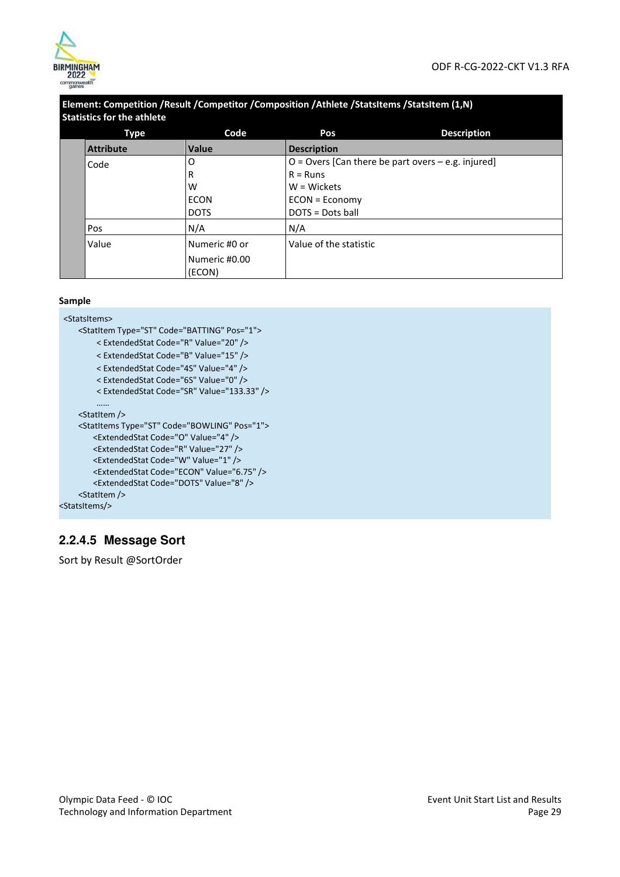

| Element: Competition / Result / Competitor / Composition / Athlete / StatsItems / StatsItem (1,N) |  |
|---------------------------------------------------------------------------------------------------|--|
| <b>Statistics for the athlete</b>                                                                 |  |
|                                                                                                   |  |

| <b>Type</b>      | Code                    | Pos                                                    | <b>Description</b> |
|------------------|-------------------------|--------------------------------------------------------|--------------------|
| <b>Attribute</b> | <b>Value</b>            | <b>Description</b>                                     |                    |
| Code             | O                       | $O =$ Overs [Can there be part overs $-$ e.g. injured] |                    |
|                  | R                       | $R =$ Runs                                             |                    |
|                  | W                       | $W = W$ ickets                                         |                    |
|                  | <b>ECON</b>             | ECON = Economy                                         |                    |
|                  | <b>DOTS</b>             | DOTS = Dots ball                                       |                    |
| Pos              | N/A                     | N/A                                                    |                    |
| Value            | Numeric #0 or           | Value of the statistic                                 |                    |
|                  | Numeric #0.00<br>(ECON) |                                                        |                    |

#### **Sample**

<StatsItems> <StatItem Type="ST" Code="BATTING" Pos="1"> < ExtendedStat Code="R" Value="20" /> < ExtendedStat Code="B" Value="15" /> < ExtendedStat Code="4S" Value="4" /> < ExtendedStat Code="6S" Value="0" /> < ExtendedStat Code="SR" Value="133.33" /> …… <StatItem /> <StatItems Type="ST" Code="BOWLING" Pos="1"> <ExtendedStat Code="O" Value="4" /> <ExtendedStat Code="R" Value="27" /> <ExtendedStat Code="W" Value="1" /> <ExtendedStat Code="ECON" Value="6.75" /> <ExtendedStat Code="DOTS" Value="8" /> <StatItem /> <StatsItems/>

## **2.2.4.5 Message Sort**

Sort by Result @SortOrder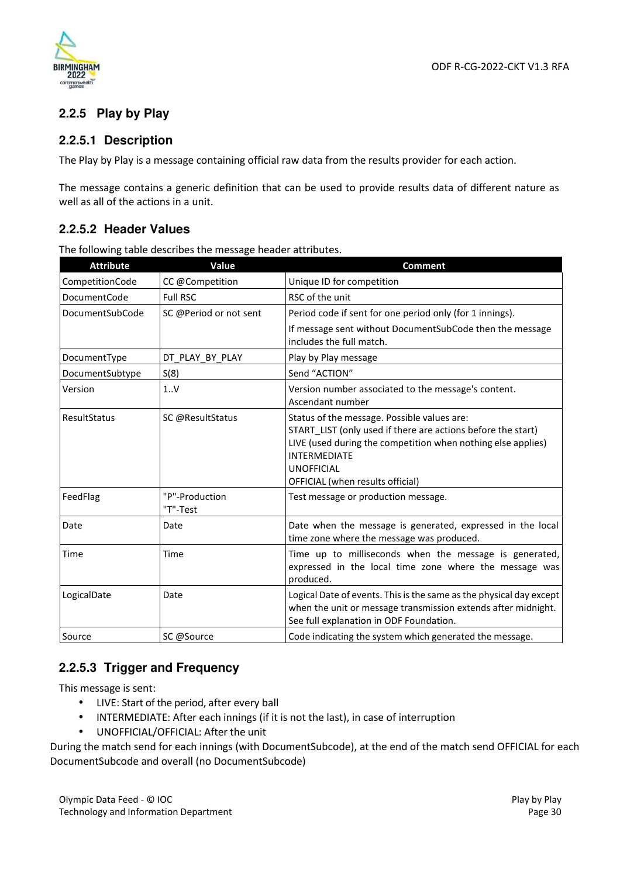

## **2.2.5 Play by Play**

#### **2.2.5.1 Description**

The Play by Play is a message containing official raw data from the results provider for each action.

The message contains a generic definition that can be used to provide results data of different nature as well as all of the actions in a unit.

## **2.2.5.2 Header Values**

The following table describes the message header attributes.

| <b>Attribute</b>    | Value                      | <b>Comment</b>                                                                                                                                                                                                                                              |
|---------------------|----------------------------|-------------------------------------------------------------------------------------------------------------------------------------------------------------------------------------------------------------------------------------------------------------|
| CompetitionCode     | CC @Competition            | Unique ID for competition                                                                                                                                                                                                                                   |
| <b>DocumentCode</b> | <b>Full RSC</b>            | RSC of the unit                                                                                                                                                                                                                                             |
| DocumentSubCode     | SC @Period or not sent     | Period code if sent for one period only (for 1 innings).                                                                                                                                                                                                    |
|                     |                            | If message sent without DocumentSubCode then the message<br>includes the full match.                                                                                                                                                                        |
| DocumentType        | DT_PLAY_BY_PLAY            | Play by Play message                                                                                                                                                                                                                                        |
| DocumentSubtype     | S(8)                       | Send "ACTION"                                                                                                                                                                                                                                               |
| Version             | 1V                         | Version number associated to the message's content.<br>Ascendant number                                                                                                                                                                                     |
| <b>ResultStatus</b> | SC @ResultStatus           | Status of the message. Possible values are:<br>START LIST (only used if there are actions before the start)<br>LIVE (used during the competition when nothing else applies)<br><b>INTERMEDIATE</b><br><b>UNOFFICIAL</b><br>OFFICIAL (when results official) |
| FeedFlag            | "P"-Production<br>"T"-Test | Test message or production message.                                                                                                                                                                                                                         |
| Date                | Date                       | Date when the message is generated, expressed in the local<br>time zone where the message was produced.                                                                                                                                                     |
| Time                | Time                       | Time up to milliseconds when the message is generated,<br>expressed in the local time zone where the message was<br>produced.                                                                                                                               |
| LogicalDate         | Date                       | Logical Date of events. This is the same as the physical day except<br>when the unit or message transmission extends after midnight.<br>See full explanation in ODF Foundation.                                                                             |
| Source              | SC @Source                 | Code indicating the system which generated the message.                                                                                                                                                                                                     |

## **2.2.5.3 Trigger and Frequency**

This message is sent:

- LIVE: Start of the period, after every ball
- INTERMEDIATE: After each innings (if it is not the last), in case of interruption
- UNOFFICIAL/OFFICIAL: After the unit

During the match send for each innings (with DocumentSubcode), at the end of the match send OFFICIAL for each DocumentSubcode and overall (no DocumentSubcode)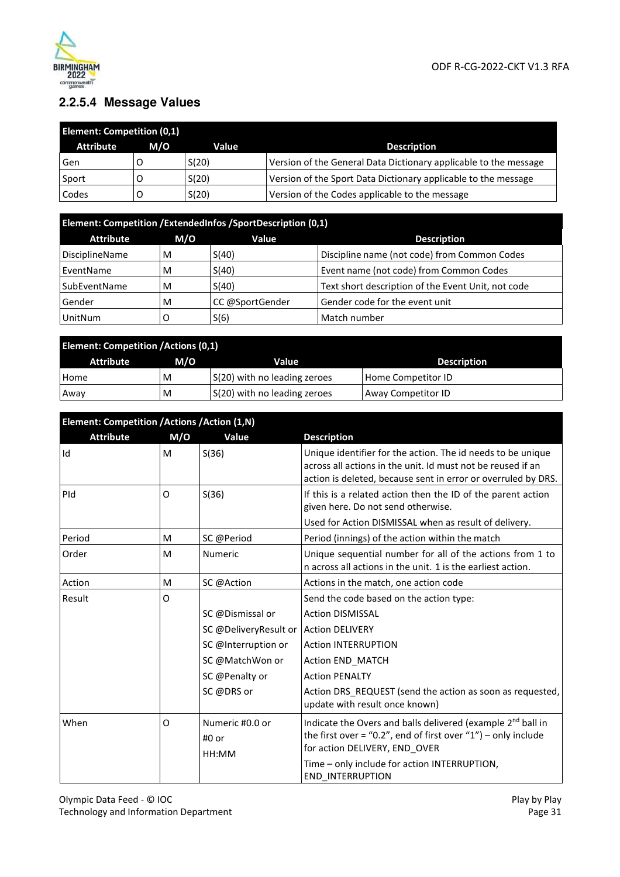

## **2.2.5.4 Message Values**

| <b>Element: Competition (0,1)</b> |     |       |                                                                  |  |  |
|-----------------------------------|-----|-------|------------------------------------------------------------------|--|--|
| <b>Attribute</b>                  | M/O | Value | <b>Description</b>                                               |  |  |
| Gen                               |     | S(20) | Version of the General Data Dictionary applicable to the message |  |  |
| Sport                             |     | S(20) | Version of the Sport Data Dictionary applicable to the message   |  |  |
| Codes                             |     | S(20) | Version of the Codes applicable to the message                   |  |  |

| Element: Competition /ExtendedInfos /SportDescription (0,1) |     |                 |                                                    |  |  |  |
|-------------------------------------------------------------|-----|-----------------|----------------------------------------------------|--|--|--|
| <b>Attribute</b>                                            | M/O | Value           | <b>Description</b>                                 |  |  |  |
| <b>DisciplineName</b>                                       | M   | S(40)           | Discipline name (not code) from Common Codes       |  |  |  |
| EventName                                                   | М   | S(40)           | Event name (not code) from Common Codes            |  |  |  |
| SubEventName                                                | M   | S(40)           | Text short description of the Event Unit, not code |  |  |  |
| Gender<br>M                                                 |     | CC @SportGender | Gender code for the event unit                     |  |  |  |
| <b>UnitNum</b>                                              |     | S(6)            | Match number                                       |  |  |  |

| <b>Element: Competition /Actions (0,1)</b>                    |   |                              |                    |  |  |  |
|---------------------------------------------------------------|---|------------------------------|--------------------|--|--|--|
| M/O<br><b>Attribute</b><br><b>Value</b><br><b>Description</b> |   |                              |                    |  |  |  |
| Home                                                          | M | S(20) with no leading zeroes | Home Competitor ID |  |  |  |
| Away                                                          | M | S(20) with no leading zeroes | Away Competitor ID |  |  |  |

| Element: Competition /Actions /Action (1,N) |     |                                         |                                                                                                                                                                                             |  |  |  |
|---------------------------------------------|-----|-----------------------------------------|---------------------------------------------------------------------------------------------------------------------------------------------------------------------------------------------|--|--|--|
| <b>Attribute</b>                            | M/O | Value                                   | <b>Description</b>                                                                                                                                                                          |  |  |  |
| Id                                          | M   | S(36)                                   | Unique identifier for the action. The id needs to be unique<br>across all actions in the unit. Id must not be reused if an<br>action is deleted, because sent in error or overruled by DRS. |  |  |  |
| PId                                         | 0   | S(36)                                   | If this is a related action then the ID of the parent action<br>given here. Do not send otherwise.                                                                                          |  |  |  |
|                                             |     |                                         | Used for Action DISMISSAL when as result of delivery.                                                                                                                                       |  |  |  |
| Period                                      | М   | SC @Period                              | Period (innings) of the action within the match                                                                                                                                             |  |  |  |
| Order                                       | м   | <b>Numeric</b>                          | Unique sequential number for all of the actions from 1 to<br>n across all actions in the unit. 1 is the earliest action.                                                                    |  |  |  |
| Action                                      | M   | SC @Action                              | Actions in the match, one action code                                                                                                                                                       |  |  |  |
| Result                                      | 0   |                                         | Send the code based on the action type:                                                                                                                                                     |  |  |  |
|                                             |     | SC @Dismissal or                        | <b>Action DISMISSAL</b>                                                                                                                                                                     |  |  |  |
|                                             |     | SC @DeliveryResult or   Action DELIVERY |                                                                                                                                                                                             |  |  |  |
|                                             |     | SC @Interruption or                     | <b>Action INTERRUPTION</b>                                                                                                                                                                  |  |  |  |
|                                             |     | SC @MatchWon or                         | Action END MATCH                                                                                                                                                                            |  |  |  |
|                                             |     | SC @Penalty or                          | <b>Action PENALTY</b>                                                                                                                                                                       |  |  |  |
|                                             |     | SC @DRS or                              | Action DRS REQUEST (send the action as soon as requested,<br>update with result once known)                                                                                                 |  |  |  |
| When                                        | 0   | Numeric #0.0 or<br>#0 or<br>HH:MM       | Indicate the Overs and balls delivered (example 2 <sup>nd</sup> ball in<br>the first over = "0.2", end of first over "1") – only include<br>for action DELIVERY, END OVER                   |  |  |  |
|                                             |     |                                         | Time - only include for action INTERRUPTION,<br><b>END INTERRUPTION</b>                                                                                                                     |  |  |  |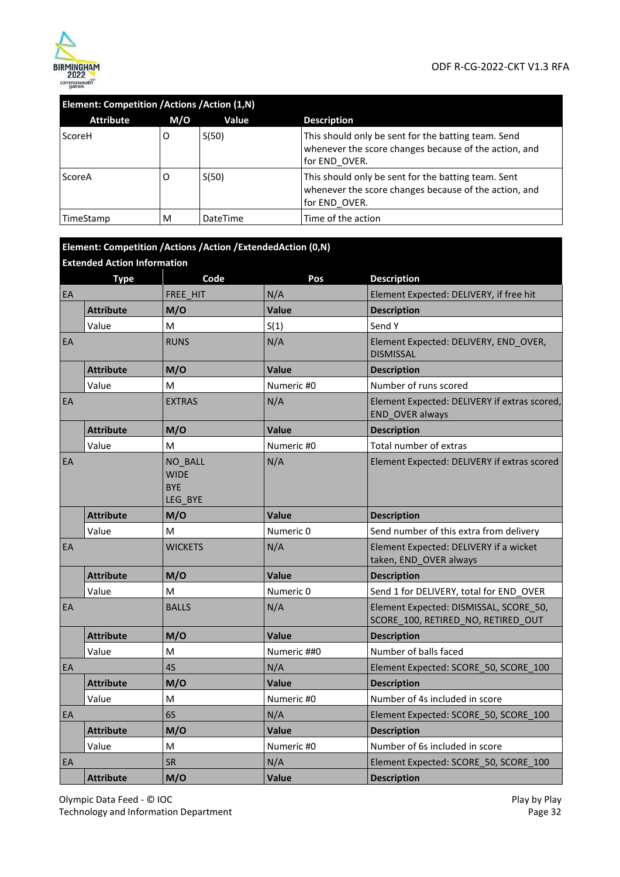

| Element: Competition /Actions /Action (1,N) |     |                 |                                                                                                                               |  |  |
|---------------------------------------------|-----|-----------------|-------------------------------------------------------------------------------------------------------------------------------|--|--|
| <b>Attribute</b>                            | M/O | Value           | <b>Description</b>                                                                                                            |  |  |
| ScoreH                                      | O   | S(50)           | This should only be sent for the batting team. Send<br>whenever the score changes because of the action, and<br>for END OVER. |  |  |
| ScoreA                                      | Ő   | S(50)           | This should only be sent for the batting team. Sent<br>whenever the score changes because of the action, and<br>for END OVER. |  |  |
| TimeStamp                                   | M   | <b>DateTime</b> | Time of the action                                                                                                            |  |  |

#### **Element: Competition /Actions /Action /ExtendedAction (0,N)**

|    | <b>Extended Action Information</b> |                                                 |              |                                                                              |  |  |
|----|------------------------------------|-------------------------------------------------|--------------|------------------------------------------------------------------------------|--|--|
|    | <b>Type</b>                        | Code                                            | Pos          | <b>Description</b>                                                           |  |  |
| EA |                                    | FREE HIT                                        | N/A          | Element Expected: DELIVERY, if free hit                                      |  |  |
|    | <b>Attribute</b>                   | M/O                                             | Value        | <b>Description</b>                                                           |  |  |
|    | Value                              | M                                               | S(1)         | Send Y                                                                       |  |  |
| EA |                                    | <b>RUNS</b>                                     | N/A          | Element Expected: DELIVERY, END OVER,<br><b>DISMISSAL</b>                    |  |  |
|    | <b>Attribute</b>                   | M/O                                             | <b>Value</b> | <b>Description</b>                                                           |  |  |
|    | Value                              | M                                               | Numeric #0   | Number of runs scored                                                        |  |  |
| EA |                                    | <b>EXTRAS</b>                                   | N/A          | Element Expected: DELIVERY if extras scored,<br>END_OVER always              |  |  |
|    | <b>Attribute</b>                   | M/O                                             | <b>Value</b> | <b>Description</b>                                                           |  |  |
|    | Value                              | M                                               | Numeric #0   | Total number of extras                                                       |  |  |
| EA |                                    | NO BALL<br><b>WIDE</b><br><b>BYE</b><br>LEG BYE | N/A          | Element Expected: DELIVERY if extras scored                                  |  |  |
|    | <b>Attribute</b>                   | M/O                                             | <b>Value</b> | <b>Description</b>                                                           |  |  |
|    | Value                              | M                                               | Numeric 0    | Send number of this extra from delivery                                      |  |  |
| EA |                                    | <b>WICKETS</b>                                  | N/A          | Element Expected: DELIVERY if a wicket<br>taken, END_OVER always             |  |  |
|    | <b>Attribute</b>                   | M/O                                             | <b>Value</b> | <b>Description</b>                                                           |  |  |
|    | Value                              | M                                               | Numeric 0    | Send 1 for DELIVERY, total for END OVER                                      |  |  |
| EA |                                    | <b>BALLS</b>                                    | N/A          | Element Expected: DISMISSAL, SCORE 50,<br>SCORE 100, RETIRED NO, RETIRED OUT |  |  |
|    | <b>Attribute</b>                   | M/O                                             | Value        | <b>Description</b>                                                           |  |  |
|    | Value                              | M                                               | Numeric ##0  | Number of balls faced                                                        |  |  |
| EA |                                    | 4S                                              | N/A          | Element Expected: SCORE_50, SCORE_100                                        |  |  |
|    | <b>Attribute</b>                   | M/O                                             | Value        | <b>Description</b>                                                           |  |  |
|    | Value                              | M                                               | Numeric #0   | Number of 4s included in score                                               |  |  |
| EA |                                    | 6S                                              | N/A          | Element Expected: SCORE_50, SCORE_100                                        |  |  |
|    | <b>Attribute</b>                   | M/O                                             | <b>Value</b> | <b>Description</b>                                                           |  |  |
|    | Value                              | M                                               | Numeric #0   | Number of 6s included in score                                               |  |  |
| EA |                                    | <b>SR</b>                                       | N/A          | Element Expected: SCORE 50, SCORE 100                                        |  |  |
|    | <b>Attribute</b>                   | M/O                                             | <b>Value</b> | <b>Description</b>                                                           |  |  |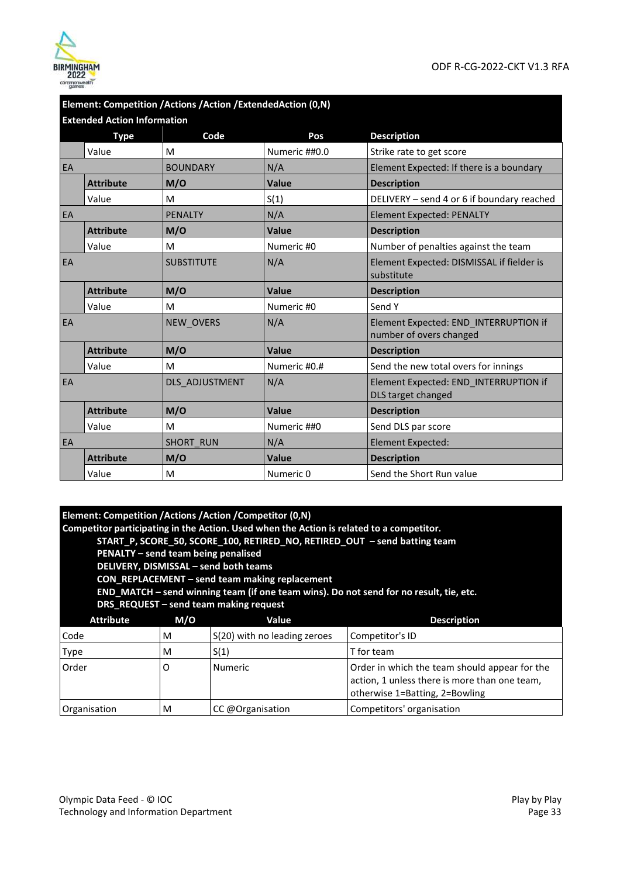|    | Element: Competition /Actions /Action /ExtendedAction (0,N) |                   |               |                                                                  |  |  |  |
|----|-------------------------------------------------------------|-------------------|---------------|------------------------------------------------------------------|--|--|--|
|    | <b>Extended Action Information</b>                          |                   |               |                                                                  |  |  |  |
|    | <b>Type</b>                                                 | Code              | Pos           | <b>Description</b>                                               |  |  |  |
|    | Value                                                       | M                 | Numeric ##0.0 | Strike rate to get score                                         |  |  |  |
| EA |                                                             | <b>BOUNDARY</b>   | N/A           | Element Expected: If there is a boundary                         |  |  |  |
|    | <b>Attribute</b>                                            | M/O               | Value         | <b>Description</b>                                               |  |  |  |
|    | Value                                                       | M                 | S(1)          | DELIVERY - send 4 or 6 if boundary reached                       |  |  |  |
| EA |                                                             | <b>PFNAITY</b>    | N/A           | <b>Element Expected: PENALTY</b>                                 |  |  |  |
|    | <b>Attribute</b>                                            | M/O               | Value         | <b>Description</b>                                               |  |  |  |
|    | Value                                                       | M                 | Numeric #0    | Number of penalties against the team                             |  |  |  |
| EA |                                                             | <b>SUBSTITUTE</b> | N/A           | Element Expected: DISMISSAL if fielder is<br>substitute          |  |  |  |
|    | <b>Attribute</b>                                            | M/O               | Value         | <b>Description</b>                                               |  |  |  |
|    | Value                                                       | M                 | Numeric #0    | Send Y                                                           |  |  |  |
| EA |                                                             | <b>NEW OVERS</b>  | N/A           | Element Expected: END_INTERRUPTION if<br>number of overs changed |  |  |  |
|    | <b>Attribute</b>                                            | M/O               | Value         | <b>Description</b>                                               |  |  |  |
|    | Value                                                       | M                 | Numeric #0.#  | Send the new total overs for innings                             |  |  |  |
| EA |                                                             | DLS ADJUSTMENT    | N/A           | Element Expected: END INTERRUPTION if<br>DLS target changed      |  |  |  |
|    | <b>Attribute</b>                                            | M/O               | Value         | <b>Description</b>                                               |  |  |  |
|    | Value                                                       | M                 | Numeric ##0   | Send DLS par score                                               |  |  |  |
| EA |                                                             | <b>SHORT RUN</b>  | N/A           | <b>Element Expected:</b>                                         |  |  |  |
|    | <b>Attribute</b>                                            | M/O               | Value         | <b>Description</b>                                               |  |  |  |
|    | Value                                                       | M                 | Numeric 0     | Send the Short Run value                                         |  |  |  |

| Element: Competition /Actions /Action /Competitor (0,N) |
|---------------------------------------------------------|
|---------------------------------------------------------|

**Competitor participating in the Action. Used when the Action is related to a competitor.** 

 **START\_P, SCORE\_50, SCORE\_100, RETIRED\_NO, RETIRED\_OUT – send batting team** 

 **PENALTY – send team being penalised** 

 **DELIVERY, DISMISSAL – send both teams** 

 **CON\_REPLACEMENT – send team making replacement** 

 **END\_MATCH – send winning team (if one team wins). Do not send for no result, tie, etc.** 

 **DRS\_REQUEST – send team making request** 

| M/O<br><b>Attribute</b><br>Value |   |                              | <b>Description</b>                                                                                                               |  |
|----------------------------------|---|------------------------------|----------------------------------------------------------------------------------------------------------------------------------|--|
| Code<br>M                        |   | S(20) with no leading zeroes | Competitor's ID                                                                                                                  |  |
| S(1)<br>Type<br>M                |   |                              | T for team                                                                                                                       |  |
| Order<br>Numeric<br>O            |   |                              | Order in which the team should appear for the<br>action, 1 unless there is more than one team,<br>otherwise 1=Batting, 2=Bowling |  |
| Organisation                     | M | CC @Organisation             | Competitors' organisation                                                                                                        |  |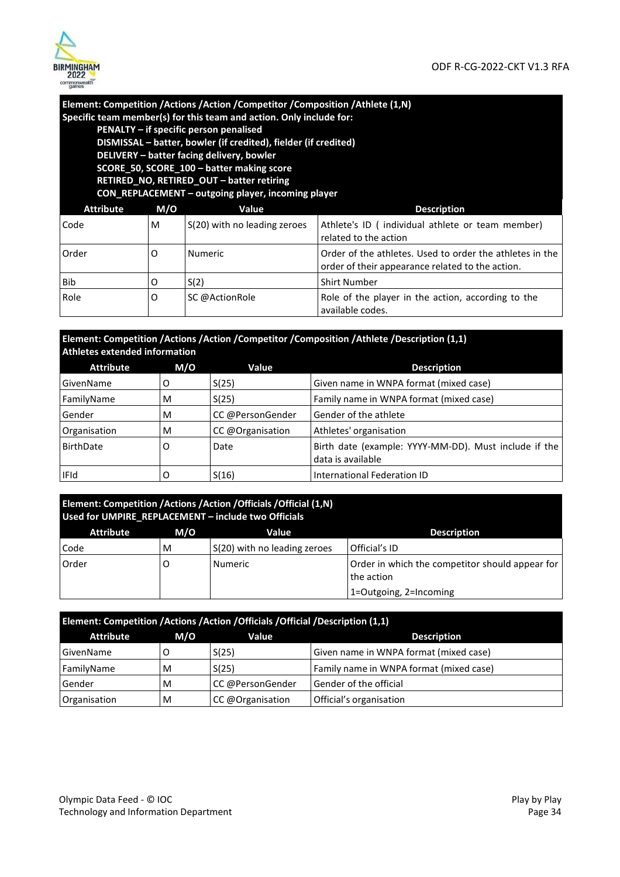

## **Element: Competition /Actions /Action /Competitor /Composition /Athlete (1,N) Specific team member(s) for this team and action. Only include for:**

 **PENALTY – if specific person penalised** 

 **DISMISSAL – batter, bowler (if credited), fielder (if credited) DELIVERY – batter facing delivery, bowler SCORE\_50, SCORE\_100 – batter making score** 

 **RETIRED\_NO, RETIRED\_OUT – batter retiring** 

 **CON\_REPLACEMENT – outgoing player, incoming player**

| <b>Attribute</b> | M/O | Value                        | <b>Description</b>                                                                                           |
|------------------|-----|------------------------------|--------------------------------------------------------------------------------------------------------------|
| Code             | M   | S(20) with no leading zeroes | Athlete's ID (individual athlete or team member)<br>related to the action                                    |
| Order            | Ő   | <b>Numeric</b>               | Order of the athletes. Used to order the athletes in the<br>order of their appearance related to the action. |
| Bib              | O   | S(2)                         | <b>Shirt Number</b>                                                                                          |
| Role             | O   | SC @ActionRole               | Role of the player in the action, according to the<br>available codes.                                       |

**Element: Competition /Actions /Action /Competitor /Composition /Athlete /Description (1,1) Athletes extended information** 

| <b>Attribute</b>         | M/O | Value            | <b>Description</b>                                                         |
|--------------------------|-----|------------------|----------------------------------------------------------------------------|
| GivenName                | O   | S(25)            | Given name in WNPA format (mixed case)                                     |
| S(25)<br>FamilyName<br>M |     |                  | Family name in WNPA format (mixed case)                                    |
| Gender                   | M   | CC @PersonGender | Gender of the athlete                                                      |
| Organisation             | M   | CC @Organisation | Athletes' organisation                                                     |
| <b>BirthDate</b>         | O   | Date             | Birth date (example: YYYY-MM-DD). Must include if the<br>data is available |
| <b>IFId</b>              |     | S(16)            | International Federation ID                                                |

| Element: Competition /Actions /Action /Officials /Official (1,N)<br>Used for UMPIRE_REPLACEMENT - include two Officials |     |                              |                                                               |  |
|-------------------------------------------------------------------------------------------------------------------------|-----|------------------------------|---------------------------------------------------------------|--|
| <b>Attribute</b>                                                                                                        | M/O | <b>Value</b>                 | <b>Description</b>                                            |  |
| Code                                                                                                                    | м   | S(20) with no leading zeroes | Official's ID                                                 |  |
| Order<br><b>Numeric</b>                                                                                                 |     |                              | Order in which the competitor should appear for<br>the action |  |
|                                                                                                                         |     |                              | 1=Outgoing, 2=Incoming                                        |  |

| Element: Competition /Actions /Action /Officials /Official /Description (1,1) |     |                  |                                         |  |  |
|-------------------------------------------------------------------------------|-----|------------------|-----------------------------------------|--|--|
| <b>Attribute</b>                                                              | M/O | Value            | <b>Description</b>                      |  |  |
| GivenName                                                                     |     | S(25)            | Given name in WNPA format (mixed case)  |  |  |
| FamilyName                                                                    | M   | S(25)            | Family name in WNPA format (mixed case) |  |  |
| Gender                                                                        | M   | CC @PersonGender | Gender of the official                  |  |  |
| Organisation                                                                  | M   | CC @Organisation | Official's organisation                 |  |  |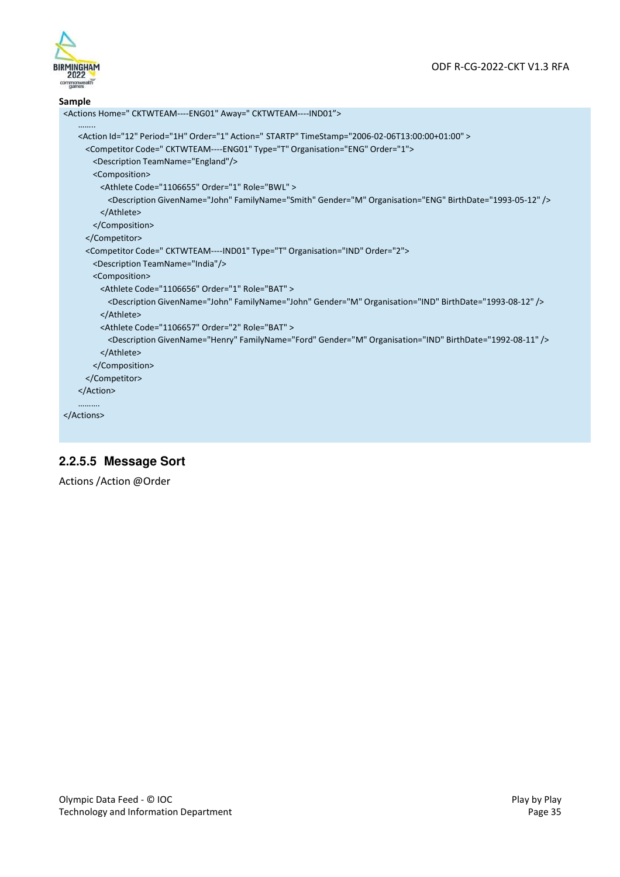

#### **Sample**

```
<Actions Home=" CKTWTEAM----ENG01" Away=" CKTWTEAM----IND01"> 
   …….. 
   <Action Id="12" Period="1H" Order="1" Action=" STARTP" TimeStamp="2006-02-06T13:00:00+01:00" > 
     <Competitor Code=" CKTWTEAM----ENG01" Type="T" Organisation="ENG" Order="1"> 
      <Description TeamName="England"/> 
       <Composition> 
         <Athlete Code="1106655" Order="1" Role="BWL" > 
          <Description GivenName="John" FamilyName="Smith" Gender="M" Organisation="ENG" BirthDate="1993-05-12" /> 
        </Athlete> 
       </Composition> 
     </Competitor> 
     <Competitor Code=" CKTWTEAM----IND01" Type="T" Organisation="IND" Order="2"> 
       <Description TeamName="India"/> 
      <Composition> 
        <Athlete Code="1106656" Order="1" Role="BAT" > 
          <Description GivenName="John" FamilyName="John" Gender="M" Organisation="IND" BirthDate="1993-08-12" /> 
        </Athlete> 
         <Athlete Code="1106657" Order="2" Role="BAT" > 
          <Description GivenName="Henry" FamilyName="Ford" Gender="M" Organisation="IND" BirthDate="1992-08-11" />
        </Athlete> 
       </Composition> 
     </Competitor> 
   </Action> 
   ………. 
</Actions>
```
#### **2.2.5.5 Message Sort**

Actions /Action @Order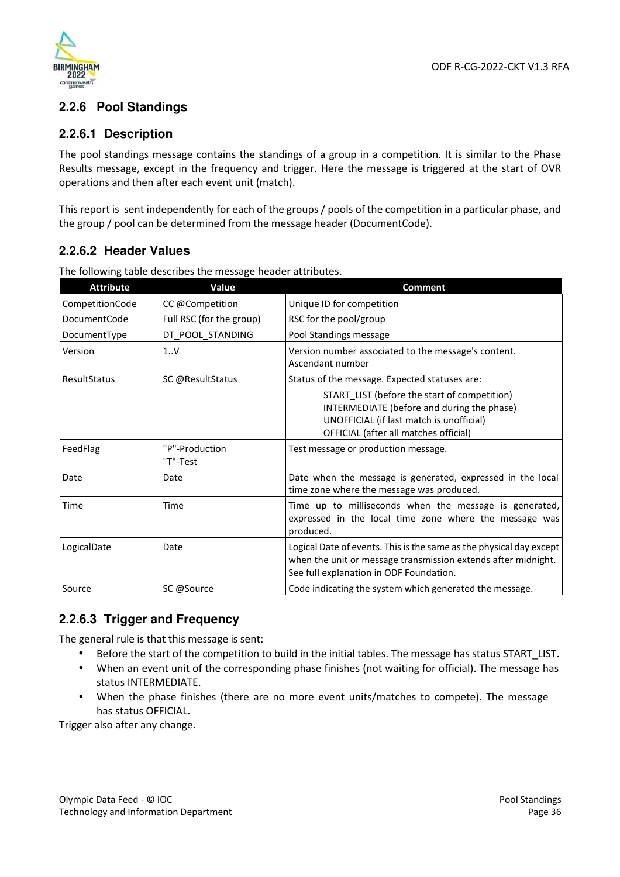

#### **2.2.6 Pool Standings**

#### **2.2.6.1 Description**

The pool standings message contains the standings of a group in a competition. It is similar to the Phase Results message, except in the frequency and trigger. Here the message is triggered at the start of OVR operations and then after each event unit (match).

This report is sent independently for each of the groups / pools of the competition in a particular phase, and the group / pool can be determined from the message header (DocumentCode).

## **2.2.6.2 Header Values**

| <b>Attribute</b>    | Value                      | <b>Comment</b>                                                                                                                                                                  |
|---------------------|----------------------------|---------------------------------------------------------------------------------------------------------------------------------------------------------------------------------|
| CompetitionCode     | CC @Competition            | Unique ID for competition                                                                                                                                                       |
| <b>DocumentCode</b> | Full RSC (for the group)   | RSC for the pool/group                                                                                                                                                          |
| DocumentType        | DT_POOL_STANDING           | Pool Standings message                                                                                                                                                          |
| Version             | 1.1V                       | Version number associated to the message's content.<br>Ascendant number                                                                                                         |
| ResultStatus        | SC @ResultStatus           | Status of the message. Expected statuses are:                                                                                                                                   |
|                     |                            | START_LIST (before the start of competition)<br>INTERMEDIATE (before and during the phase)<br>UNOFFICIAL (if last match is unofficial)<br>OFFICIAL (after all matches official) |
| FeedFlag            | "P"-Production<br>"T"-Test | Test message or production message.                                                                                                                                             |
| Date                | Date                       | Date when the message is generated, expressed in the local<br>time zone where the message was produced.                                                                         |
| Time                | Time                       | Time up to milliseconds when the message is generated,<br>expressed in the local time zone where the message was<br>produced.                                                   |
| LogicalDate         | Date                       | Logical Date of events. This is the same as the physical day except<br>when the unit or message transmission extends after midnight.<br>See full explanation in ODF Foundation. |
| Source              | SC @Source                 | Code indicating the system which generated the message.                                                                                                                         |

The following table describes the message header attributes.

## **2.2.6.3 Trigger and Frequency**

The general rule is that this message is sent:

- Before the start of the competition to build in the initial tables. The message has status START\_LIST.
- When an event unit of the corresponding phase finishes (not waiting for official). The message has status INTERMEDIATE.
- When the phase finishes (there are no more event units/matches to compete). The message has status OFFICIAL.

Trigger also after any change.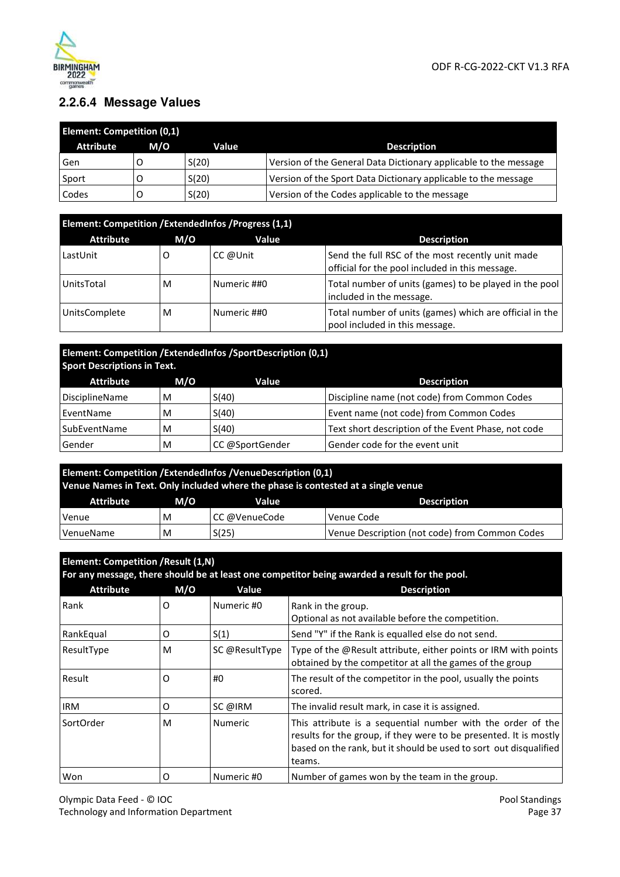

## **2.2.6.4 Message Values**

| <b>Element: Competition (0,1)</b> |     |       |                                                                  |  |  |
|-----------------------------------|-----|-------|------------------------------------------------------------------|--|--|
| <b>Attribute</b>                  | M/O | Value | <b>Description</b>                                               |  |  |
| Gen                               |     | S(20) | Version of the General Data Dictionary applicable to the message |  |  |
| Sport                             |     | S(20) | Version of the Sport Data Dictionary applicable to the message   |  |  |
| Codes                             |     | S(20) | Version of the Codes applicable to the message                   |  |  |

| Element: Competition / ExtendedInfos / Progress (1,1) |     |             |                                                                                                     |  |
|-------------------------------------------------------|-----|-------------|-----------------------------------------------------------------------------------------------------|--|
| <b>Attribute</b>                                      | M/O | Value       | <b>Description</b>                                                                                  |  |
| LastUnit                                              | O   | CC @Unit    | Send the full RSC of the most recently unit made<br>official for the pool included in this message. |  |
| UnitsTotal                                            | м   | Numeric ##0 | Total number of units (games) to be played in the pool<br>included in the message.                  |  |
| UnitsComplete                                         | м   | Numeric ##0 | Total number of units (games) which are official in the<br>pool included in this message.           |  |

| Element: Competition / ExtendedInfos / Sport Description (0,1) |  |
|----------------------------------------------------------------|--|
| <b>Sport Descriptions in Text.</b>                             |  |

| <b>Attribute</b>      | M/O | Value           | <b>Description</b>                                  |  |
|-----------------------|-----|-----------------|-----------------------------------------------------|--|
| <b>DisciplineName</b> | M   | S(40)           | Discipline name (not code) from Common Codes        |  |
| EventName             | M   | S(40)           | Event name (not code) from Common Codes             |  |
| SubEventName          | M   | S(40)           | Text short description of the Event Phase, not code |  |
| Gender                | M   | CC @SportGender | Gender code for the event unit                      |  |

| <b>Element: Competition /ExtendedInfos /VenueDescription (0,1)</b><br>Venue Names in Text. Only included where the phase is contested at a single venue |     |               |                                                |
|---------------------------------------------------------------------------------------------------------------------------------------------------------|-----|---------------|------------------------------------------------|
| Attribute                                                                                                                                               | M/O | Value         | <b>Description</b>                             |
| Venue                                                                                                                                                   | M   | CC @VenueCode | Venue Code                                     |
| VenueName                                                                                                                                               | M   | S(25)         | Venue Description (not code) from Common Codes |

| Element: Competition / Result (1,N)<br>For any message, there should be at least one competitor being awarded a result for the pool. |     |                |                                                                                                                                                                                                                 |
|--------------------------------------------------------------------------------------------------------------------------------------|-----|----------------|-----------------------------------------------------------------------------------------------------------------------------------------------------------------------------------------------------------------|
| <b>Attribute</b>                                                                                                                     | M/O | Value          | <b>Description</b>                                                                                                                                                                                              |
| Rank                                                                                                                                 | O   | Numeric #0     | Rank in the group.<br>Optional as not available before the competition.                                                                                                                                         |
| RankEqual                                                                                                                            | 0   | S(1)           | Send "Y" if the Rank is equalled else do not send.                                                                                                                                                              |
| ResultType                                                                                                                           | м   | SC @ResultType | Type of the @Result attribute, either points or IRM with points<br>obtained by the competitor at all the games of the group                                                                                     |
| Result                                                                                                                               | O   | #0             | The result of the competitor in the pool, usually the points<br>scored.                                                                                                                                         |
| IRM                                                                                                                                  | O   | SC @IRM        | The invalid result mark, in case it is assigned.                                                                                                                                                                |
| SortOrder                                                                                                                            | м   | <b>Numeric</b> | This attribute is a sequential number with the order of the<br>results for the group, if they were to be presented. It is mostly<br>based on the rank, but it should be used to sort out disqualified<br>teams. |
| Won                                                                                                                                  | O   | Numeric #0     | Number of games won by the team in the group.                                                                                                                                                                   |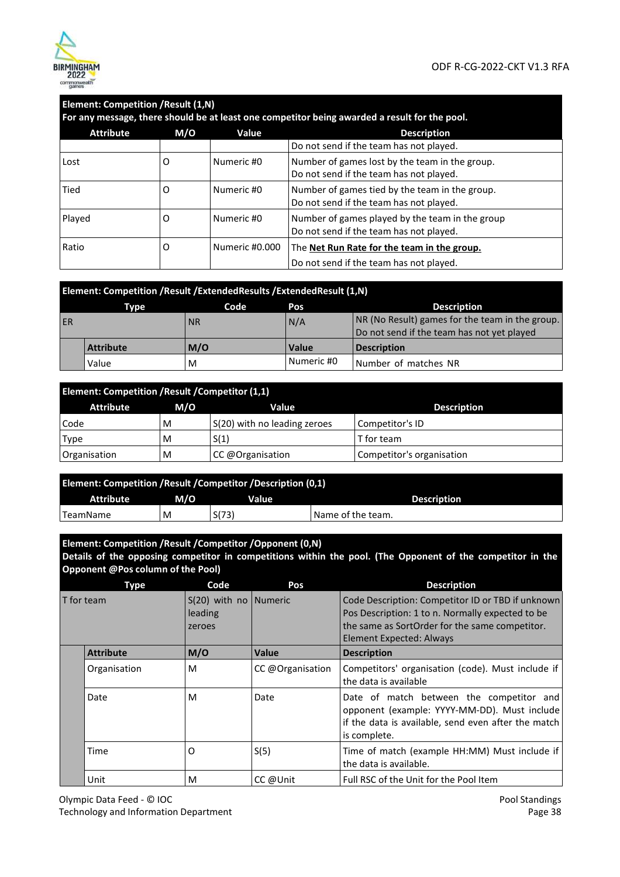

| Element: Competition / Result (1,N)<br>For any message, there should be at least one competitor being awarded a result for the pool. |     |                |                                                                                            |
|--------------------------------------------------------------------------------------------------------------------------------------|-----|----------------|--------------------------------------------------------------------------------------------|
| <b>Attribute</b>                                                                                                                     | M/O | Value          | <b>Description</b>                                                                         |
|                                                                                                                                      |     |                | Do not send if the team has not played.                                                    |
| Lost                                                                                                                                 | O   | Numeric #0     | Number of games lost by the team in the group.<br>Do not send if the team has not played.  |
| Tied                                                                                                                                 | 0   | Numeric #0     | Number of games tied by the team in the group.<br>Do not send if the team has not played.  |
| Played                                                                                                                               | O   | Numeric #0     | Number of games played by the team in the group<br>Do not send if the team has not played. |
| Ratio                                                                                                                                | 0   | Numeric #0.000 | The Net Run Rate for the team in the group.<br>Do not send if the team has not played.     |

|    | Element: Competition / Result / Extended Results / Extended Result (1, N) |           |            |                                                 |  |
|----|---------------------------------------------------------------------------|-----------|------------|-------------------------------------------------|--|
|    | Type                                                                      | Code      | Pos        | <b>Description</b>                              |  |
| ER |                                                                           | <b>NR</b> | N/A        | NR (No Result) games for the team in the group. |  |
|    |                                                                           |           |            | Do not send if the team has not yet played      |  |
|    | <b>Attribute</b>                                                          | M/O       | Value      | <b>Description</b>                              |  |
|    | Value                                                                     | M         | Numeric #0 | Number of matches NR                            |  |

| Element: Competition / Result / Competitor (1,1) |     |                              |                           |  |
|--------------------------------------------------|-----|------------------------------|---------------------------|--|
| <b>Attribute</b>                                 | M/O | Value                        | <b>Description</b>        |  |
| Code                                             | м   | S(20) with no leading zeroes | Competitor's ID           |  |
| <b>Type</b>                                      | M   | S(1)                         | T for team                |  |
| Organisation                                     | M   | CC @Organisation             | Competitor's organisation |  |

| Element: Competition / Result / Competitor / Description (0,1) |     |       |                    |
|----------------------------------------------------------------|-----|-------|--------------------|
| <b>Attribute</b>                                               | M/O | Value | <b>Description</b> |
| <sup>I</sup> TeamName                                          | M   | S(73) | Name of the team.  |

| Element: Competition / Result / Competitor / Opponent (0,N)                                                |  |
|------------------------------------------------------------------------------------------------------------|--|
| Details of the opposing competitor in competitions within the pool. (The Opponent of the competitor in the |  |
| <b>Opponent @Pos column of the Pool)</b>                                                                   |  |

|            | <b>Type</b>      | Code                                           | Pos              | <b>Description</b>                                                                                                                                                                         |
|------------|------------------|------------------------------------------------|------------------|--------------------------------------------------------------------------------------------------------------------------------------------------------------------------------------------|
| T for team |                  | $S(20)$ with no   Numeric<br>leading<br>zeroes |                  | Code Description: Competitor ID or TBD if unknown<br>Pos Description: 1 to n. Normally expected to be<br>the same as SortOrder for the same competitor.<br><b>Element Expected: Always</b> |
|            | <b>Attribute</b> | M/O                                            | Value            | <b>Description</b>                                                                                                                                                                         |
|            | Organisation     | M                                              | CC @Organisation | Competitors' organisation (code). Must include if<br>the data is available                                                                                                                 |
|            | Date             | M                                              | Date             | Date of match between the competitor and<br>opponent (example: YYYY-MM-DD). Must include<br>if the data is available, send even after the match<br>is complete.                            |
|            | Time             | O                                              | S(5)             | Time of match (example HH:MM) Must include if<br>the data is available.                                                                                                                    |
|            | Unit             | м                                              | CC @Unit         | Full RSC of the Unit for the Pool Item                                                                                                                                                     |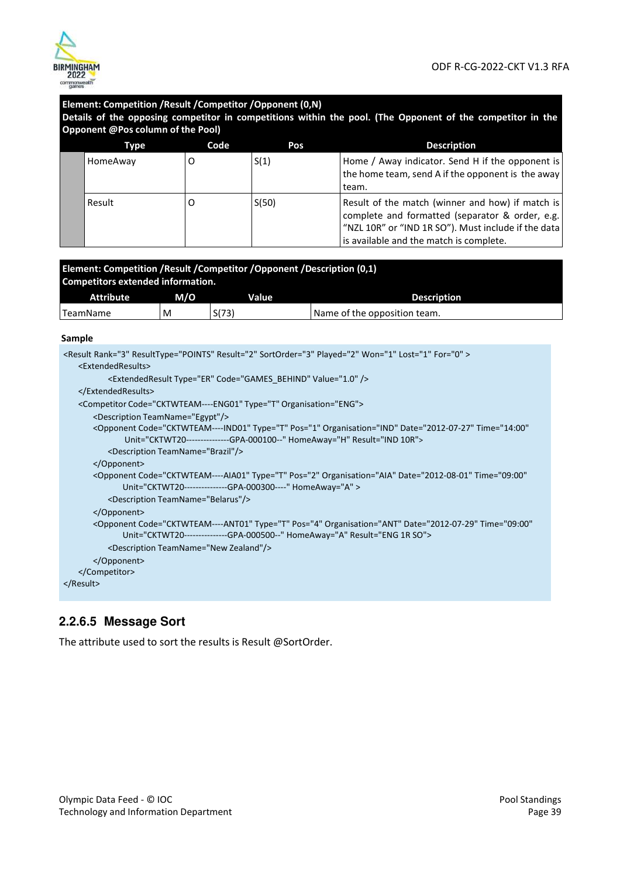

#### **Element: Competition /Result /Competitor /Opponent (0,N) Details of the opposing competitor in competitions within the pool. (The Opponent of the competitor in the Opponent @Pos column of the Pool) Type Code Pos Pos Description** HomeAway  $\begin{vmatrix} 0 & 1 \end{vmatrix}$  S(1) Home / Away indicator. Send H if the opponent is the home team, send A if the opponent is the away team. Result  $\begin{vmatrix} 0 & 1 \end{vmatrix}$  S(50) Result of the match (winner and how) if match is complete and formatted (separator & order, e.g. "NZL 10R" or "IND 1R SO"). Must include if the data is available and the match is complete.

| Element: Competition / Result / Competitor / Opponent / Description (0,1)<br>Competitors extended information. |     |       |                              |  |
|----------------------------------------------------------------------------------------------------------------|-----|-------|------------------------------|--|
|                                                                                                                |     |       |                              |  |
| Attribute                                                                                                      | M/O | Value | <b>Description</b>           |  |
| TeamName                                                                                                       | M   | S(73) | Name of the opposition team. |  |

#### **Sample**

| <result for="0" lost="1" played="2" rank="3" result="2" resulttype="POINTS" sortorder="3" won="1"></result>                                                                                          |  |
|------------------------------------------------------------------------------------------------------------------------------------------------------------------------------------------------------|--|
| <extendedresults></extendedresults>                                                                                                                                                                  |  |
| <extendedresult code="GAMES BEHIND" type="ER" value="1.0"></extendedresult>                                                                                                                          |  |
|                                                                                                                                                                                                      |  |
| <competitor code="CKTWTEAM----ENG01" organisation="ENG" type="T"></competitor>                                                                                                                       |  |
| <description teamname="Egypt"></description>                                                                                                                                                         |  |
| <opponent <br="" code="CKTWTEAM----IND01" date="2012-07-27" organisation="IND" pos="1" time="14:00" type="T">Unit="CKTWT20---------------GPA-000100--" HomeAway="H" Result="IND 10R"&gt;</opponent>  |  |
| <description teamname="Brazil"></description>                                                                                                                                                        |  |
|                                                                                                                                                                                                      |  |
| <opponent <br="" code="CKTWTEAM----AIA01" date="2012-08-01" organisation="AIA" pos="2" time="09:00" type="T">Unit="CKTWT20---------------GPA-000300----" HomeAway="A" &gt;</opponent>                |  |
| <description teamname="Belarus"></description>                                                                                                                                                       |  |
|                                                                                                                                                                                                      |  |
| <opponent <br="" code="CKTWTEAM----ANT01" date="2012-07-29" organisation="ANT" pos="4" time="09:00" type="T">Unit="CKTWT20--------------GPA-000500--" HomeAway="A" Result="ENG 1R SO"&gt;</opponent> |  |
| <description teamname="New Zealand"></description>                                                                                                                                                   |  |
|                                                                                                                                                                                                      |  |
|                                                                                                                                                                                                      |  |
|                                                                                                                                                                                                      |  |
|                                                                                                                                                                                                      |  |

#### **2.2.6.5 Message Sort**

The attribute used to sort the results is Result @SortOrder.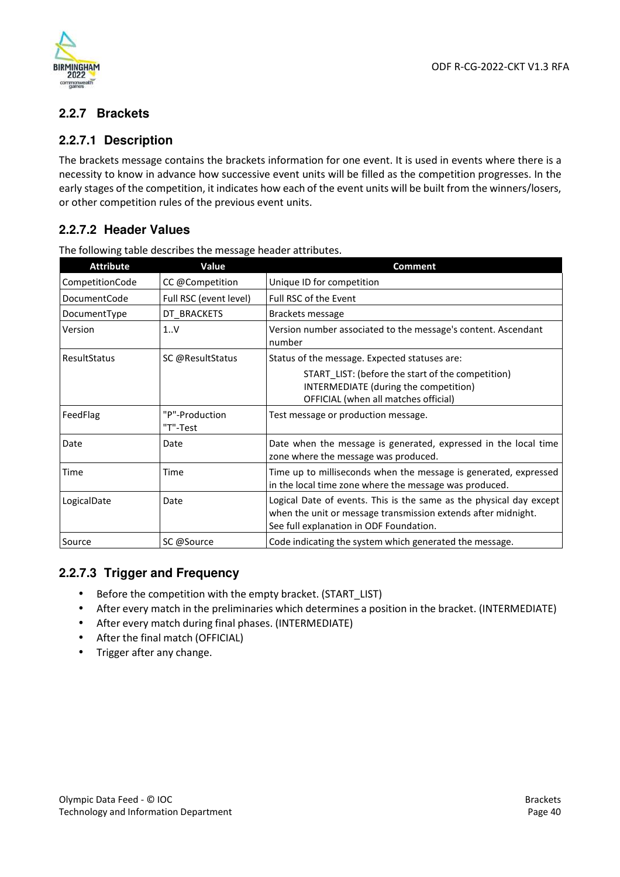

## **2.2.7 Brackets**

## **2.2.7.1 Description**

The brackets message contains the brackets information for one event. It is used in events where there is a necessity to know in advance how successive event units will be filled as the competition progresses. In the early stages of the competition, it indicates how each of the event units will be built from the winners/losers, or other competition rules of the previous event units.

## **2.2.7.2 Header Values**

| <b>Attribute</b>    | Value                      | <b>Comment</b>                                                                                                                                                                  |
|---------------------|----------------------------|---------------------------------------------------------------------------------------------------------------------------------------------------------------------------------|
| CompetitionCode     | CC @Competition            | Unique ID for competition                                                                                                                                                       |
| <b>DocumentCode</b> | Full RSC (event level)     | Full RSC of the Event                                                                                                                                                           |
| DocumentType        | DT_BRACKETS                | Brackets message                                                                                                                                                                |
| Version             | 1.1V                       | Version number associated to the message's content. Ascendant<br>number                                                                                                         |
| ResultStatus        | SC @ResultStatus           | Status of the message. Expected statuses are:                                                                                                                                   |
|                     |                            | START LIST: (before the start of the competition)<br>INTERMEDIATE (during the competition)<br>OFFICIAL (when all matches official)                                              |
| FeedFlag            | "P"-Production<br>"T"-Test | Test message or production message.                                                                                                                                             |
| Date                | Date                       | Date when the message is generated, expressed in the local time<br>zone where the message was produced.                                                                         |
| Time                | Time                       | Time up to milliseconds when the message is generated, expressed<br>in the local time zone where the message was produced.                                                      |
| LogicalDate         | Date                       | Logical Date of events. This is the same as the physical day except<br>when the unit or message transmission extends after midnight.<br>See full explanation in ODF Foundation. |
| Source              | SC @Source                 | Code indicating the system which generated the message.                                                                                                                         |

The following table describes the message header attributes.

#### **2.2.7.3 Trigger and Frequency**

- Before the competition with the empty bracket. (START\_LIST)
- After every match in the preliminaries which determines a position in the bracket. (INTERMEDIATE)
- After every match during final phases. (INTERMEDIATE)
- After the final match (OFFICIAL)
- Trigger after any change.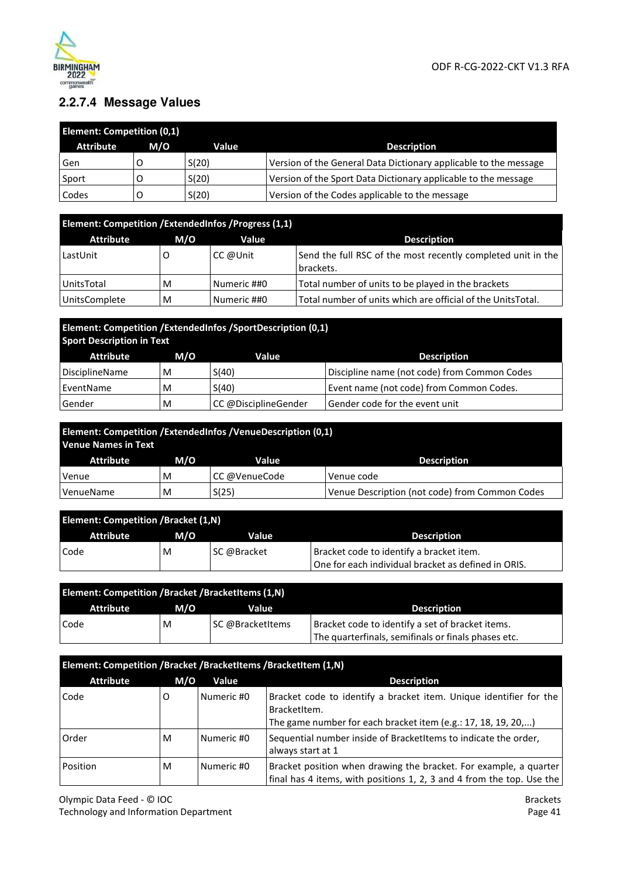

## **2.2.7.4 Message Values**

| <b>Element: Competition (0,1)</b> |     |       |                                                                  |
|-----------------------------------|-----|-------|------------------------------------------------------------------|
| <b>Attribute</b>                  | M/O | Value | <b>Description</b>                                               |
| Gen                               |     | S(20) | Version of the General Data Dictionary applicable to the message |
| Sport                             |     | S(20) | Version of the Sport Data Dictionary applicable to the message   |
| Codes                             |     | S(20) | Version of the Codes applicable to the message                   |

| Element: Competition / ExtendedInfos / Progress (1,1) |     |             |                                                                           |  |
|-------------------------------------------------------|-----|-------------|---------------------------------------------------------------------------|--|
| <b>Attribute</b>                                      | M/O | Value       | <b>Description</b>                                                        |  |
| LastUnit                                              |     | CC @Unit    | Send the full RSC of the most recently completed unit in the<br>brackets. |  |
| UnitsTotal                                            | M   | Numeric ##0 | Total number of units to be played in the brackets                        |  |
| <b>UnitsComplete</b>                                  | M   | Numeric ##0 | Total number of units which are official of the UnitsTotal.               |  |

## **Element: Competition /ExtendedInfos /SportDescription (0,1) Sport Description in Text**

| Attribute      | M/O | Value                 | <b>Description</b>                           |
|----------------|-----|-----------------------|----------------------------------------------|
| DisciplineName | M   | S(40)                 | Discipline name (not code) from Common Codes |
| EventName      | M   | S(40)                 | Event name (not code) from Common Codes.     |
| Gender         | M   | ∣CC @DisciplineGender | Gender code for the event unit               |

| Element: Competition /ExtendedInfos /VenueDescription (0,1)<br>Venue Names in Text |     |               |                                                |
|------------------------------------------------------------------------------------|-----|---------------|------------------------------------------------|
| <b>Attribute</b>                                                                   | M/O | Value         | <b>Description</b>                             |
| Venue                                                                              | M   | CC @VenueCode | Venue code                                     |
| VenueName                                                                          | M   | S(25)         | Venue Description (not code) from Common Codes |

| <b>Element: Competition /Bracket (1,N)</b> |     |             |                                                     |
|--------------------------------------------|-----|-------------|-----------------------------------------------------|
| Attribute                                  | M/O | Value       | <b>Description</b>                                  |
| Code                                       | M   | SC @Bracket | Bracket code to identify a bracket item.            |
|                                            |     |             | One for each individual bracket as defined in ORIS. |

| <b>Element: Competition /Bracket /BracketItems (1,N)</b> |     |                  |                                                     |
|----------------------------------------------------------|-----|------------------|-----------------------------------------------------|
| Attribute                                                | M/O | Value            | <b>Description</b>                                  |
| Code                                                     | M   | SC @BracketItems | Bracket code to identify a set of bracket items.    |
|                                                          |     |                  | The quarterfinals, semifinals or finals phases etc. |

| Element: Competition /Bracket /BracketItems /BracketItem (1,N) |     |            |                                                                                                                                                     |
|----------------------------------------------------------------|-----|------------|-----------------------------------------------------------------------------------------------------------------------------------------------------|
| <b>Attribute</b>                                               | M/O | Value      | <b>Description</b>                                                                                                                                  |
| Code                                                           | O   | Numeric #0 | Bracket code to identify a bracket item. Unique identifier for the<br>BracketItem.<br>The game number for each bracket item (e.g.: 17, 18, 19, 20,) |
| Order                                                          | M   | Numeric #0 | Sequential number inside of BracketItems to indicate the order,<br>always start at 1                                                                |
| Position                                                       | M   | Numeric #0 | Bracket position when drawing the bracket. For example, a quarter<br>final has 4 items, with positions 1, 2, 3 and 4 from the top. Use the          |

Olympic Data Feed - © IOC Technology and Information Department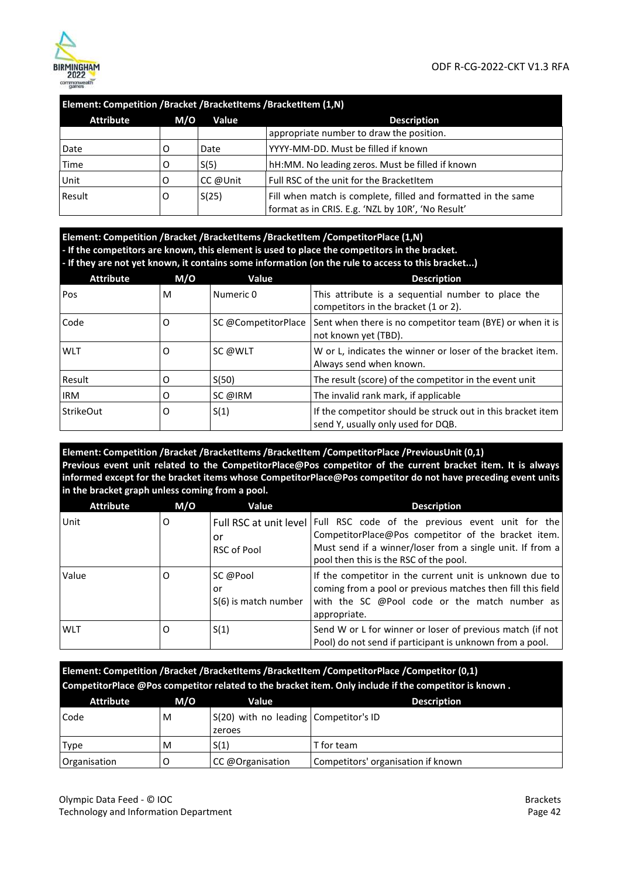

#### **Element: Competition /Bracket /BracketItems /BracketItem (1,N)**

| <b>Attribute</b> | M/O | Value    | <b>Description</b>                                                                                                 |
|------------------|-----|----------|--------------------------------------------------------------------------------------------------------------------|
|                  |     |          | appropriate number to draw the position.                                                                           |
| Date             |     | Date     | YYYY-MM-DD. Must be filled if known                                                                                |
| Time             |     | S(5)     | hH:MM. No leading zeros. Must be filled if known                                                                   |
| Unit             |     | CC @Unit | Full RSC of the unit for the BracketItem                                                                           |
| Result           |     | S(25)    | Fill when match is complete, filled and formatted in the same<br>format as in CRIS. E.g. 'NZL by 10R', 'No Result' |

#### **Element: Competition /Bracket /BracketItems /BracketItem /CompetitorPlace (1,N) - If the competitors are known, this element is used to place the competitors in the bracket. - If they are not yet known, it contains some information (on the rule to access to this bracket...)**

| <b>Attribute</b> | M/O | Value               | <b>Description</b>                                                                                |
|------------------|-----|---------------------|---------------------------------------------------------------------------------------------------|
| Pos              | M   | Numeric 0           | This attribute is a sequential number to place the<br>competitors in the bracket (1 or 2).        |
| Code             | O   | SC @CompetitorPlace | Sent when there is no competitor team (BYE) or when it is<br>not known yet (TBD).                 |
| <b>WLT</b>       | O   | SC @WLT             | W or L, indicates the winner or loser of the bracket item.<br>Always send when known.             |
| Result           | O   | S(50)               | The result (score) of the competitor in the event unit                                            |
| <b>IRM</b>       | O   | SC @IRM             | The invalid rank mark, if applicable                                                              |
| <b>StrikeOut</b> | 0   | S(1)                | If the competitor should be struck out in this bracket item<br>send Y, usually only used for DQB. |

#### **Element: Competition /Bracket /BracketItems /BracketItem /CompetitorPlace /PreviousUnit (0,1) Previous event unit related to the CompetitorPlace@Pos competitor of the current bracket item. It is always informed except for the bracket items whose CompetitorPlace@Pos competitor do not have preceding event units in the bracket graph unless coming from a pool.**

| <b>Attribute</b> | M/O | Value                                  | <b>Description</b>                                                                                                                                                                                                                      |
|------------------|-----|----------------------------------------|-----------------------------------------------------------------------------------------------------------------------------------------------------------------------------------------------------------------------------------------|
| Unit             | 0   | or<br>RSC of Pool                      | Full RSC at unit level   Full RSC code of the previous event unit for the<br>CompetitorPlace@Pos competitor of the bracket item.<br>Must send if a winner/loser from a single unit. If from a<br>pool then this is the RSC of the pool. |
| Value            | O   | SC @Pool<br>or<br>S(6) is match number | If the competitor in the current unit is unknown due to<br>coming from a pool or previous matches then fill this field<br>with the SC @Pool code or the match number as<br>appropriate.                                                 |
| <b>WLT</b>       | O   | S(1)                                   | Send W or L for winner or loser of previous match (if not<br>Pool) do not send if participant is unknown from a pool.                                                                                                                   |

**Element: Competition /Bracket /BracketItems /BracketItem /CompetitorPlace /Competitor (0,1) CompetitorPlace @Pos competitor related to the bracket item. Only include if the competitor is known .**

| <b>Attribute</b> | M/O | Value                                 | <b>Description</b>                 |
|------------------|-----|---------------------------------------|------------------------------------|
| Code             | M   | S(20) with no leading Competitor's ID |                                    |
|                  |     | zeroes                                |                                    |
| Type             | M   | S(1)                                  | T for team                         |
| Organisation     |     | CC @Organisation                      | Competitors' organisation if known |

Olympic Data Feed - © IOC Technology and Information Department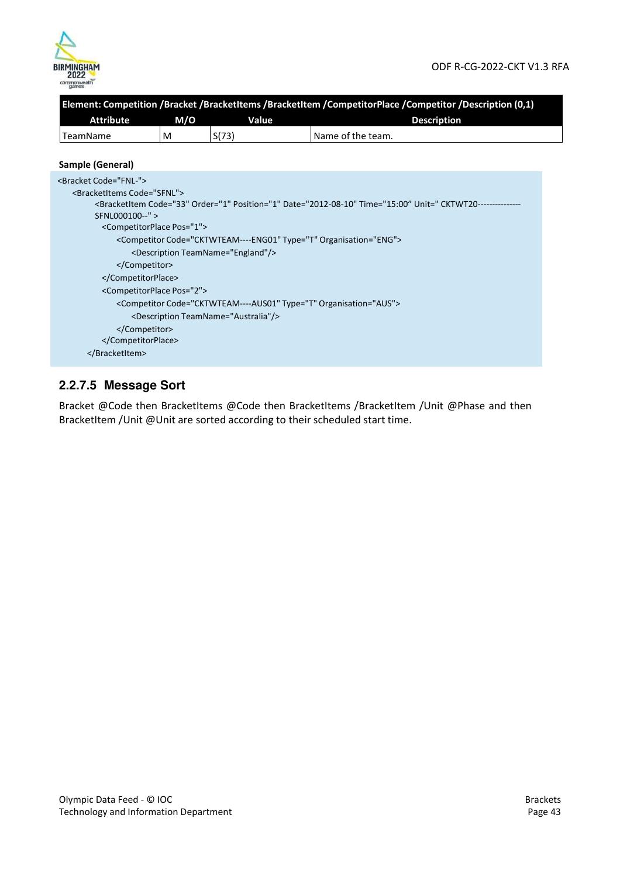

|                                           |                                             |                                                  | Element: Competition /Bracket /BracketItems /BracketItem /CompetitorPlace /Competitor /Description (0,1)                                                                        |  |  |  |
|-------------------------------------------|---------------------------------------------|--------------------------------------------------|---------------------------------------------------------------------------------------------------------------------------------------------------------------------------------|--|--|--|
| <b>Attribute</b>                          | M/O                                         | Value                                            | <b>Description</b>                                                                                                                                                              |  |  |  |
| <b>TeamName</b>                           | M                                           | S(73)                                            | Name of the team.                                                                                                                                                               |  |  |  |
| Sample (General)                          |                                             |                                                  |                                                                                                                                                                                 |  |  |  |
| <bracket code="FNL-"></bracket>           |                                             |                                                  |                                                                                                                                                                                 |  |  |  |
| <bracketitems code="SFNL"></bracketitems> |                                             |                                                  |                                                                                                                                                                                 |  |  |  |
|                                           |                                             |                                                  | <bracketitem code="33" date="2012-08-10" order="1" position="1" time="15:00" unit=" CKTWT20--------------&lt;/td&gt;&lt;/tr&gt;&lt;tr&gt;&lt;td&gt;SFNL000100--"></bracketitem> |  |  |  |
|                                           | <competitorplace pos="1"></competitorplace> |                                                  |                                                                                                                                                                                 |  |  |  |
|                                           |                                             |                                                  | <competitor code="CKTWTEAM----ENG01" organisation="ENG" type="T"></competitor>                                                                                                  |  |  |  |
|                                           |                                             | <description teamname="England"></description>   |                                                                                                                                                                                 |  |  |  |
|                                           |                                             |                                                  |                                                                                                                                                                                 |  |  |  |
|                                           |                                             |                                                  |                                                                                                                                                                                 |  |  |  |
|                                           | <competitorplace pos="2"></competitorplace> |                                                  |                                                                                                                                                                                 |  |  |  |
|                                           |                                             |                                                  | <competitor code="CKTWTEAM----AUS01" organisation="AUS" type="T"></competitor>                                                                                                  |  |  |  |
|                                           |                                             | <description teamname="Australia"></description> |                                                                                                                                                                                 |  |  |  |
|                                           |                                             |                                                  |                                                                                                                                                                                 |  |  |  |
|                                           |                                             |                                                  |                                                                                                                                                                                 |  |  |  |
|                                           |                                             |                                                  |                                                                                                                                                                                 |  |  |  |
|                                           |                                             |                                                  |                                                                                                                                                                                 |  |  |  |

## **2.2.7.5 Message Sort**

Bracket @Code then BracketItems @Code then BracketItems /BracketItem /Unit @Phase and then BracketItem /Unit @Unit are sorted according to their scheduled start time.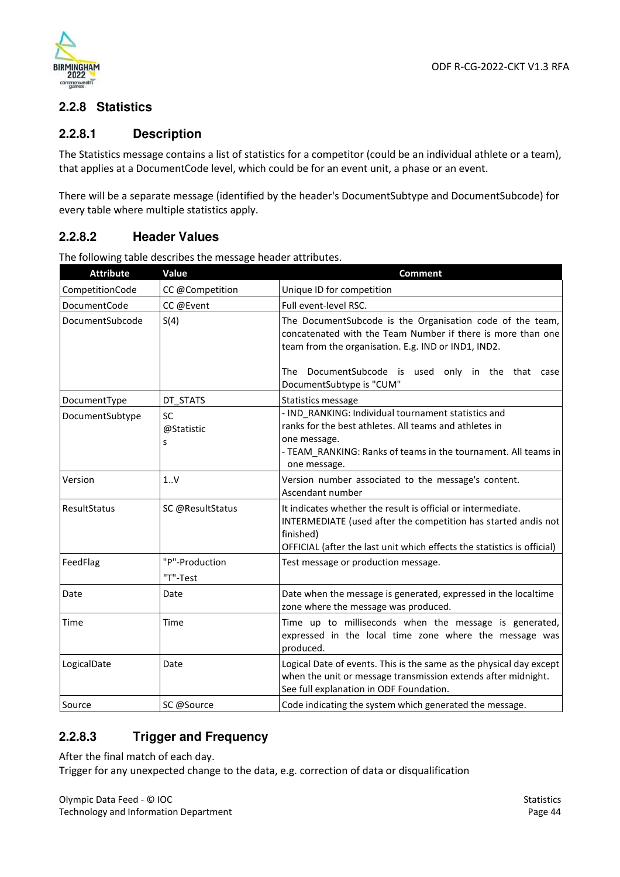

#### **2.2.8 Statistics**

#### **2.2.8.1 Description**

The Statistics message contains a list of statistics for a competitor (could be an individual athlete or a team), that applies at a DocumentCode level, which could be for an event unit, a phase or an event.

There will be a separate message (identified by the header's DocumentSubtype and DocumentSubcode) for every table where multiple statistics apply.

#### **2.2.8.2 Header Values**

| <b>Attribute</b>                | Value                        | <b>Comment</b>                                                                                                                                                                                                                          |
|---------------------------------|------------------------------|-----------------------------------------------------------------------------------------------------------------------------------------------------------------------------------------------------------------------------------------|
| CompetitionCode                 | CC @Competition              | Unique ID for competition                                                                                                                                                                                                               |
| DocumentCode                    | CC @Event                    | Full event-level RSC.                                                                                                                                                                                                                   |
| DocumentSubcode                 | S(4)                         | The DocumentSubcode is the Organisation code of the team,<br>concatenated with the Team Number if there is more than one<br>team from the organisation. E.g. IND or IND1, IND2.<br>DocumentSubcode is used only in the that case<br>The |
|                                 | DT STATS                     | DocumentSubtype is "CUM"                                                                                                                                                                                                                |
| DocumentType<br>DocumentSubtype | <b>SC</b><br>@Statistic<br>S | Statistics message<br>- IND RANKING: Individual tournament statistics and<br>ranks for the best athletes. All teams and athletes in<br>one message.<br>- TEAM_RANKING: Ranks of teams in the tournament. All teams in<br>one message.   |
| Version                         | 1V                           | Version number associated to the message's content.<br>Ascendant number                                                                                                                                                                 |
| ResultStatus                    | SC @ResultStatus             | It indicates whether the result is official or intermediate.<br>INTERMEDIATE (used after the competition has started andis not<br>finished)<br>OFFICIAL (after the last unit which effects the statistics is official)                  |
| FeedFlag                        | "P"-Production<br>"T"-Test   | Test message or production message.                                                                                                                                                                                                     |
| Date                            | Date                         | Date when the message is generated, expressed in the localtime<br>zone where the message was produced.                                                                                                                                  |
| Time                            | Time                         | Time up to milliseconds when the message is generated,<br>expressed in the local time zone where the message was<br>produced.                                                                                                           |
| LogicalDate                     | Date                         | Logical Date of events. This is the same as the physical day except<br>when the unit or message transmission extends after midnight.<br>See full explanation in ODF Foundation.                                                         |
| Source                          | SC @Source                   | Code indicating the system which generated the message.                                                                                                                                                                                 |

The following table describes the message header attributes.

#### **2.2.8.3 Trigger and Frequency**

After the final match of each day.

Trigger for any unexpected change to the data, e.g. correction of data or disqualification

Olympic Data Feed - © IOC Technology and Information Department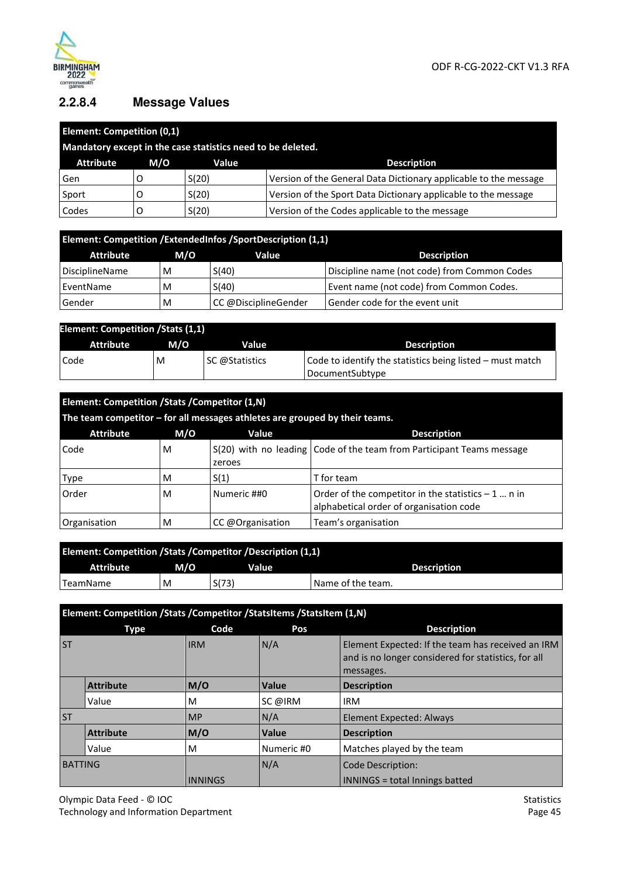

## **2.2.8.4 Message Values**

| <b>Element: Competition (0,1)</b> |     |                                                             |                                                                  |  |  |  |
|-----------------------------------|-----|-------------------------------------------------------------|------------------------------------------------------------------|--|--|--|
|                                   |     | Mandatory except in the case statistics need to be deleted. |                                                                  |  |  |  |
| <b>Attribute</b>                  | M/O | Value                                                       | <b>Description</b>                                               |  |  |  |
| Gen                               |     | S(20)                                                       | Version of the General Data Dictionary applicable to the message |  |  |  |
| Sport                             |     | S(20)                                                       | Version of the Sport Data Dictionary applicable to the message   |  |  |  |
| Codes                             |     | S(20)                                                       | Version of the Codes applicable to the message                   |  |  |  |

| Element: Competition / Extended Infos / Sport Description (1,1) |     |                      |                                              |  |  |  |
|-----------------------------------------------------------------|-----|----------------------|----------------------------------------------|--|--|--|
| Attribute                                                       | M/O | Value                | <b>Description</b>                           |  |  |  |
| DisciplineName                                                  | M   | S(40)                | Discipline name (not code) from Common Codes |  |  |  |
| EventName                                                       | M   | S(40)                | Event name (not code) from Common Codes.     |  |  |  |
| Gender                                                          | M   | CC @DisciplineGender | Gender code for the event unit               |  |  |  |

| <b>Element: Competition / Stats (1,1)</b> |     |                |                                                           |  |  |  |
|-------------------------------------------|-----|----------------|-----------------------------------------------------------|--|--|--|
| Attribute                                 | M/O | Value          | <b>Description</b>                                        |  |  |  |
| Code                                      | M   | SC @Statistics | Code to identify the statistics being listed – must match |  |  |  |
|                                           |     |                | DocumentSubtype                                           |  |  |  |

| Element: Competition /Stats /Competitor (1,N)          |   |                                                                             |                                                                                                |  |  |  |
|--------------------------------------------------------|---|-----------------------------------------------------------------------------|------------------------------------------------------------------------------------------------|--|--|--|
|                                                        |   | The team competitor - for all messages athletes are grouped by their teams. |                                                                                                |  |  |  |
| M/O<br><b>Attribute</b><br>Value<br><b>Description</b> |   |                                                                             |                                                                                                |  |  |  |
| Code                                                   | M | zeroes                                                                      | S(20) with no leading Code of the team from Participant Teams message                          |  |  |  |
| Type                                                   | M | S(1)                                                                        | T for team                                                                                     |  |  |  |
| Order                                                  | м | Numeric ##0                                                                 | Order of the competitor in the statistics $-1$ n in<br>alphabetical order of organisation code |  |  |  |
| Organisation                                           | M | CC @Organisation                                                            | Team's organisation                                                                            |  |  |  |

| Element: Competition /Stats /Competitor /Description (1,1) |     |       |                    |  |  |  |
|------------------------------------------------------------|-----|-------|--------------------|--|--|--|
| Attribute                                                  | M/O | Value | <b>Description</b> |  |  |  |
| TeamName                                                   | M   | S(73) | 'Name of the team. |  |  |  |

|                | Element: Competition /Stats /Competitor /StatsItems /StatsItem (1,N) |                |              |                                                                                                                       |  |  |
|----------------|----------------------------------------------------------------------|----------------|--------------|-----------------------------------------------------------------------------------------------------------------------|--|--|
|                | Type                                                                 | Code           | Pos          | <b>Description</b>                                                                                                    |  |  |
| <b>ST</b>      |                                                                      | <b>IRM</b>     | N/A          | Element Expected: If the team has received an IRM<br>and is no longer considered for statistics, for all<br>messages. |  |  |
|                | <b>Attribute</b>                                                     | M/O            | Value        | <b>Description</b>                                                                                                    |  |  |
|                | Value                                                                | M              | SC @IRM      | <b>IRM</b>                                                                                                            |  |  |
| <b>ST</b>      |                                                                      | <b>MP</b>      | N/A          | <b>Element Expected: Always</b>                                                                                       |  |  |
|                | <b>Attribute</b>                                                     | M/O            | <b>Value</b> | <b>Description</b>                                                                                                    |  |  |
|                | Value                                                                | M              | Numeric #0   | Matches played by the team                                                                                            |  |  |
| <b>BATTING</b> |                                                                      | <b>INNINGS</b> | N/A          | <b>Code Description:</b><br>INNINGS = total Innings batted                                                            |  |  |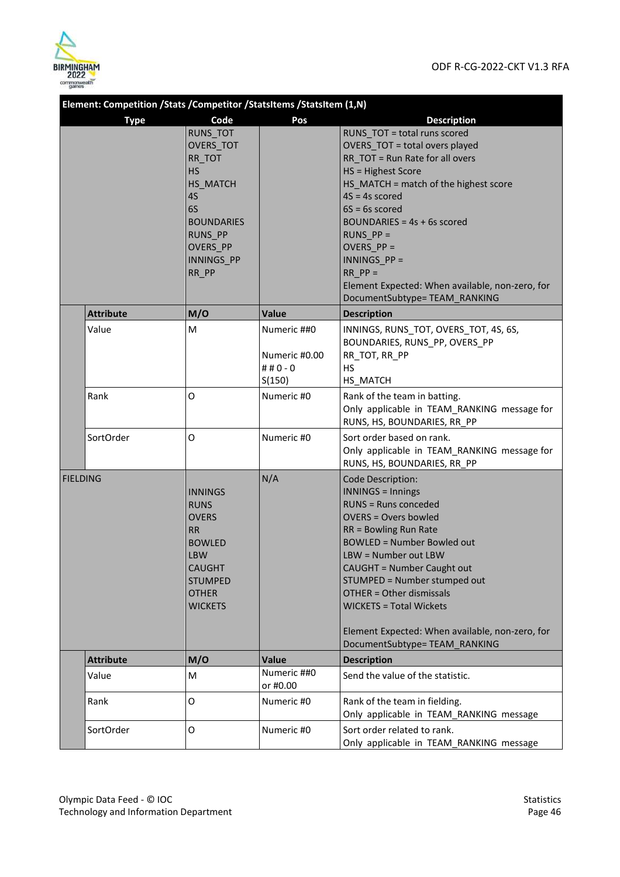

| Element: Competition /Stats /Competitor /StatsItems /StatsItem (1,N) |                  |                                                                                                                                                                |                                                      |                                                                                                                                                                                                                                                                                                                                                                                                                  |
|----------------------------------------------------------------------|------------------|----------------------------------------------------------------------------------------------------------------------------------------------------------------|------------------------------------------------------|------------------------------------------------------------------------------------------------------------------------------------------------------------------------------------------------------------------------------------------------------------------------------------------------------------------------------------------------------------------------------------------------------------------|
|                                                                      | <b>Type</b>      | Code                                                                                                                                                           | Pos                                                  | <b>Description</b>                                                                                                                                                                                                                                                                                                                                                                                               |
|                                                                      |                  | RUNS_TOT<br>OVERS TOT<br>RR TOT<br><b>HS</b><br>HS_MATCH<br>4S<br>6S<br><b>BOUNDARIES</b><br><b>RUNS PP</b><br><b>OVERS PP</b><br><b>INNINGS PP</b><br>RR_PP   |                                                      | RUNS TOT = total runs scored<br>OVERS TOT = total overs played<br>RR_TOT = Run Rate for all overs<br>HS = Highest Score<br>HS_MATCH = match of the highest score<br>$4S = 4s$ scored<br>$6S = 6s$ scored<br>BOUNDARIES = $4s + 6s$ scored<br>RUNS $PP =$<br>OVERS $PP =$<br>INNINGS PP =<br>$RR PP =$<br>Element Expected: When available, non-zero, for<br>DocumentSubtype=TEAM_RANKING                         |
|                                                                      | <b>Attribute</b> | M/O                                                                                                                                                            | Value                                                | <b>Description</b>                                                                                                                                                                                                                                                                                                                                                                                               |
|                                                                      | Value            | M                                                                                                                                                              | Numeric ##0<br>Numeric #0.00<br>## $0 - 0$<br>S(150) | INNINGS, RUNS_TOT, OVERS_TOT, 4S, 6S,<br>BOUNDARIES, RUNS_PP, OVERS_PP<br>RR_TOT, RR_PP<br><b>HS</b><br>HS_MATCH                                                                                                                                                                                                                                                                                                 |
|                                                                      | Rank             | O                                                                                                                                                              | Numeric #0                                           | Rank of the team in batting.<br>Only applicable in TEAM_RANKING message for<br>RUNS, HS, BOUNDARIES, RR PP                                                                                                                                                                                                                                                                                                       |
|                                                                      | SortOrder        | O                                                                                                                                                              | Numeric #0                                           | Sort order based on rank.<br>Only applicable in TEAM_RANKING message for<br>RUNS, HS, BOUNDARIES, RR_PP                                                                                                                                                                                                                                                                                                          |
| <b>FIELDING</b>                                                      |                  | <b>INNINGS</b><br><b>RUNS</b><br><b>OVERS</b><br><b>RR</b><br><b>BOWLED</b><br><b>LBW</b><br><b>CAUGHT</b><br><b>STUMPED</b><br><b>OTHER</b><br><b>WICKETS</b> | N/A                                                  | Code Description:<br><b>INNINGS = Innings</b><br><b>RUNS = Runs conceded</b><br><b>OVERS = Overs bowled</b><br>RR = Bowling Run Rate<br><b>BOWLED = Number Bowled out</b><br>LBW = Number out LBW<br>CAUGHT = Number Caught out<br>STUMPED = Number stumped out<br>OTHER = Other dismissals<br><b>WICKETS = Total Wickets</b><br>Element Expected: When available, non-zero, for<br>DocumentSubtype=TEAM_RANKING |
|                                                                      | <b>Attribute</b> | M/O                                                                                                                                                            | <b>Value</b>                                         | <b>Description</b>                                                                                                                                                                                                                                                                                                                                                                                               |
|                                                                      | Value            | M                                                                                                                                                              | Numeric ##0<br>or #0.00                              | Send the value of the statistic.                                                                                                                                                                                                                                                                                                                                                                                 |
|                                                                      | Rank             | O                                                                                                                                                              | Numeric #0                                           | Rank of the team in fielding.<br>Only applicable in TEAM_RANKING message                                                                                                                                                                                                                                                                                                                                         |
|                                                                      | SortOrder        | 0                                                                                                                                                              | Numeric #0                                           | Sort order related to rank.<br>Only applicable in TEAM_RANKING message                                                                                                                                                                                                                                                                                                                                           |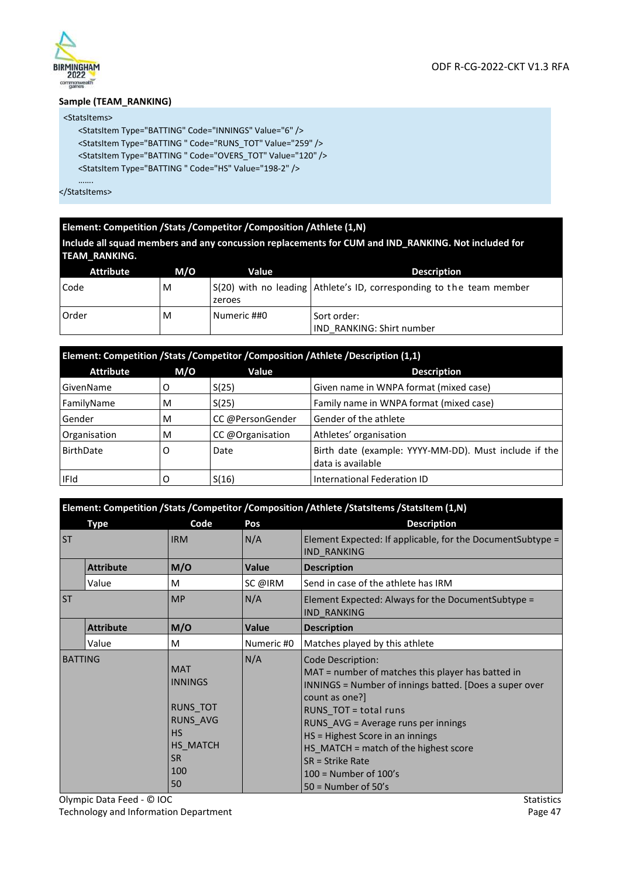

#### **Sample (TEAM\_RANKING)**

#### <StatsItems>

<StatsItem Type="BATTING" Code="INNINGS" Value="6" /> <StatsItem Type="BATTING " Code="RUNS\_TOT" Value="259" /> <StatsItem Type="BATTING " Code="OVERS\_TOT" Value="120" /> <StatsItem Type="BATTING " Code="HS" Value="198-2" />

……. </StatsItems>

#### **Element: Competition /Stats /Competitor /Composition /Athlete (1,N)**

**Include all squad members and any concussion replacements for CUM and IND\_RANKING. Not included for TEAM\_RANKING.** 

| <b>Attribute</b> | M/O | <b>Value</b> | <b>Description</b>                                                   |
|------------------|-----|--------------|----------------------------------------------------------------------|
| Code             | M   | zeroes       | S(20) with no leading Athlete's ID, corresponding to the team member |
| l Order          | M   | Numeric ##0  | Sort order:<br><b>IND RANKING: Shirt number</b>                      |

| Element: Competition /Stats /Competitor /Composition /Athlete /Description (1,1) |     |                  |                                                                            |  |  |
|----------------------------------------------------------------------------------|-----|------------------|----------------------------------------------------------------------------|--|--|
| <b>Attribute</b>                                                                 | M/O | Value            | <b>Description</b>                                                         |  |  |
| GivenName                                                                        | O   | S(25)            | Given name in WNPA format (mixed case)                                     |  |  |
| FamilyName                                                                       | M   | S(25)            | Family name in WNPA format (mixed case)                                    |  |  |
| Gender                                                                           | M   | CC @PersonGender | Gender of the athlete                                                      |  |  |
| Organisation                                                                     | M   | CC @Organisation | Athletes' organisation                                                     |  |  |
| BirthDate                                                                        | O   | Date             | Birth date (example: YYYY-MM-DD). Must include if the<br>data is available |  |  |
| <b>IFId</b>                                                                      |     | S(16)            | International Federation ID                                                |  |  |

|                | Element: Competition /Stats /Competitor /Composition /Athlete /StatsItems /StatsItem (1,N) |                                                                                                                |              |                                                                                                                                                                                                                                                                                                                                                                                    |
|----------------|--------------------------------------------------------------------------------------------|----------------------------------------------------------------------------------------------------------------|--------------|------------------------------------------------------------------------------------------------------------------------------------------------------------------------------------------------------------------------------------------------------------------------------------------------------------------------------------------------------------------------------------|
|                | <b>Type</b>                                                                                | Code                                                                                                           | Pos          | <b>Description</b>                                                                                                                                                                                                                                                                                                                                                                 |
| <b>ST</b>      |                                                                                            | <b>IRM</b>                                                                                                     | N/A          | Element Expected: If applicable, for the Document Subtype =<br><b>IND RANKING</b>                                                                                                                                                                                                                                                                                                  |
|                | <b>Attribute</b>                                                                           | M/O                                                                                                            | <b>Value</b> | <b>Description</b>                                                                                                                                                                                                                                                                                                                                                                 |
|                | Value                                                                                      | м                                                                                                              | SC @IRM      | Send in case of the athlete has IRM                                                                                                                                                                                                                                                                                                                                                |
| <b>ST</b>      |                                                                                            | <b>MP</b>                                                                                                      | N/A          | Element Expected: Always for the DocumentSubtype =<br><b>IND RANKING</b>                                                                                                                                                                                                                                                                                                           |
|                | <b>Attribute</b>                                                                           | M/O                                                                                                            | Value        | <b>Description</b>                                                                                                                                                                                                                                                                                                                                                                 |
|                | Value                                                                                      | M                                                                                                              | Numeric #0   | Matches played by this athlete                                                                                                                                                                                                                                                                                                                                                     |
| <b>BATTING</b> |                                                                                            | <b>MAT</b><br><b>INNINGS</b><br>RUNS_TOT<br><b>RUNS AVG</b><br><b>HS</b><br>HS MATCH<br><b>SR</b><br>100<br>50 | N/A          | <b>Code Description:</b><br>MAT = number of matches this player has batted in<br>INNINGS = Number of innings batted. [Does a super over<br>count as one?]<br>RUNS_TOT = total runs<br>RUNS AVG = Average runs per innings<br>HS = Highest Score in an innings<br>HS_MATCH = match of the highest score<br>SR = Strike Rate<br>$100 =$ Number of $100's$<br>$50 =$ Number of $50's$ |

Olympic Data Feed - © IOC Technology and Information Department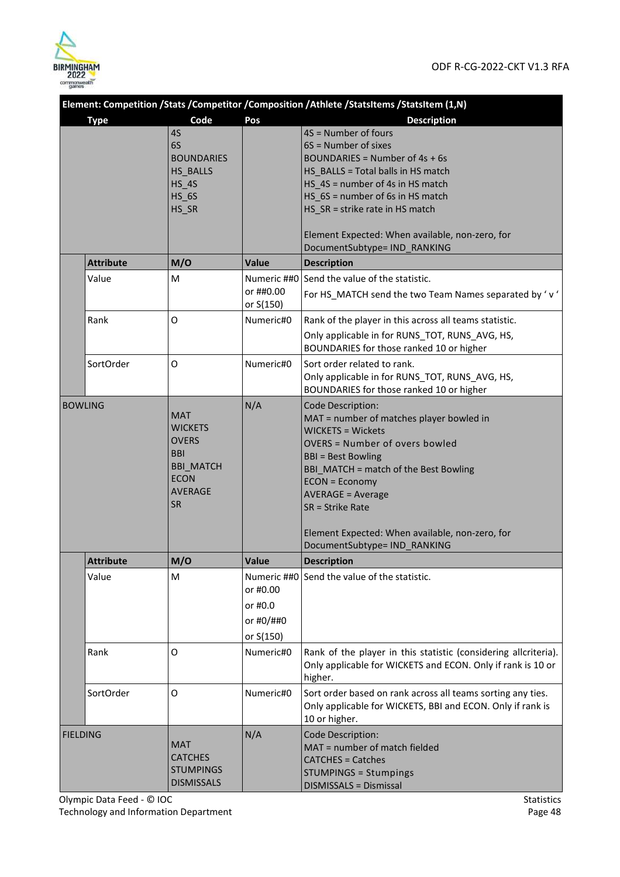

|                 | Element: Competition /Stats /Competitor /Composition /Athlete /StatsItems /StatsItem (1,N) |                                                                                                                              |                                               |                                                                                                                                                                                                                                                                                                                                                                             |  |
|-----------------|--------------------------------------------------------------------------------------------|------------------------------------------------------------------------------------------------------------------------------|-----------------------------------------------|-----------------------------------------------------------------------------------------------------------------------------------------------------------------------------------------------------------------------------------------------------------------------------------------------------------------------------------------------------------------------------|--|
|                 | <b>Type</b>                                                                                | Code                                                                                                                         | Pos                                           | <b>Description</b>                                                                                                                                                                                                                                                                                                                                                          |  |
|                 |                                                                                            | 4S<br>6S<br><b>BOUNDARIES</b><br>HS_BALLS<br>$HS_4S$<br>$HS_6S$<br>HS_SR                                                     |                                               | 4S = Number of fours<br>6S = Number of sixes<br>BOUNDARIES = Number of $4s + 6s$<br>HS BALLS = Total balls in HS match<br>HS 4S = number of 4s in HS match<br>HS_6S = number of 6s in HS match<br>HS_SR = strike rate in HS match<br>Element Expected: When available, non-zero, for<br>DocumentSubtype= IND RANKING                                                        |  |
|                 | <b>Attribute</b>                                                                           | M/O                                                                                                                          | Value                                         | <b>Description</b>                                                                                                                                                                                                                                                                                                                                                          |  |
|                 | Value                                                                                      | м                                                                                                                            | Numeric ##0<br>or ##0.00<br>or S(150)         | Send the value of the statistic.<br>For HS_MATCH send the two Team Names separated by 'v'                                                                                                                                                                                                                                                                                   |  |
|                 | Rank                                                                                       | O                                                                                                                            | Numeric#0                                     | Rank of the player in this across all teams statistic.<br>Only applicable in for RUNS TOT, RUNS AVG, HS,<br>BOUNDARIES for those ranked 10 or higher                                                                                                                                                                                                                        |  |
|                 | SortOrder                                                                                  | O                                                                                                                            | Numeric#0                                     | Sort order related to rank.<br>Only applicable in for RUNS_TOT, RUNS_AVG, HS,<br>BOUNDARIES for those ranked 10 or higher                                                                                                                                                                                                                                                   |  |
| <b>BOWLING</b>  |                                                                                            | <b>MAT</b><br><b>WICKETS</b><br><b>OVERS</b><br><b>BBI</b><br><b>BBI_MATCH</b><br><b>ECON</b><br><b>AVERAGE</b><br><b>SR</b> | N/A                                           | <b>Code Description:</b><br>MAT = number of matches player bowled in<br><b>WICKETS = Wickets</b><br><b>OVERS = Number of overs bowled</b><br><b>BBI</b> = Best Bowling<br>BBI_MATCH = match of the Best Bowling<br><b>ECON = Economy</b><br><b>AVERAGE = Average</b><br>SR = Strike Rate<br>Element Expected: When available, non-zero, for<br>DocumentSubtype= IND_RANKING |  |
|                 | <b>Attribute</b>                                                                           | M/O                                                                                                                          | <b>Value</b>                                  | <b>Description</b>                                                                                                                                                                                                                                                                                                                                                          |  |
|                 | Value                                                                                      | м                                                                                                                            | or #0.00<br>or #0.0<br>or #0/##0<br>or S(150) | Numeric ##0 Send the value of the statistic.                                                                                                                                                                                                                                                                                                                                |  |
|                 | Rank                                                                                       | O                                                                                                                            | Numeric#0                                     | Rank of the player in this statistic (considering allcriteria).<br>Only applicable for WICKETS and ECON. Only if rank is 10 or<br>higher.                                                                                                                                                                                                                                   |  |
|                 | SortOrder                                                                                  | O                                                                                                                            | Numeric#0                                     | Sort order based on rank across all teams sorting any ties.<br>Only applicable for WICKETS, BBI and ECON. Only if rank is<br>10 or higher.                                                                                                                                                                                                                                  |  |
| <b>FIELDING</b> |                                                                                            | <b>MAT</b><br><b>CATCHES</b><br><b>STUMPINGS</b><br><b>DISMISSALS</b>                                                        | N/A                                           | Code Description:<br>MAT = number of match fielded<br><b>CATCHES = Catches</b><br><b>STUMPINGS = Stumpings</b><br><b>DISMISSALS = Dismissal</b>                                                                                                                                                                                                                             |  |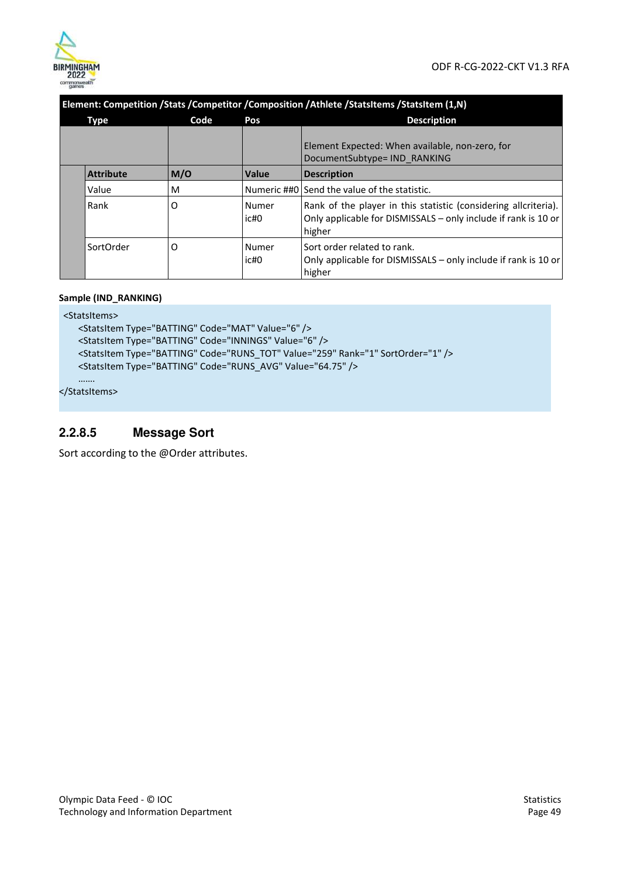

|  | Element: Competition /Stats /Competitor /Composition /Athlete /StatsItems /StatsItem (1,N) |      |               |                                                                                                                                             |  |
|--|--------------------------------------------------------------------------------------------|------|---------------|---------------------------------------------------------------------------------------------------------------------------------------------|--|
|  | <b>Type</b>                                                                                | Code | Pos           | <b>Description</b>                                                                                                                          |  |
|  |                                                                                            |      |               | Element Expected: When available, non-zero, for<br>DocumentSubtype= IND RANKING                                                             |  |
|  | <b>Attribute</b>                                                                           | M/O  | Value         | <b>Description</b>                                                                                                                          |  |
|  | Value                                                                                      | M    |               | Numeric ##0 Send the value of the statistic.                                                                                                |  |
|  | Rank                                                                                       | O    | Numer<br>ic#0 | Rank of the player in this statistic (considering allcriteria).<br>Only applicable for DISMISSALS – only include if rank is 10 or<br>higher |  |
|  | SortOrder                                                                                  | O    | Numer<br>ic#0 | Sort order related to rank.<br>Only applicable for DISMISSALS – only include if rank is 10 or<br>higher                                     |  |

#### **Sample (IND\_RANKING)**

<StatsItems> <StatsItem Type="BATTING" Code="MAT" Value="6" /> <StatsItem Type="BATTING" Code="INNINGS" Value="6" /> <StatsItem Type="BATTING" Code="RUNS\_TOT" Value="259" Rank="1" SortOrder="1" /> <StatsItem Type="BATTING" Code="RUNS\_AVG" Value="64.75" /> …….

</StatsItems>

## **2.2.8.5 Message Sort**

Sort according to the @Order attributes.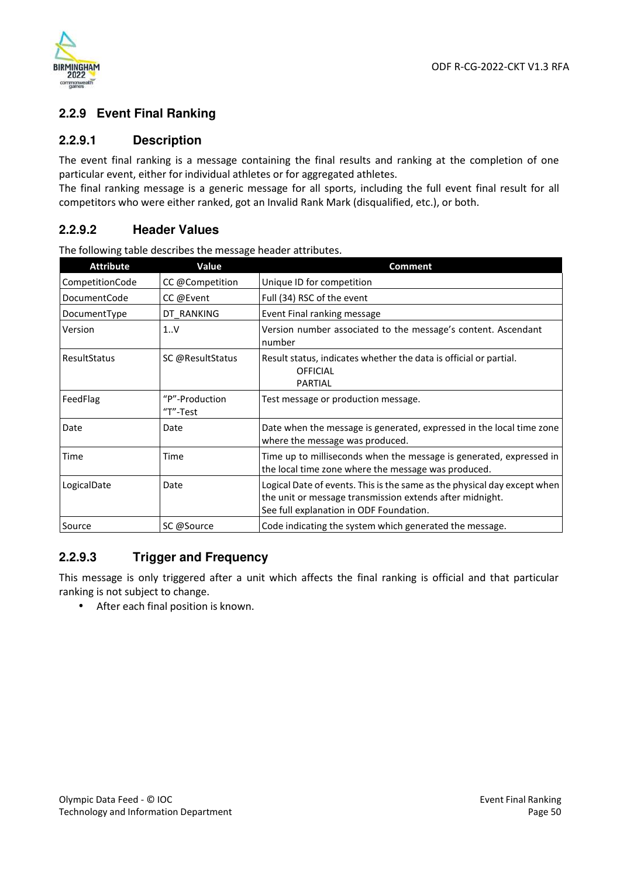

#### **2.2.9 Event Final Ranking**

#### **2.2.9.1 Description**

The event final ranking is a message containing the final results and ranking at the completion of one particular event, either for individual athletes or for aggregated athletes.

The final ranking message is a generic message for all sports, including the full event final result for all competitors who were either ranked, got an Invalid Rank Mark (disqualified, etc.), or both.

#### **2.2.9.2 Header Values**

| <b>Attribute</b> | Value                      | <b>Comment</b>                                                                                                                                                                  |
|------------------|----------------------------|---------------------------------------------------------------------------------------------------------------------------------------------------------------------------------|
| CompetitionCode  | CC @Competition            | Unique ID for competition                                                                                                                                                       |
| DocumentCode     | CC @Event                  | Full (34) RSC of the event                                                                                                                                                      |
| DocumentType     | DT_RANKING                 | Event Final ranking message                                                                                                                                                     |
| Version          | 1.0V                       | Version number associated to the message's content. Ascendant<br>number                                                                                                         |
| ResultStatus     | SC @ResultStatus           | Result status, indicates whether the data is official or partial.<br><b>OFFICIAL</b><br><b>PARTIAL</b>                                                                          |
| FeedFlag         | "P"-Production<br>"T"-Test | Test message or production message.                                                                                                                                             |
| Date             | Date                       | Date when the message is generated, expressed in the local time zone<br>where the message was produced.                                                                         |
| Time             | Time                       | Time up to milliseconds when the message is generated, expressed in<br>the local time zone where the message was produced.                                                      |
| LogicalDate      | Date                       | Logical Date of events. This is the same as the physical day except when<br>the unit or message transmission extends after midnight.<br>See full explanation in ODF Foundation. |
| Source           | SC @Source                 | Code indicating the system which generated the message.                                                                                                                         |

The following table describes the message header attributes.

#### **2.2.9.3 Trigger and Frequency**

This message is only triggered after a unit which affects the final ranking is official and that particular ranking is not subject to change.

• After each final position is known.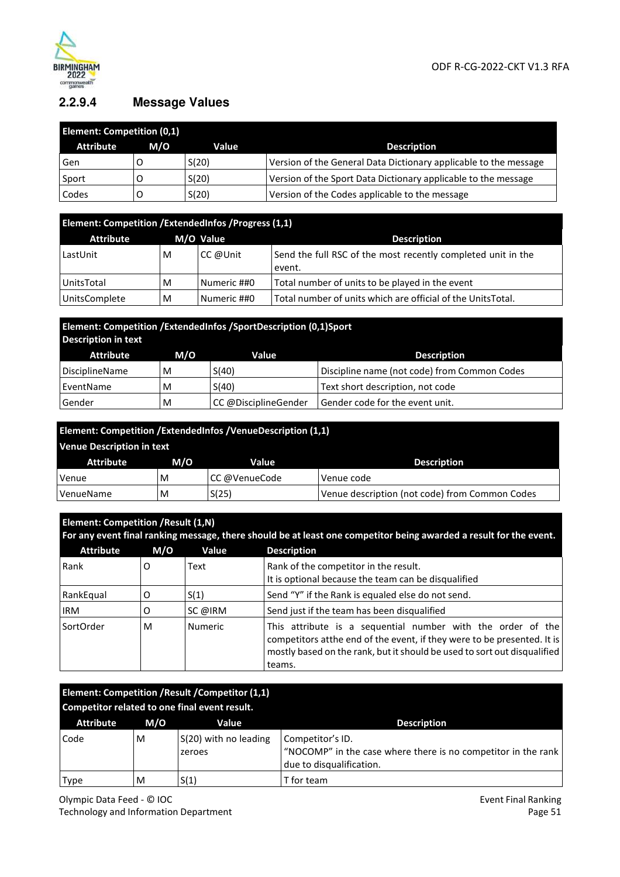

## **2.2.9.4 Message Values**

| <b>Element: Competition (0,1)</b> |     |       |                                                                  |
|-----------------------------------|-----|-------|------------------------------------------------------------------|
| <b>Attribute</b>                  | M/O | Value | <b>Description</b>                                               |
| Gen                               |     | S(20) | Version of the General Data Dictionary applicable to the message |
| Sport                             |     | S(20) | Version of the Sport Data Dictionary applicable to the message   |
| Codes                             |     | S(20) | Version of the Codes applicable to the message                   |

| Element: Competition / ExtendedInfos / Progress (1,1) |   |             |                                                                        |  |
|-------------------------------------------------------|---|-------------|------------------------------------------------------------------------|--|
| <b>Attribute</b>                                      |   | M/O Value   | <b>Description</b>                                                     |  |
| LastUnit                                              | M | CC @Unit    | Send the full RSC of the most recently completed unit in the<br>event. |  |
| UnitsTotal                                            | M | Numeric ##0 | Total number of units to be played in the event                        |  |
| <b>UnitsComplete</b>                                  | M | Numeric ##0 | Total number of units which are official of the UnitsTotal.            |  |

## **Element: Competition /ExtendedInfos /SportDescription (0,1) Sport Description in text**

| <b>Attribute</b>            | M/O | Value                | <b>Description</b>                           |
|-----------------------------|-----|----------------------|----------------------------------------------|
| <sup>1</sup> DisciplineName | M   | S(40)                | Discipline name (not code) from Common Codes |
| EventName                   | M   | S(40)                | Text short description, not code             |
| Gender                      | M   | CC @DisciplineGender | Gender code for the event unit.              |

| Element: Competition / ExtendedInfos / Venue Description (1,1) |     |               |                                                |  |
|----------------------------------------------------------------|-----|---------------|------------------------------------------------|--|
| <b>Venue Description in text</b>                               |     |               |                                                |  |
| <b>Attribute</b>                                               | M/O | Value         | <b>Description</b>                             |  |
| Venue                                                          | M   | CC @VenueCode | Venue code                                     |  |
| VenueName                                                      | M   | S(25)         | Venue description (not code) from Common Codes |  |

|                  | Element: Competition / Result (1,N)<br>For any event final ranking message, there should be at least one competitor being awarded a result for the event. |                |                                                                                                                                                                                                                               |  |
|------------------|-----------------------------------------------------------------------------------------------------------------------------------------------------------|----------------|-------------------------------------------------------------------------------------------------------------------------------------------------------------------------------------------------------------------------------|--|
| <b>Attribute</b> | M/O                                                                                                                                                       | Value          | <b>Description</b>                                                                                                                                                                                                            |  |
| Rank             | O                                                                                                                                                         | Text           | Rank of the competitor in the result.<br>It is optional because the team can be disqualified                                                                                                                                  |  |
| RankEqual        | O                                                                                                                                                         | S(1)           | Send "Y" if the Rank is equaled else do not send.                                                                                                                                                                             |  |
| <b>IRM</b>       | O                                                                                                                                                         | SC @IRM        | Send just if the team has been disqualified                                                                                                                                                                                   |  |
| SortOrder        | м                                                                                                                                                         | <b>Numeric</b> | This attribute is a sequential number with the order of the<br>competitors at the end of the event, if they were to be presented. It is<br>mostly based on the rank, but it should be used to sort out disqualified<br>teams. |  |

| Element: Competition / Result / Competitor (1,1)<br>Competitor related to one final event result. |     |                                 |                                                                                                               |
|---------------------------------------------------------------------------------------------------|-----|---------------------------------|---------------------------------------------------------------------------------------------------------------|
| <b>Attribute</b>                                                                                  | M/O | Value                           | <b>Description</b>                                                                                            |
| Code                                                                                              | M   | S(20) with no leading<br>zeroes | Competitor's ID.<br>"NOCOMP" in the case where there is no competitor in the rank<br>due to disqualification. |
| Type                                                                                              | M   | S(1)                            | T for team                                                                                                    |

Olympic Data Feed - © IOC Technology and Information Department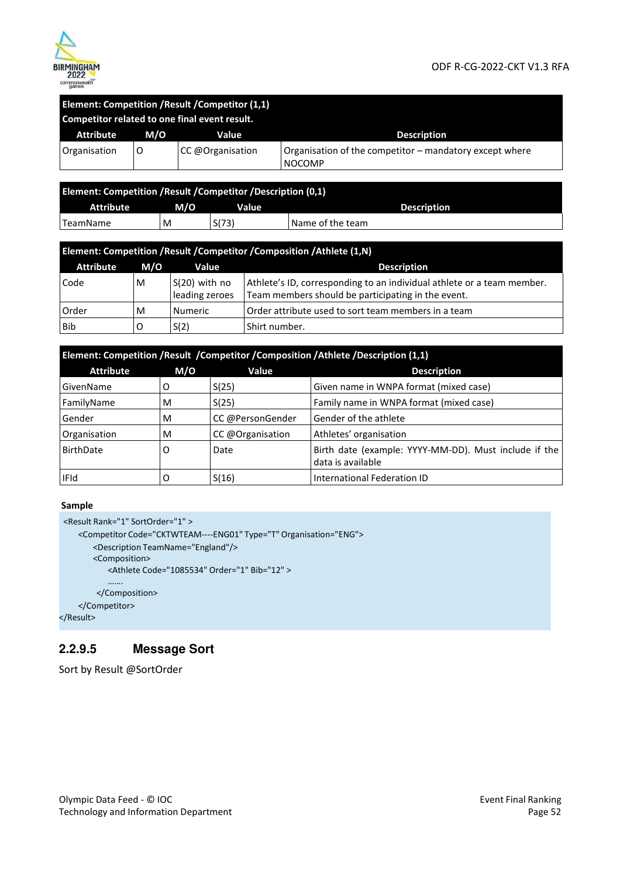

#### ODF R-CG-2022-CKT V1.3 RFA

| Element: Competition / Result / Competitor (1,1)<br>Competitor related to one final event result. |     |                  |                                                                          |
|---------------------------------------------------------------------------------------------------|-----|------------------|--------------------------------------------------------------------------|
| Attribute                                                                                         | M/O | Value            | <b>Description</b>                                                       |
| Organisation                                                                                      | O   | CC @Organisation | Organisation of the competitor – mandatory except where<br><b>NOCOMP</b> |

| Element: Competition / Result / Competitor / Description (0,1) |     |       |                    |
|----------------------------------------------------------------|-----|-------|--------------------|
| Attribute                                                      | M/O | Value | <b>Description</b> |
| TeamName                                                       | M   | S(73) | 'Name of the team  |

| Element: Competition / Result / Competitor / Composition / Athlete (1,N) |     |                                   |                                                                                                                              |  |
|--------------------------------------------------------------------------|-----|-----------------------------------|------------------------------------------------------------------------------------------------------------------------------|--|
| <b>Attribute</b>                                                         | M/O | Value                             | <b>Description</b>                                                                                                           |  |
| Code                                                                     | M   | $S(20)$ with no<br>leading zeroes | Athlete's ID, corresponding to an individual athlete or a team member.<br>Team members should be participating in the event. |  |
| Order                                                                    | M   | <b>Numeric</b>                    | Order attribute used to sort team members in a team                                                                          |  |
| Bib                                                                      | O   | S(2)                              | Shirt number.                                                                                                                |  |

| Element: Competition /Result /Competitor /Composition /Athlete /Description (1,1) |     |                  |                                                                            |
|-----------------------------------------------------------------------------------|-----|------------------|----------------------------------------------------------------------------|
| <b>Attribute</b>                                                                  | M/O | Value            | <b>Description</b>                                                         |
| GivenName                                                                         | O   | S(25)            | Given name in WNPA format (mixed case)                                     |
| FamilyName                                                                        | M   | S(25)            | Family name in WNPA format (mixed case)                                    |
| Gender                                                                            | M   | CC @PersonGender | Gender of the athlete                                                      |
| Organisation                                                                      | M   | CC @Organisation | Athletes' organisation                                                     |
| <b>BirthDate</b>                                                                  | O   | Date             | Birth date (example: YYYY-MM-DD). Must include if the<br>data is available |
| <b>IFId</b>                                                                       | O   | S(16)            | International Federation ID                                                |

#### **Sample**

```
<Result Rank="1" SortOrder="1" > 
   <Competitor Code="CKTWTEAM----ENG01" Type="T" Organisation="ENG"> 
       <Description TeamName="England"/> 
       <Composition> 
          <Athlete Code="1085534" Order="1" Bib="12" > 
           ……. 
       </Composition> 
   </Competitor>
```
## </Result>

## **2.2.9.5 Message Sort**

Sort by Result @SortOrder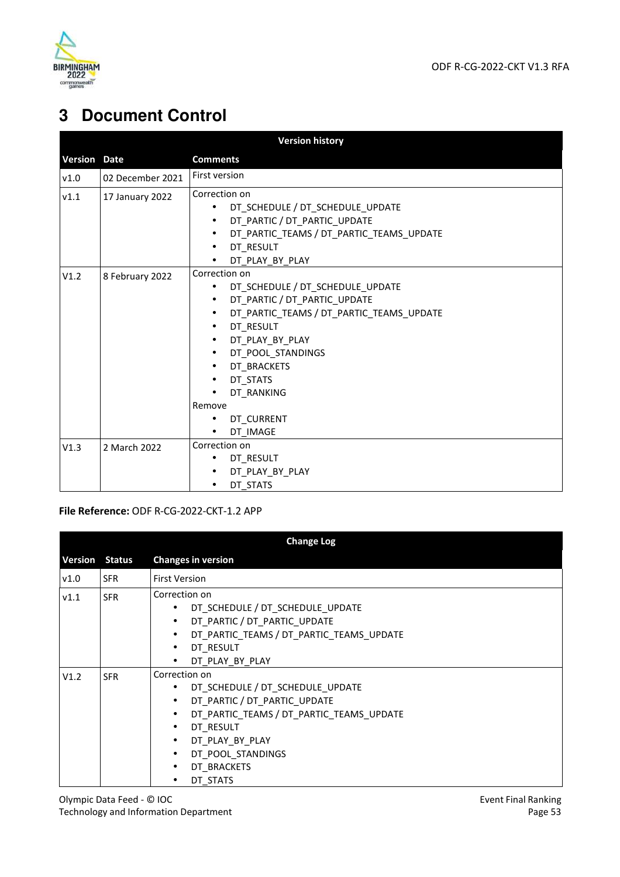

# **3 Document Control**

|                     |                  | <b>Version history</b>                                                                                                                                                                                                                                                                                                                                                               |
|---------------------|------------------|--------------------------------------------------------------------------------------------------------------------------------------------------------------------------------------------------------------------------------------------------------------------------------------------------------------------------------------------------------------------------------------|
| <b>Version Date</b> |                  | <b>Comments</b>                                                                                                                                                                                                                                                                                                                                                                      |
| v1.0                | 02 December 2021 | First version                                                                                                                                                                                                                                                                                                                                                                        |
| V1.1                | 17 January 2022  | Correction on<br>DT_SCHEDULE / DT_SCHEDULE_UPDATE<br>DT_PARTIC / DT_PARTIC_UPDATE<br>$\bullet$<br>DT_PARTIC_TEAMS / DT_PARTIC_TEAMS_UPDATE<br>$\bullet$<br>DT RESULT<br>$\bullet$<br>DT_PLAY_BY_PLAY                                                                                                                                                                                 |
| V1.2                | 8 February 2022  | Correction on<br>DT_SCHEDULE / DT_SCHEDULE_UPDATE<br>$\bullet$<br>DT_PARTIC / DT_PARTIC_UPDATE<br>$\bullet$<br>DT_PARTIC_TEAMS / DT_PARTIC_TEAMS_UPDATE<br>$\bullet$<br>DT RESULT<br>$\bullet$<br>DT_PLAY_BY_PLAY<br>$\bullet$<br>DT_POOL_STANDINGS<br>$\bullet$<br>DT_BRACKETS<br>$\bullet$<br>DT STATS<br>$\bullet$<br>DT RANKING<br>Remove<br>DT_CURRENT<br>DT IMAGE<br>$\bullet$ |
| V1.3                | 2 March 2022     | Correction on<br>DT RESULT<br>DT_PLAY_BY_PLAY<br>DT STATS                                                                                                                                                                                                                                                                                                                            |

#### **File Reference:** ODF R-CG-2022-CKT-1.2 APP

| <b>Change Log</b> |               |                                                                                                                                                                                                                                                                                                 |  |
|-------------------|---------------|-------------------------------------------------------------------------------------------------------------------------------------------------------------------------------------------------------------------------------------------------------------------------------------------------|--|
| <b>Version</b>    | <b>Status</b> | <b>Changes in version</b>                                                                                                                                                                                                                                                                       |  |
| v1.0              | <b>SFR</b>    | <b>First Version</b>                                                                                                                                                                                                                                                                            |  |
| V1.1              | <b>SFR</b>    | Correction on<br>DT_SCHEDULE / DT_SCHEDULE_UPDATE<br>$\bullet$<br>• DT_PARTIC / DT_PARTIC_UPDATE<br>• DT_PARTIC_TEAMS / DT_PARTIC_TEAMS_UPDATE<br>DT RESULT<br>$\bullet$<br>DT PLAY BY PLAY                                                                                                     |  |
| V1.2              | <b>SFR</b>    | Correction on<br>DT_SCHEDULE / DT_SCHEDULE_UPDATE<br>$\bullet$<br>• DT PARTIC / DT PARTIC UPDATE<br>DT PARTIC TEAMS / DT PARTIC TEAMS UPDATE<br>$\bullet$<br>DT RESULT<br>$\bullet$<br>· DT_PLAY_BY_PLAY<br>DT_POOL_STANDINGS<br>$\bullet$<br>DT BRACKETS<br>$\bullet$<br>DT STATS<br>$\bullet$ |  |